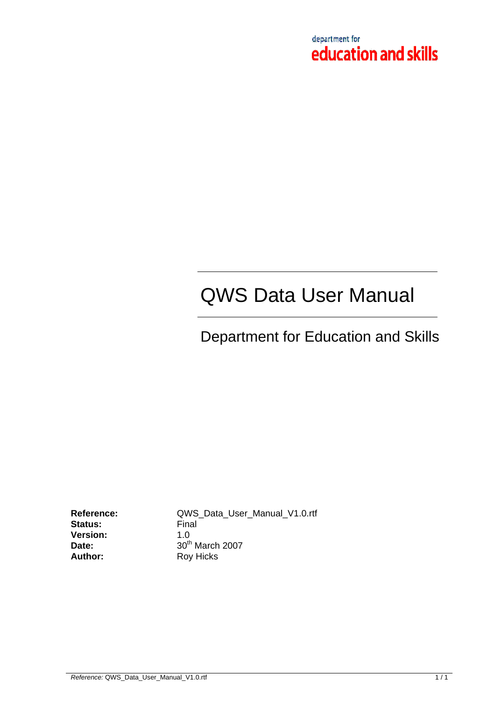

# QWS Data User Manual

# Department for Education and Skills

**Status: Version:** 1.0 Author: Roy Hicks

**Reference:**  $QWS\_Data\_User\_Manual\_V1.0.rtf$ <br>**Status:** Final **Date:** 30<sup>th</sup> March 2007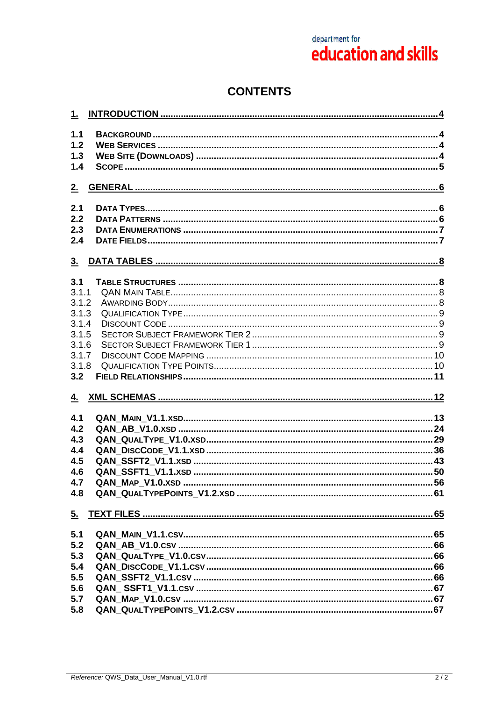# **CONTENTS**

| 1.             |  |
|----------------|--|
| 1.1            |  |
| 1.2            |  |
| 1.3            |  |
| 1.4            |  |
|                |  |
| 2.             |  |
| 2.1            |  |
| 2.2            |  |
| 2.3            |  |
| 2.4            |  |
|                |  |
| 3 <sub>1</sub> |  |
| 3.1            |  |
| 3.1.1          |  |
| 3.1.2          |  |
| 3.1.3          |  |
| 3.1.4          |  |
| 3.1.5          |  |
| 3.1.6          |  |
| 3.1.7          |  |
| 3.1.8          |  |
| 3.2            |  |
|                |  |
| 4.             |  |
| 4.1            |  |
| 4.2            |  |
| 4.3            |  |
| 4.4            |  |
| 4.5            |  |
| 4.6            |  |
|                |  |
| 4.7            |  |
| 4.8            |  |
| 5 <sub>1</sub> |  |
| 5.1            |  |
| 5.2            |  |
| 5.3            |  |
| 5.4            |  |
| 5.5            |  |
| 5.6            |  |
| 5.7            |  |
| 5.8            |  |
|                |  |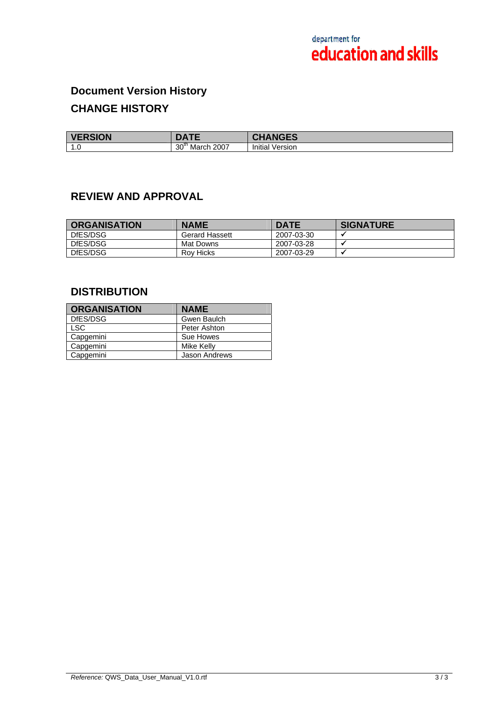# **Document Version History CHANGE HISTORY**

| <b>VERSION</b>             |                                   | -~<br>⊶∟                |
|----------------------------|-----------------------------------|-------------------------|
| <b>10</b><br>$\cdot \cdot$ | 30 <sup>th</sup><br>2007<br>March | .<br>Version<br>Initial |

## **REVIEW AND APPROVAL**

| <b>ORGANISATION</b> | <b>NAME</b>    | <b>DATE</b> | <b>SIGNATURE</b> |
|---------------------|----------------|-------------|------------------|
| DfES/DSG            | Gerard Hassett | 2007-03-30  |                  |
| DfES/DSG            | Mat Downs      | 2007-03-28  |                  |
| DfES/DSG            | Rov Hicks      | 2007-03-29  |                  |

## **DISTRIBUTION**

| <b>ORGANISATION</b> | <b>NAME</b>          |
|---------------------|----------------------|
| DfES/DSG            | Gwen Baulch          |
| <b>LSC</b>          | Peter Ashton         |
| Capgemini           | Sue Howes            |
| Capgemini           | Mike Kelly           |
| Capgemini           | <b>Jason Andrews</b> |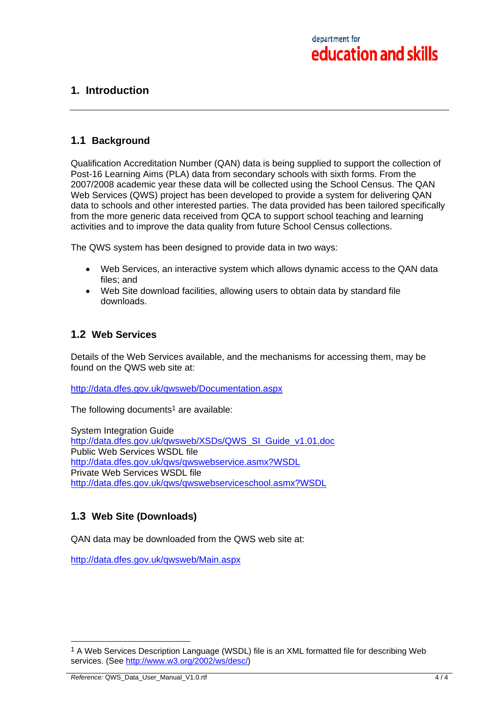## **1. Introduction**

## **1.1 Background**

Qualification Accreditation Number (QAN) data is being supplied to support the collection of Post-16 Learning Aims (PLA) data from secondary schools with sixth forms. From the 2007/2008 academic year these data will be collected using the School Census. The QAN Web Services (QWS) project has been developed to provide a system for delivering QAN data to schools and other interested parties. The data provided has been tailored specifically from the more generic data received from QCA to support school teaching and learning activities and to improve the data quality from future School Census collections.

The QWS system has been designed to provide data in two ways:

- Web Services, an interactive system which allows dynamic access to the QAN data files; and
- Web Site download facilities, allowing users to obtain data by standard file downloads.

## **1.2 Web Services**

Details of the Web Services available, and the mechanisms for accessing them, may be found on the QWS web site at:

http://data.dfes.gov.uk/qwsweb/Documentation.aspx

The following documents<sup>1</sup> are available:

System Integration Guide http://data.dfes.gov.uk/qwsweb/XSDs/QWS\_SI\_Guide\_v1.01.doc Public Web Services WSDL file http://data.dfes.gov.uk/qws/qwswebservice.asmx?WSDL Private Web Services WSDL file http://data.dfes.gov.uk/qws/qwswebserviceschool.asmx?WSDL

## **1.3 Web Site (Downloads)**

QAN data may be downloaded from the QWS web site at:

http://data.dfes.gov.uk/qwsweb/Main.aspx

 $\overline{a}$ 

<sup>&</sup>lt;sup>1</sup> A Web Services Description Language (WSDL) file is an XML formatted file for describing Web services. (See http://www.w3.org/2002/ws/desc/)

*Reference:* QWS\_Data\_User\_Manual\_V1.0.rtf 4 / 4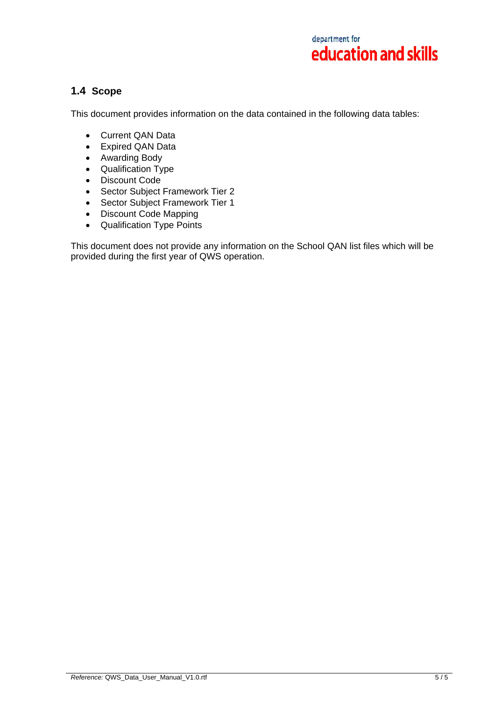## **1.4 Scope**

This document provides information on the data contained in the following data tables:

- Current QAN Data
- Expired QAN Data
- Awarding Body
- Qualification Type
- Discount Code
- Sector Subject Framework Tier 2
- Sector Subject Framework Tier 1
- Discount Code Mapping
- Qualification Type Points

This document does not provide any information on the School QAN list files which will be provided during the first year of QWS operation.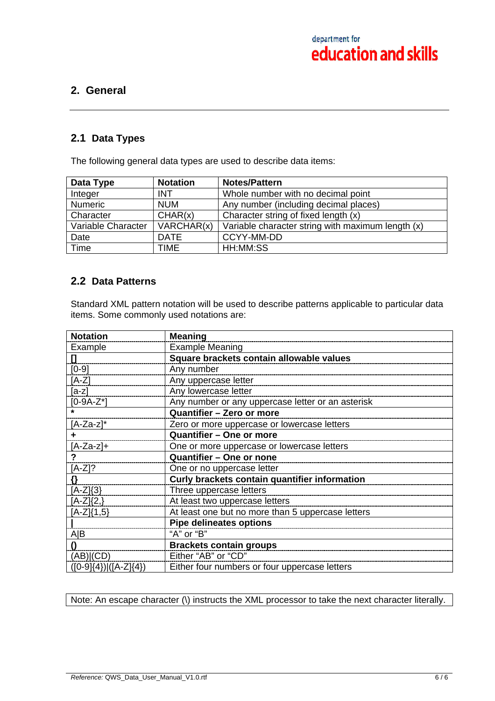## **2. General**

## **2.1 Data Types**

The following general data types are used to describe data items:

| Data Type          | <b>Notation</b> | <b>Notes/Pattern</b>                              |
|--------------------|-----------------|---------------------------------------------------|
| Integer            | <b>INT</b>      | Whole number with no decimal point                |
| <b>Numeric</b>     | <b>NUM</b>      | Any number (including decimal places)             |
| Character          | CHAR(x)         | Character string of fixed length (x)              |
| Variable Character | VARCHAR(x)      | Variable character string with maximum length (x) |
| Date               | <b>DATE</b>     | CCYY-MM-DD                                        |
| Time               | <b>TIME</b>     | HH:MM:SS                                          |

## **2.2 Data Patterns**

Standard XML pattern notation will be used to describe patterns applicable to particular data items. Some commonly used notations are:

| <b>Notation</b>               | <b>Meaning</b>                                    |
|-------------------------------|---------------------------------------------------|
| Example                       | <b>Example Meaning</b>                            |
| $\mathbf{I}$                  | Square brackets contain allowable values          |
| $[0-9]$                       | Any number                                        |
| $[A-Z]$                       | Any uppercase letter                              |
| $[a-z]$                       | Any lowercase letter                              |
| $[0-9A-Z^*]$                  | Any number or any uppercase letter or an asterisk |
|                               | Quantifier - Zero or more                         |
| $[A-Za-z]^*$                  | Zero or more uppercase or lowercase letters       |
|                               | Quantifier - One or more                          |
| $[A-Za-z]+$                   | One or more uppercase or lowercase letters        |
| ?                             | Quantifier - One or none                          |
| $[A-Z]$ ?                     | One or no uppercase letter                        |
| Ω.                            | Curly brackets contain quantifier information     |
| $[A-Z](3)$                    | Three uppercase letters                           |
| $[A-Z]\{2,\}$                 | At least two uppercase letters                    |
| $[A-Z](1,5)$                  | At least one but no more than 5 uppercase letters |
|                               | <b>Pipe delineates options</b>                    |
| A B                           | "A" or "B"                                        |
| $\Omega$                      | <b>Brackets contain groups</b>                    |
| (AB) (CD)                     | Either "AB" or "CD"                               |
| $([0-9]\{4\})$ $([A-Z]\{4\})$ | Either four numbers or four uppercase letters     |

Note: An escape character (\) instructs the XML processor to take the next character literally.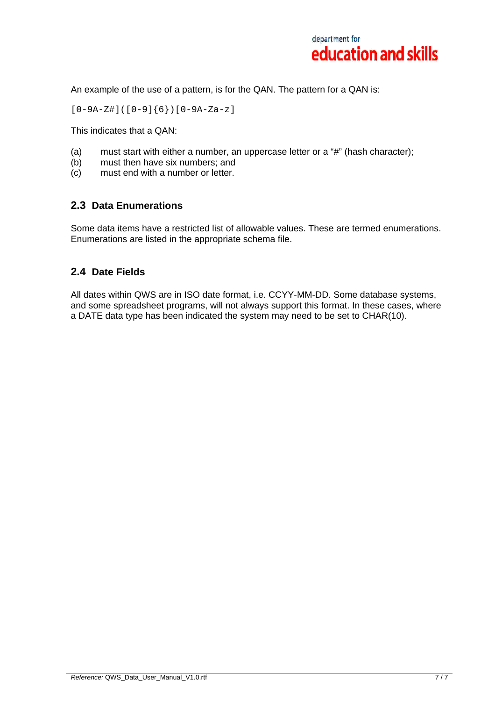

An example of the use of a pattern, is for the QAN. The pattern for a QAN is:

 $[0-9A-Z#]$  $([0-9]{6}$  $[0-9A-Za-z]$ 

This indicates that a QAN:

- (a) must start with either a number, an uppercase letter or a "#" (hash character);
- (b) must then have six numbers; and
- (c) must end with a number or letter.

## **2.3 Data Enumerations**

Some data items have a restricted list of allowable values. These are termed enumerations. Enumerations are listed in the appropriate schema file.

## **2.4 Date Fields**

All dates within QWS are in ISO date format, i.e. CCYY-MM-DD. Some database systems, and some spreadsheet programs, will not always support this format. In these cases, where a DATE data type has been indicated the system may need to be set to CHAR(10).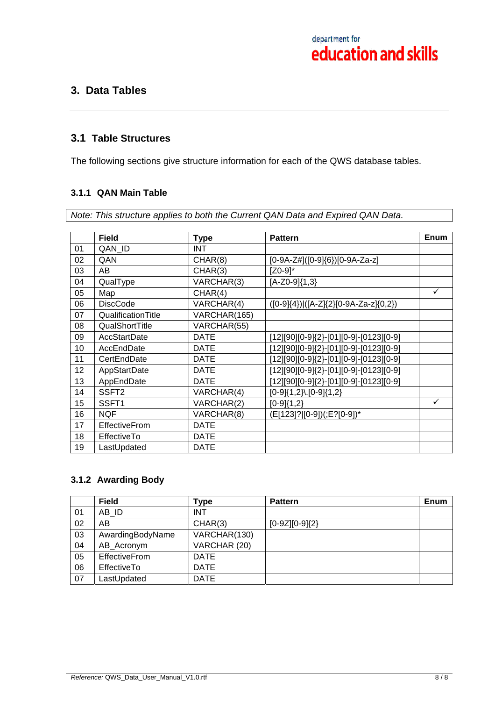## **3. Data Tables**

## **3.1 Table Structures**

The following sections give structure information for each of the QWS database tables.

## **3.1.1 QAN Main Table**

*Note: This structure applies to both the Current QAN Data and Expired QAN Data.* 

|    | <b>Field</b>         | <b>Type</b>  | <b>Pattern</b>                                  | <b>Enum</b> |
|----|----------------------|--------------|-------------------------------------------------|-------------|
| 01 | QAN_ID               | <b>INT</b>   |                                                 |             |
| 02 | QAN                  | CHAR(8)      | [0-9A-Z#]([0-9]{6})[0-9A-Za-z]                  |             |
| 03 | AB.                  | CHAR(3)      | $[Z0-9]^*$                                      |             |
| 04 | QualType             | VARCHAR(3)   | $[A-Z0-9]\{1,3\}$                               |             |
| 05 | Map                  | CHAR(4)      |                                                 | ✓           |
| 06 | <b>DiscCode</b>      | VARCHAR(4)   | $([0-9]\{4\})$ $([A-Z]\{2\}[0-9A-Za-z]\{0,2\})$ |             |
| 07 | QualificationTitle   | VARCHAR(165) |                                                 |             |
| 08 | QualShortTitle       | VARCHAR(55)  |                                                 |             |
| 09 | <b>AccStartDate</b>  | <b>DATE</b>  | $[12][90][0-9]\{2\}$ -[01][0-9]-[0123][0-9]     |             |
| 10 | AccEndDate           | <b>DATE</b>  | $[12][90][0-9]\{2\}$ -[01][0-9]-[0123][0-9]     |             |
| 11 | CertEndDate          | <b>DATE</b>  | [12][90][0-9]{2}-[01][0-9]-[0123][0-9]          |             |
| 12 | AppStartDate         | <b>DATE</b>  | [12][90][0-9]{2}-[01][0-9]-[0123][0-9]          |             |
| 13 | AppEndDate           | <b>DATE</b>  | [12][90][0-9]{2}-[01][0-9]-[0123][0-9]          |             |
| 14 | SSFT <sub>2</sub>    | VARCHAR(4)   | $[0-9]\{1,2\}$ [0-9] $\{1,2\}$                  |             |
| 15 | SSFT <sub>1</sub>    | VARCHAR(2)   | $[0-9]{1,2}$                                    | ✓           |
| 16 | <b>NQF</b>           | VARCHAR(8)   | (E[123]? [0-9])(;E?[0-9])*                      |             |
| 17 | <b>EffectiveFrom</b> | <b>DATE</b>  |                                                 |             |
| 18 | EffectiveTo          | <b>DATE</b>  |                                                 |             |
| 19 | LastUpdated          | <b>DATE</b>  |                                                 |             |

## **3.1.2 Awarding Body**

|    | <b>Field</b>       | Type         | <b>Pattern</b>   | Enum |
|----|--------------------|--------------|------------------|------|
| 01 | AB ID              | <b>INT</b>   |                  |      |
| 02 | AB                 | CHAR(3)      | $[0-9Z][0-9]{2}$ |      |
| 03 | AwardingBodyName   | VARCHAR(130) |                  |      |
| 04 | AB_Acronym         | VARCHAR (20) |                  |      |
| 05 | EffectiveFrom      | <b>DATE</b>  |                  |      |
| 06 | <b>EffectiveTo</b> | <b>DATE</b>  |                  |      |
| 07 | LastUpdated        | <b>DATE</b>  |                  |      |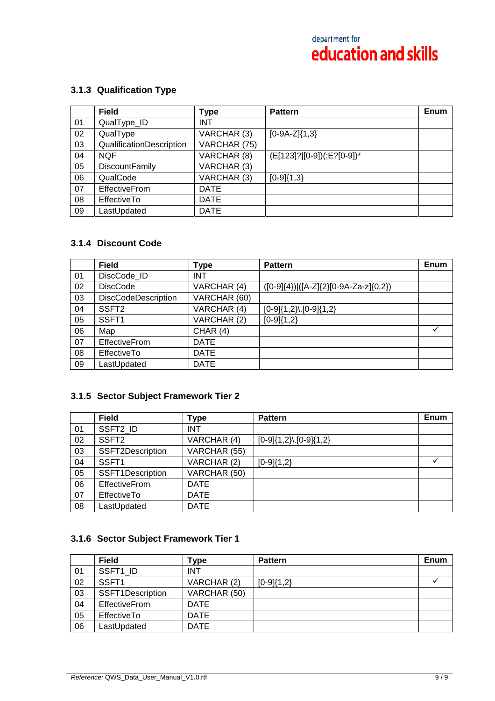## **3.1.3 Qualification Type**

|    | <b>Field</b>             | Type         | <b>Pattern</b>             | <b>Enum</b> |
|----|--------------------------|--------------|----------------------------|-------------|
| 01 | QualType_ID              | <b>INT</b>   |                            |             |
| 02 | QualType                 | VARCHAR (3)  | $[0-9A-Z]\{1,3\}$          |             |
| 03 | QualificationDescription | VARCHAR (75) |                            |             |
| 04 | <b>NQF</b>               | VARCHAR (8)  | (E[123]?][0-9])(;E?[0-9])* |             |
| 05 | <b>DiscountFamily</b>    | VARCHAR (3)  |                            |             |
| 06 | QualCode                 | VARCHAR (3)  | $[0-9]{1,3}$               |             |
| 07 | <b>EffectiveFrom</b>     | <b>DATE</b>  |                            |             |
| 08 | <b>EffectiveTo</b>       | <b>DATE</b>  |                            |             |
| 09 | LastUpdated              | <b>DATE</b>  |                            |             |

## **3.1.4 Discount Code**

|    | <b>Field</b>               | Type         | <b>Pattern</b>                                     | Enum |
|----|----------------------------|--------------|----------------------------------------------------|------|
| 01 | DiscCode_ID                | <b>INT</b>   |                                                    |      |
| 02 | <b>DiscCode</b>            | VARCHAR (4)  | $([0-9]\{4\})$  ([A-Z] $\{2\}[0-9A-Za-z]\{0,2\}$ ) |      |
| 03 | <b>DiscCodeDescription</b> | VARCHAR (60) |                                                    |      |
| 04 | SSFT <sub>2</sub>          | VARCHAR (4)  | $[0-9]\{1,2\}$ . $[0-9]\{1,2\}$                    |      |
| 05 | SSFT <sub>1</sub>          | VARCHAR (2)  | $[0-9]{1,2}$                                       |      |
| 06 | Map                        | CHAR(4)      |                                                    | ✓    |
| 07 | <b>EffectiveFrom</b>       | <b>DATE</b>  |                                                    |      |
| 08 | <b>EffectiveTo</b>         | <b>DATE</b>  |                                                    |      |
| 09 | LastUpdated                | <b>DATE</b>  |                                                    |      |

## **3.1.5 Sector Subject Framework Tier 2**

|    | <b>Field</b>         | <b>Type</b>  | <b>Pattern</b>                  | Enum |
|----|----------------------|--------------|---------------------------------|------|
| 01 | SSFT2 ID             | <b>INT</b>   |                                 |      |
| 02 | SSFT <sub>2</sub>    | VARCHAR (4)  | $[0-9]\{1,2\}$ . $[0-9]\{1,2\}$ |      |
| 03 | SSFT2Description     | VARCHAR (55) |                                 |      |
| 04 | SSFT1                | VARCHAR (2)  | $[0-9]{1,2}$                    |      |
| 05 | SSFT1Description     | VARCHAR (50) |                                 |      |
| 06 | <b>EffectiveFrom</b> | <b>DATE</b>  |                                 |      |
| 07 | EffectiveTo          | <b>DATE</b>  |                                 |      |
| 08 | LastUpdated          | <b>DATE</b>  |                                 |      |

## **3.1.6 Sector Subject Framework Tier 1**

|    | <b>Field</b>         | Type         | <b>Pattern</b> | Enum |
|----|----------------------|--------------|----------------|------|
| 01 | SSFT1 ID             | <b>INT</b>   |                |      |
| 02 | SSFT <sub>1</sub>    | VARCHAR (2)  | $[0-9]{1,2}$   |      |
| 03 | SSFT1Description     | VARCHAR (50) |                |      |
| 04 | <b>EffectiveFrom</b> | <b>DATE</b>  |                |      |
| 05 | EffectiveTo          | <b>DATE</b>  |                |      |
| 06 | LastUpdated          | <b>DATE</b>  |                |      |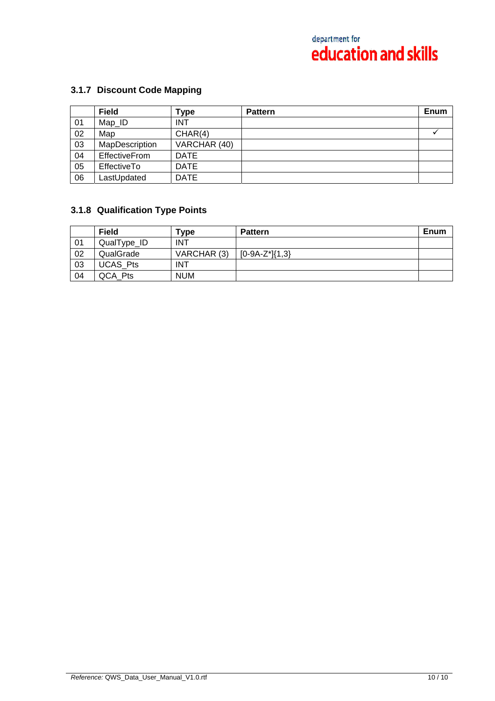# **3.1.7 Discount Code Mapping**

|    | <b>Field</b>   | Type         | <b>Pattern</b> | Enum |
|----|----------------|--------------|----------------|------|
| 01 | Map_ID         | <b>INT</b>   |                |      |
| 02 | Map            | CHAR(4)      |                |      |
| 03 | MapDescription | VARCHAR (40) |                |      |
| 04 | EffectiveFrom  | <b>DATE</b>  |                |      |
| 05 | EffectiveTo    | <b>DATE</b>  |                |      |
| 06 | LastUpdated    | <b>DATE</b>  |                |      |

## **3.1.8 Qualification Type Points**

|    | <b>Field</b>    | Type        | <b>Pattern</b>      | Enum |
|----|-----------------|-------------|---------------------|------|
| 01 | QualType_ID     | <b>INT</b>  |                     |      |
| 02 | QualGrade       | VARCHAR (3) | $[0-9A-Z^*]\{1,3\}$ |      |
| 03 | <b>UCAS Pts</b> | INT         |                     |      |
| 04 | QCA Pts         | <b>NUM</b>  |                     |      |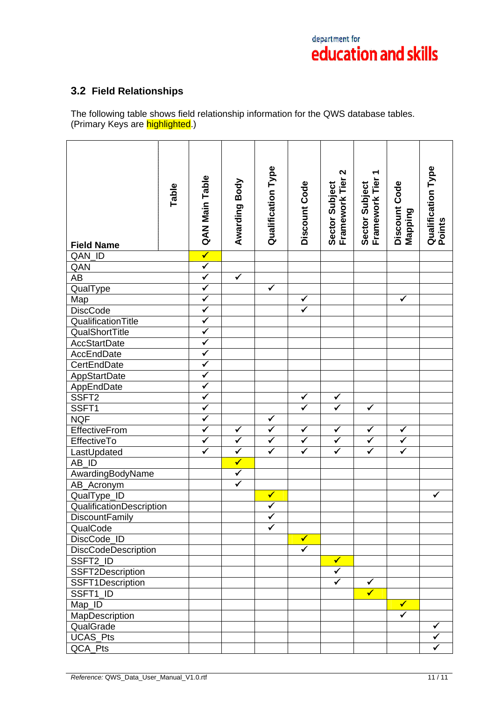# **3.2 Field Relationships**

The following table shows field relationship information for the QWS database tables. (Primary Keys are highlighted.)

| <b>Field Name</b>            | Table | QAN Main Table          | Awarding Body           | <b>Qualification Type</b> | Discount Code           | $\boldsymbol{\mathsf{N}}$<br>Sector Subject<br>Framework Tier | ٣<br>Sector Subject<br>Framework Tier | Discount Code<br>Mapping     | Qualification Type<br>Points |
|------------------------------|-------|-------------------------|-------------------------|---------------------------|-------------------------|---------------------------------------------------------------|---------------------------------------|------------------------------|------------------------------|
| QAN_ID                       |       | $\blacktriangledown$    |                         |                           |                         |                                                               |                                       |                              |                              |
| QAN                          |       | $\overline{\checkmark}$ |                         |                           |                         |                                                               |                                       |                              |                              |
| $\overline{AB}$              |       | $\blacktriangledown$    | $\blacktriangledown$    |                           |                         |                                                               |                                       |                              |                              |
| QualType                     |       | $\checkmark$            |                         | $\checkmark$              |                         |                                                               |                                       |                              |                              |
| Map                          |       | $\blacktriangledown$    |                         |                           | $\checkmark$            |                                                               |                                       | ✓                            |                              |
| <b>DiscCode</b>              |       | $\checkmark$            |                         |                           | $\overline{\checkmark}$ |                                                               |                                       |                              |                              |
| QualificationTitle           |       | $\overline{\checkmark}$ |                         |                           |                         |                                                               |                                       |                              |                              |
| QualShortTitle               |       | $\overline{\checkmark}$ |                         |                           |                         |                                                               |                                       |                              |                              |
| <b>AccStartDate</b>          |       | $\checkmark$            |                         |                           |                         |                                                               |                                       |                              |                              |
| AccEndDate                   |       | $\blacktriangledown$    |                         |                           |                         |                                                               |                                       |                              |                              |
| CertEndDate                  |       | $\checkmark$            |                         |                           |                         |                                                               |                                       |                              |                              |
| AppStartDate                 |       | $\blacktriangledown$    |                         |                           |                         |                                                               |                                       |                              |                              |
| AppEndDate<br>SSFT2          |       | $\overline{\checkmark}$ |                         |                           |                         |                                                               |                                       |                              |                              |
|                              |       | $\overline{\checkmark}$ |                         |                           | $\blacktriangledown$    | $\checkmark$                                                  |                                       |                              |                              |
| SSFT1                        |       | $\blacktriangledown$    |                         |                           | $\overline{\checkmark}$ | $\overline{\checkmark}$                                       | $\checkmark$                          |                              |                              |
| <b>NQF</b>                   |       | $\overline{\checkmark}$ |                         | $\checkmark$              |                         |                                                               |                                       |                              |                              |
| EffectiveFrom                |       | $\checkmark$            | $\checkmark$            | $\overline{\checkmark}$   | $\checkmark$            | $\checkmark$                                                  | $\checkmark$                          | $\checkmark$                 |                              |
| EffectiveTo                  |       | $\overline{\checkmark}$ | $\blacktriangledown$    | $\overline{\checkmark}$   | $\overline{\checkmark}$ | $\overline{\checkmark}$                                       | $\blacktriangledown$                  | $\overline{\checkmark}$      |                              |
| LastUpdated                  |       | $\blacktriangledown$    | $\blacktriangledown$    | $\overline{\checkmark}$   | $\overline{\checkmark}$ | $\overline{\checkmark}$                                       | $\blacktriangledown$                  | $\overline{\checkmark}$      |                              |
| $AB$ <sub>_</sub> $ID$       |       |                         | $\overline{\checkmark}$ |                           |                         |                                                               |                                       |                              |                              |
| AwardingBodyName             |       |                         | $\overline{\checkmark}$ |                           |                         |                                                               |                                       |                              |                              |
| AB_Acronym                   |       |                         | $\checkmark$            |                           |                         |                                                               |                                       |                              |                              |
| QualType_ID                  |       |                         |                         | $\checkmark$              |                         |                                                               |                                       |                              | $\checkmark$                 |
| QualificationDescription     |       |                         |                         | $\overline{\checkmark}$   |                         |                                                               |                                       |                              |                              |
| <b>DiscountFamily</b>        |       |                         |                         | $\checkmark$              |                         |                                                               |                                       |                              |                              |
| QualCode                     |       |                         |                         | ✓                         |                         |                                                               |                                       |                              |                              |
| DiscCode_ID                  |       |                         |                         |                           | $\checkmark$            |                                                               |                                       |                              |                              |
| DiscCodeDescription          |       |                         |                         |                           | $\checkmark$            |                                                               |                                       |                              |                              |
| SSFT2_ID                     |       |                         |                         |                           |                         | $\checkmark$                                                  |                                       |                              |                              |
| SSFT2Description             |       |                         |                         |                           |                         | $\checkmark$<br>$\checkmark$                                  | $\checkmark$                          |                              |                              |
| SSFT1Description<br>SSFT1_ID |       |                         |                         |                           |                         |                                                               | $\overline{\checkmark}$               |                              |                              |
|                              |       |                         |                         |                           |                         |                                                               |                                       |                              |                              |
| Map_ID                       |       |                         |                         |                           |                         |                                                               |                                       | $\checkmark$<br>$\checkmark$ |                              |
| MapDescription               |       |                         |                         |                           |                         |                                                               |                                       |                              | $\checkmark$                 |
| QualGrade                    |       |                         |                         |                           |                         |                                                               |                                       |                              |                              |
| <b>UCAS_Pts</b>              |       |                         |                         |                           |                         |                                                               |                                       |                              |                              |
| QCA_Pts                      |       |                         |                         |                           |                         |                                                               |                                       |                              |                              |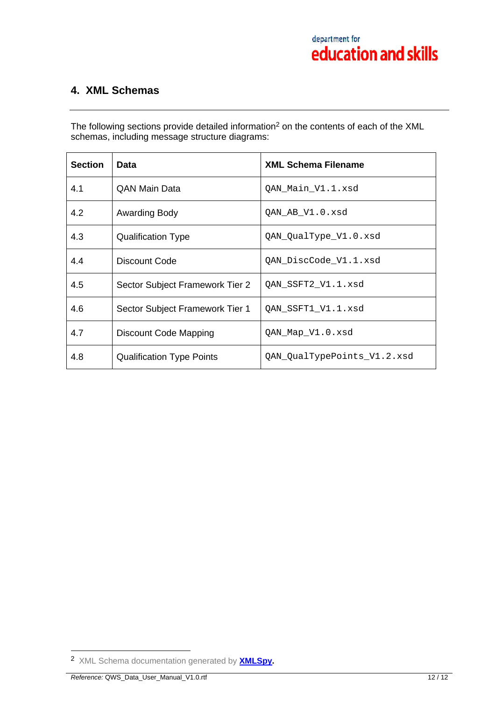## **4. XML Schemas**

The following sections provide detailed information<sup>2</sup> on the contents of each of the XML schemas, including message structure diagrams:

| <b>Section</b> | Data                             | <b>XML Schema Filename</b>  |
|----------------|----------------------------------|-----------------------------|
| 4.1            | <b>QAN Main Data</b>             | QAN_Main_V1.1.xsd           |
| 4.2            | Awarding Body                    | QAN_AB_V1.0.xsd             |
| 4.3            | <b>Qualification Type</b>        | QAN_QualType_V1.0.xsd       |
| 4.4            | Discount Code                    | QAN_DiscCode_V1.1.xsd       |
| 4.5            | Sector Subject Framework Tier 2  | QAN_SSFT2_V1.1.xsd          |
| 4.6            | Sector Subject Framework Tier 1  | QAN_SSFT1_V1.1.xsd          |
| 4.7            | Discount Code Mapping            | QAN_Map_V1.0.xsd            |
| 4.8            | <b>Qualification Type Points</b> | QAN_QualTypePoints_V1.2.xsd |

 $\overline{a}$ 

<sup>2</sup> XML Schema documentation generated by **XMLSpy.**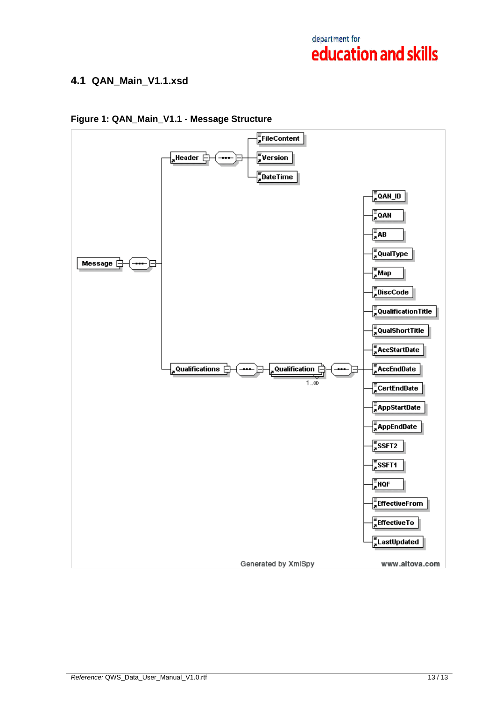## **4.1 QAN\_Main\_V1.1.xsd**



## **Figure 1: QAN\_Main\_V1.1 - Message Structure**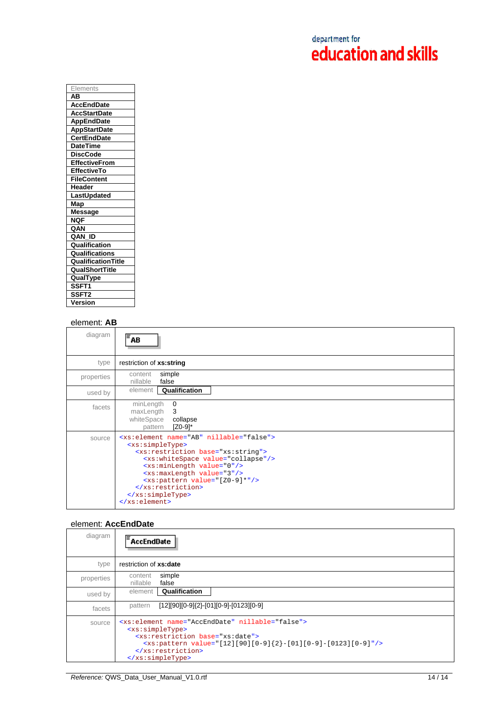| Elements<br>ΑВ<br><b>AccEndDate</b><br><b>AccStartDate</b> |
|------------------------------------------------------------|
|                                                            |
|                                                            |
|                                                            |
| <b>AppEndDate</b>                                          |
| <b>AppStartDate</b>                                        |
| <b>CertEndDate</b>                                         |
| <b>DateTime</b>                                            |
| <b>DiscCode</b>                                            |
| <b>EffectiveFrom</b>                                       |
| <b>EffectiveTo</b>                                         |
| <b>FileContent</b>                                         |
| Header                                                     |
| LastUpdated                                                |
| Map                                                        |
| Message                                                    |
| <b>NQF</b>                                                 |
| QAN                                                        |
| QAN ID                                                     |
| Qualification                                              |
| Qualifications                                             |
| <b>Qualification Title</b>                                 |
| <b>QualShortTitle</b>                                      |
| QualType                                                   |
| SSFT1                                                      |
| SSFT2                                                      |
| Version                                                    |

## element: **AB**

| diagram    | $\bar{=}$ AB                                                                                                                                                                                                                                                                                                                                                                                                        |
|------------|---------------------------------------------------------------------------------------------------------------------------------------------------------------------------------------------------------------------------------------------------------------------------------------------------------------------------------------------------------------------------------------------------------------------|
| type       | restriction of xs:string                                                                                                                                                                                                                                                                                                                                                                                            |
| properties | simple<br>content<br>nillable<br>false                                                                                                                                                                                                                                                                                                                                                                              |
| used by    | element<br>Qualification                                                                                                                                                                                                                                                                                                                                                                                            |
| facets     | minLength<br>0<br>maxLength<br>3<br>whiteSpace<br>collapse<br>$[Z0-9]^*$<br>pattern                                                                                                                                                                                                                                                                                                                                 |
| source     | <xs:element name="AB" nillable="false"><br/><xs:simpletype><br/><xs:restriction base="xs:string"><br/><xs:whitespace value="collapse"></xs:whitespace><br/><xs:minlength value="0"></xs:minlength><br/><xs:maxlength value="3"></xs:maxlength><br/><math>\langle xs:pattern value=' [Z0-9]*" / \rangle</math><br/></xs:restriction><br/></xs:simpletype><br/><math>\langle xs : element \rangle</math></xs:element> |

### element: **AccEndDate**

| diagram    | <b>AccEndDate</b>                                                                                                                                                                                                                            |
|------------|----------------------------------------------------------------------------------------------------------------------------------------------------------------------------------------------------------------------------------------------|
| type       | restriction of xs:date                                                                                                                                                                                                                       |
| properties | simple<br>content<br>nillable<br>false                                                                                                                                                                                                       |
| used by    | Qualification<br>element                                                                                                                                                                                                                     |
| facets     | $[12][90][0-9]\{2\}$ -[01][0-9]-[0123][0-9]<br>pattern                                                                                                                                                                                       |
| source     | <xs:element name="AccEndDate" nillable="false"><br/><xs:simpletype><br/><xs:restriction base="xs:date"><br/><xs:pattern value="[12][90][0-9]{2}-[01][0-9]-[0123][0-9]"></xs:pattern><br/></xs:restriction><br/></xs:simpletype></xs:element> |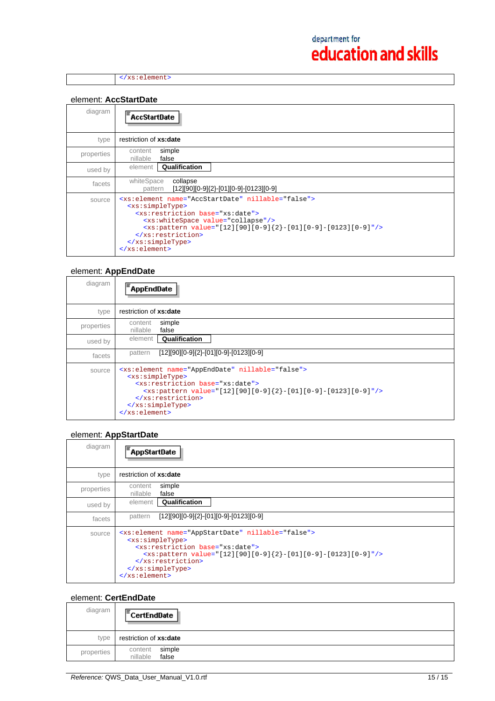</xs:element>

### element: **AccStartDate**

| diagram    | <b>AccStartDate</b>                                                                                                                                                                                                                                                                                                                                                    |
|------------|------------------------------------------------------------------------------------------------------------------------------------------------------------------------------------------------------------------------------------------------------------------------------------------------------------------------------------------------------------------------|
| type       | restriction of xs:date                                                                                                                                                                                                                                                                                                                                                 |
| properties | simple<br>content<br>nillable<br>false                                                                                                                                                                                                                                                                                                                                 |
| used by    | Qualification<br>element                                                                                                                                                                                                                                                                                                                                               |
| facets     | whiteSpace<br>collapse<br>[12][90][0-9]{2}-[01][0-9]-[0123][0-9]<br>pattern                                                                                                                                                                                                                                                                                            |
| source     | <xs:element name="AccStartDate" nillable="false"><br/><xs:simpletype><br/><xs:restriction base="xs:date"><br/><xs:whitespace value="collapse"></xs:whitespace><br/><math>\langle x s :</math>pattern value="[12][90][0-9]{2}-[01][0-9]-[0123][0-9]"/&gt;<br/></xs:restriction><br/></xs:simpletype><br/><math>\langle x s : \text{element} \rangle</math></xs:element> |

## element: **AppEndDate**

| diagram    | <b>AppEndDate</b>                                                                                                                                                                                                                                                                                  |
|------------|----------------------------------------------------------------------------------------------------------------------------------------------------------------------------------------------------------------------------------------------------------------------------------------------------|
| type       | restriction of xs:date                                                                                                                                                                                                                                                                             |
| properties | simple<br>content<br>nillable<br>false                                                                                                                                                                                                                                                             |
| used by    | Qualification<br>element                                                                                                                                                                                                                                                                           |
| facets     | $[12][90][0-9]{2}$ - $[01][0-9]$ - $[0123][0-9]$<br>pattern                                                                                                                                                                                                                                        |
| source     | <xs:element name="AppEndDate" nillable="false"><br/><xs:simpletype><br/><xs:restriction base="xs:date"><br/><xs:pattern value="[12][90][0-9]{2}-[01][0-9]-[0123][0-9]"></xs:pattern><br/></xs:restriction><br/></xs:simpletype><br/><math>\langle x s : \text{element} \rangle</math></xs:element> |

## element: **AppStartDate**

| diagram    | <b>AppStartDate</b>                                                                                                                                                                                                                                                                          |
|------------|----------------------------------------------------------------------------------------------------------------------------------------------------------------------------------------------------------------------------------------------------------------------------------------------|
| type       | restriction of xs:date                                                                                                                                                                                                                                                                       |
| properties | simple<br>content<br>nillable<br>false                                                                                                                                                                                                                                                       |
| used by    | Qualification<br>element                                                                                                                                                                                                                                                                     |
| facets     | [12][90][0-9]{2}-[01][0-9]-[0123][0-9]<br>pattern                                                                                                                                                                                                                                            |
| source     | <xs:element name="AppStartDate" nillable="false"><br/><xs:simpletype><br/><xs:restriction base="xs:date"><br/><xs:pattern value="[12][90][0-9]{2}-[01][0-9]-[0123][0-9]"></xs:pattern><br/></xs:restriction><br/></xs:simpletype><br/><math>\langle xs : element \rangle</math></xs:element> |

## element: **CertEndDate**

| diagram    | $E$ CertEndDate                        |
|------------|----------------------------------------|
| type       | restriction of xs:date                 |
| properties | simple<br>content<br>false<br>nillable |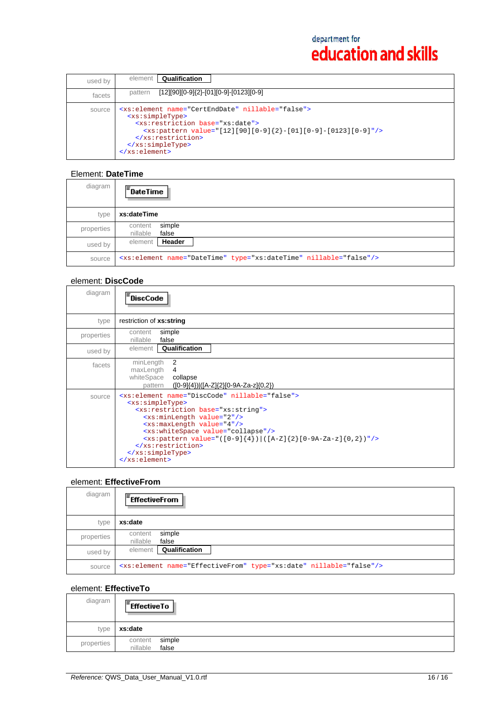| used by | Qualification<br>element                                                                                                                                                                                                                                                                                                                                                                        |
|---------|-------------------------------------------------------------------------------------------------------------------------------------------------------------------------------------------------------------------------------------------------------------------------------------------------------------------------------------------------------------------------------------------------|
| facets  | $[12][90][0-9]{2}$ -[01][0-9]-[0123][0-9]<br>pattern                                                                                                                                                                                                                                                                                                                                            |
| source  | <xs:element_name="certenddate"_nillable="false"><br/><xs:simpletype><br/><xs:restriction base="xs:date"><br/><math>\langle x \cdot x :</math>pattern value="[12][90][0-9]{2}-[01][0-9]-[0123][0-9]"/&gt;<br/></xs:restriction><br/><math>\langle x s : simpleType \rangle</math><br/><math>\langle xs : element \rangle</math></xs:simpletype></xs:element_name="certenddate"_nillable="false"> |

## Element: **DateTime**

| diagram    | $\overline{=}$ DateTime                                                       |
|------------|-------------------------------------------------------------------------------|
| type       | xs:dateTime                                                                   |
| properties | simple<br>content<br>nillable<br>false                                        |
| used by    | Header<br>element                                                             |
| source     | <xs:element name="DateTime" nillable="false" type="xs:dateTime"></xs:element> |

## element: **DiscCode**

| diagram    | <b>DiscCode</b>                                                                                                                                                                                                                                                                                                                                                                                                                                |
|------------|------------------------------------------------------------------------------------------------------------------------------------------------------------------------------------------------------------------------------------------------------------------------------------------------------------------------------------------------------------------------------------------------------------------------------------------------|
| type       | restriction of xs:string                                                                                                                                                                                                                                                                                                                                                                                                                       |
| properties | simple<br>content<br>false<br>nillable                                                                                                                                                                                                                                                                                                                                                                                                         |
| used by    | element<br>Qualification                                                                                                                                                                                                                                                                                                                                                                                                                       |
| facets     | -2<br>minLength<br>maxLength<br>4<br>whiteSpace<br>collapse<br>([0-9]{4}) ([A-Z]{2}[0-9A-Za-z]{0,2})<br>pattern                                                                                                                                                                                                                                                                                                                                |
| source     | <xs:element name="DiscCode" nillable="false"><br/><xs:simpletype><br/><xs:restriction base="xs:string"><br/><xs:minlength value="2"></xs:minlength><br/><xs:maxlength value="4"></xs:maxlength><br/><xs:whitespace value="collapse"></xs:whitespace><br/><xs:pattern value="([0-9]{4}) ([A-Z]{2}[0-9A-Za-z]{0,2})"></xs:pattern><br/></xs:restriction><br/></xs:simpletype><br/><math>\langle x s : \text{element} \rangle</math></xs:element> |

## element: **EffectiveFrom**

| diagram    | $F$ EffectiveFrom                                                              |
|------------|--------------------------------------------------------------------------------|
| type       | xs:date                                                                        |
| properties | simple<br>content<br>nillable<br>false                                         |
| used by    | Qualification<br>element                                                       |
| source     | <xs:element name="EffectiveFrom" nillable="false" type="xs:date"></xs:element> |

## element: **EffectiveTo**

| diagram    | $F$ Effective To                       |
|------------|----------------------------------------|
| type       | xs:date                                |
| properties | simple<br>content<br>false<br>nillable |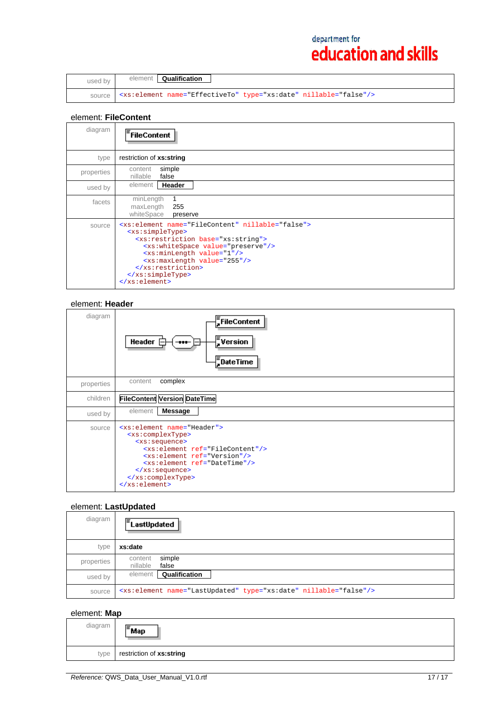| used by | element <b>Qualification</b>                                                        |
|---------|-------------------------------------------------------------------------------------|
|         | source   <xs: element="" name="EffectiveTo" nillable="false" type="xs: date"></xs:> |

### element: **FileContent**

| diagram    | FileContent                                                                                                                                                                                                                                                                                                                                                             |
|------------|-------------------------------------------------------------------------------------------------------------------------------------------------------------------------------------------------------------------------------------------------------------------------------------------------------------------------------------------------------------------------|
| type       | restriction of xs:string                                                                                                                                                                                                                                                                                                                                                |
| properties | simple<br>content<br>nillable<br>false                                                                                                                                                                                                                                                                                                                                  |
| used by    | Header<br>element                                                                                                                                                                                                                                                                                                                                                       |
| facets     | minLength<br>maxLength<br>255<br>whiteSpace<br>preserve                                                                                                                                                                                                                                                                                                                 |
| source     | <xs:element name="FileContent" nillable="false"><br/><xs:simpletype><br/><xs:restriction base="xs:string"><br/><xs:whitespace value="preserve"></xs:whitespace><br/><xs:minlength value="1"></xs:minlength><br/><xs:maxlength value="255"></xs:maxlength><br/></xs:restriction><br/></xs:simpletype><br/><math>\langle x s : \text{element} \rangle</math></xs:element> |

#### element: **Header**

| diagram    | $\frac{1}{2}$ FileContent<br>$\sqrt{\frac{2}{3}}$ Version<br>Header $\mathsf{F}$<br>$\bf{H}$<br>$\frac{1}{2}$ DateTime                                                                                                                                                                                                                                                  |
|------------|-------------------------------------------------------------------------------------------------------------------------------------------------------------------------------------------------------------------------------------------------------------------------------------------------------------------------------------------------------------------------|
| properties | complex<br>content                                                                                                                                                                                                                                                                                                                                                      |
| children   | <b>FileContent Version DateTime</b>                                                                                                                                                                                                                                                                                                                                     |
| used by    | element<br><b>Message</b>                                                                                                                                                                                                                                                                                                                                               |
| source     | <xs:element name="Header"><br/><xs:complextype><br/><xs:sequence><br/><xs:element ref="FileContent"></xs:element><br/><xs:element ref="Version"></xs:element><br/><xs:element ref="DateTime"></xs:element><br/><math>\langle xs : \text{sequence} \rangle</math><br/></xs:sequence></xs:complextype><br/><math>\langle x s : \text{element} \rangle</math></xs:element> |

## element: **LastUpdated**

| diagram    | <b>LastUpdated</b>                                                           |
|------------|------------------------------------------------------------------------------|
| type       | xs:date                                                                      |
| properties | simple<br>content<br>nillable<br>false                                       |
| used by    | Qualification<br>element                                                     |
| source     | <xs:element name="LastUpdated" nillable="false" type="xs:date"></xs:element> |

## element: **Map**

| diagram | ∣ <sup>≡</sup> Map       |
|---------|--------------------------|
| type    | restriction of xs:string |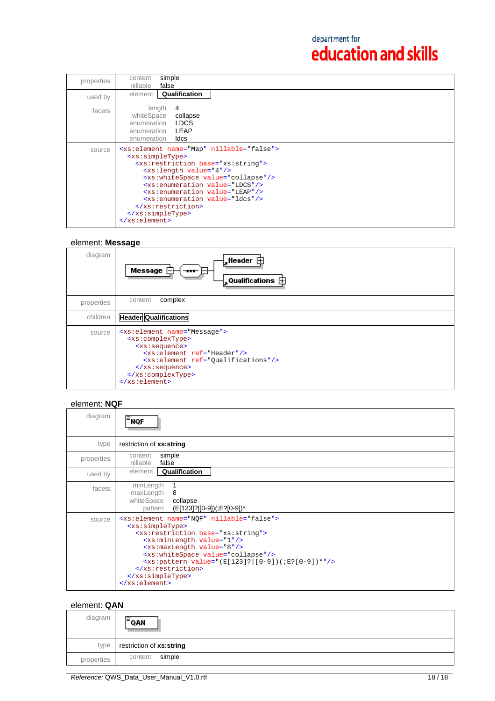| properties | simple<br>content<br>nillable<br>false                                                                                                                                                                                                                                                                                                                                                                                                                                              |
|------------|-------------------------------------------------------------------------------------------------------------------------------------------------------------------------------------------------------------------------------------------------------------------------------------------------------------------------------------------------------------------------------------------------------------------------------------------------------------------------------------|
| used by    | Qualification<br>element                                                                                                                                                                                                                                                                                                                                                                                                                                                            |
| facets     | length<br>4<br>whiteSpace<br>collapse<br>enumeration <b>LDCS</b><br>enumeration <b>LEAP</b><br>ldcs<br>enumeration                                                                                                                                                                                                                                                                                                                                                                  |
| source     | <xs:element name="Map" nillable="false"><br/><xs:simpletype><br/><xs:restriction base="xs:string"><br/><math>\langle xs:length value='4" \rangle</math><br/><xs:whitespace value="collapse"></xs:whitespace><br/><xs:enumeration value="LDCS"></xs:enumeration><br/><xs:enumeration value="LEAP"></xs:enumeration><br/><xs:enumeration value="ldcs"></xs:enumeration><br/></xs:restriction><br/></xs:simpletype><br/><math>\langle x s : \text{element} \rangle</math></xs:element> |

## element: **Message**

| diagram    | $\frac{1}{2}$ Header $\frac{1}{2}$<br>Message<br>$-$<br>$\frac{1}{2}$ Qualifications $\dot{\boxplus}$                                                                                                                                                                                                                 |
|------------|-----------------------------------------------------------------------------------------------------------------------------------------------------------------------------------------------------------------------------------------------------------------------------------------------------------------------|
| properties | complex<br>content                                                                                                                                                                                                                                                                                                    |
| children   | <b>Header Qualifications</b>                                                                                                                                                                                                                                                                                          |
| source     | <xs:element name="Message"><br/><xs:complextype><br/><xs:sequence><br/><xs:element ref="Header"></xs:element><br/><xs:element ref="Qualifications"></xs:element><br/><math>\langle xs : \text{sequence} \rangle</math><br/></xs:sequence></xs:complextype><br/><math>\langle xs : element \rangle</math></xs:element> |

## element: **NQF**

| diagram    | FNQF                                                                                                                                                                                                                                                                                                                                                                                                                   |
|------------|------------------------------------------------------------------------------------------------------------------------------------------------------------------------------------------------------------------------------------------------------------------------------------------------------------------------------------------------------------------------------------------------------------------------|
| type       | restriction of xs:string                                                                                                                                                                                                                                                                                                                                                                                               |
| properties | simple<br>content<br>false<br>nillable                                                                                                                                                                                                                                                                                                                                                                                 |
| used by    | Qualification<br>element                                                                                                                                                                                                                                                                                                                                                                                               |
| facets     | minLength<br>maxLength<br>- 8<br>whiteSpace<br>collapse<br>(E[123]?][0-9])(;E?[0-9])*<br>pattern                                                                                                                                                                                                                                                                                                                       |
| source     | <xs:element name="NOF" nillable="false"><br/><xs:simpletype><br/><xs:restriction base="xs:string"><br/><xs:minlength value="1"></xs:minlength><br/><xs:maxlength value="8"></xs:maxlength><br/><xs:whitespace value="collapse"></xs:whitespace><br/><xs:pattern value="(E[123]? [0-9])(;E?[0-9])*"></xs:pattern><br/></xs:restriction><br/></xs:simpletype><br/><math>\langle xs : element \rangle</math></xs:element> |

## element: **QAN**

| diagram    | E<br>QAN                 |
|------------|--------------------------|
| type       | restriction of xs:string |
| properties | simple<br>content        |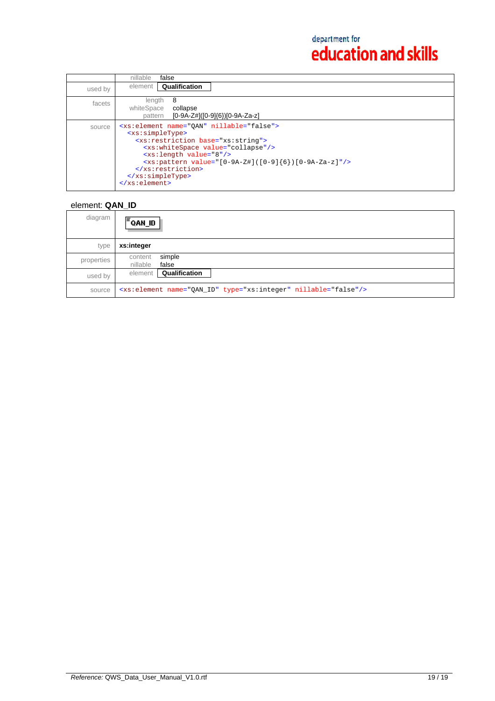|         | nillable<br>false                                                                                                                                                                                                                                                                                                                                                                                                                        |
|---------|------------------------------------------------------------------------------------------------------------------------------------------------------------------------------------------------------------------------------------------------------------------------------------------------------------------------------------------------------------------------------------------------------------------------------------------|
| used by | Qualification<br>element                                                                                                                                                                                                                                                                                                                                                                                                                 |
| facets  | 8<br>length<br>whiteSpace<br>collapse<br>$[0-9A-Z#](0-9)(6)$ $[0-9A-Za-z]$<br>pattern                                                                                                                                                                                                                                                                                                                                                    |
| source  | <xs:element name="OAN" nillable="false"><br/><xs:simpletype><br/><xs: base="xs: string" restriction=""><br/><xs:whitespace value="collapse"></xs:whitespace><br/><xs:length value="8"></xs:length><br/><math>\langle xs:pattern value=' [0-9A-Z]]([0-9]{6}) [0-9A-Za-z]*/ \rangle</math><br/><br/><math>\langle x s : simpleType \rangle</math><br/><math>\langle x s : \text{element} \rangle</math></xs:></xs:simpletype></xs:element> |

## element: **QAN\_ID**

| diagram    | lΞ<br>OL MAO.                                                              |
|------------|----------------------------------------------------------------------------|
| type       | xs:integer                                                                 |
| properties | simple<br>content<br>nillable<br>false                                     |
| used by    | <b>Qualification</b><br>element                                            |
| source     | <xs:element name="QAN_ID" nillable="false" type="xs:integer"></xs:element> |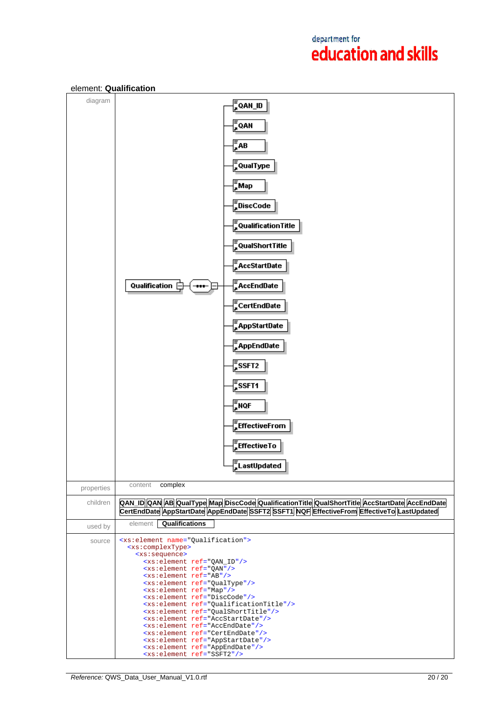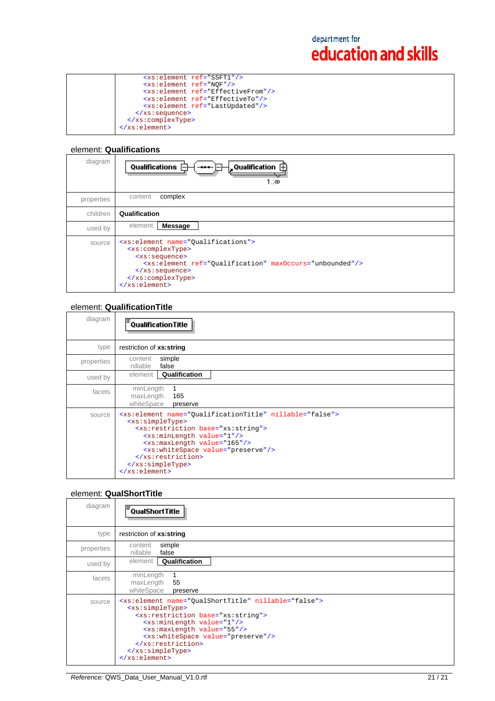| <xs:element ref="SSFT1"></xs:element>         |
|-----------------------------------------------|
| <xs:element ref="NOF"></xs:element>           |
| <xs:element ref="EffectiveFrom"></xs:element> |
| <xs:element ref="EffectiveTo"></xs:element>   |
| <xs:element ref="LastUpdated"></xs:element>   |
| $\langle xs : \text{sequence} \rangle$        |
|                                               |
|                                               |
|                                               |

### element: **Qualifications**

| diagram    | $\frac{1}{2}$ Qualification $\overline{11}$<br>Qualifications [<br>1…∞                                                                                                                                                                                                                                         |
|------------|----------------------------------------------------------------------------------------------------------------------------------------------------------------------------------------------------------------------------------------------------------------------------------------------------------------|
| properties | complex<br>content                                                                                                                                                                                                                                                                                             |
| children   | Qualification                                                                                                                                                                                                                                                                                                  |
| used by    | element<br><b>Message</b>                                                                                                                                                                                                                                                                                      |
| source     | <xs:element name="Qualifications"><br/><xs:complextype><br/><xs:sequence><br/><xs:element max0ccurs="unbounded" ref="0ualification"></xs:element><br/><math>\langle xs : \text{sequence} \rangle</math><br/></xs:sequence></xs:complextype><br/><math>\langle x s : \text{element} \rangle</math></xs:element> |

## element: **QualificationTitle**

| diagram    | <b>QualificationTitle</b>                                                                                                                                                                                                                                                                                                                                                      |
|------------|--------------------------------------------------------------------------------------------------------------------------------------------------------------------------------------------------------------------------------------------------------------------------------------------------------------------------------------------------------------------------------|
| type       | restriction of xs:string                                                                                                                                                                                                                                                                                                                                                       |
| properties | simple<br>content<br>nillable<br>false                                                                                                                                                                                                                                                                                                                                         |
| used by    | Qualification<br>element                                                                                                                                                                                                                                                                                                                                                       |
| facets     | minLength<br>maxLength<br>165<br>whiteSpace<br>preserve                                                                                                                                                                                                                                                                                                                        |
| source     | <xs:element name="QualificationTitle" nillable="false"><br/><xs:simpletype><br/><xs:restriction base="xs:string"><br/><xs:minlength value="1"></xs:minlength><br/><xs:maxlength value="165"></xs:maxlength><br/><xs:whitespace value="preserve"></xs:whitespace><br/></xs:restriction><br/></xs:simpletype><br/><math>\langle x s : \text{element} \rangle</math></xs:element> |

## element: **QualShortTitle**

| diagram    | <sup>:</sup> QualShortTitle                                                                                                                                                                                                                                                                                                                                               |
|------------|---------------------------------------------------------------------------------------------------------------------------------------------------------------------------------------------------------------------------------------------------------------------------------------------------------------------------------------------------------------------------|
| type       | restriction of xs:string                                                                                                                                                                                                                                                                                                                                                  |
| properties | simple<br>content<br>false<br>nillable                                                                                                                                                                                                                                                                                                                                    |
| used by    | Qualification<br>element                                                                                                                                                                                                                                                                                                                                                  |
| facets     | minLength<br>maxLength<br>55<br>whiteSpace<br>preserve                                                                                                                                                                                                                                                                                                                    |
| source     | <xs:element name="QualShortTitle" nillable="false"><br/><xs:simpletype><br/><xs:restriction base="xs:string"><br/><xs:minlength value="1"></xs:minlength><br/><xs:maxlength value="55"></xs:maxlength><br/><xs:whitespace value="preserve"></xs:whitespace><br/></xs:restriction><br/></xs:simpletype><br/><math>\langle x s : \text{element} \rangle</math></xs:element> |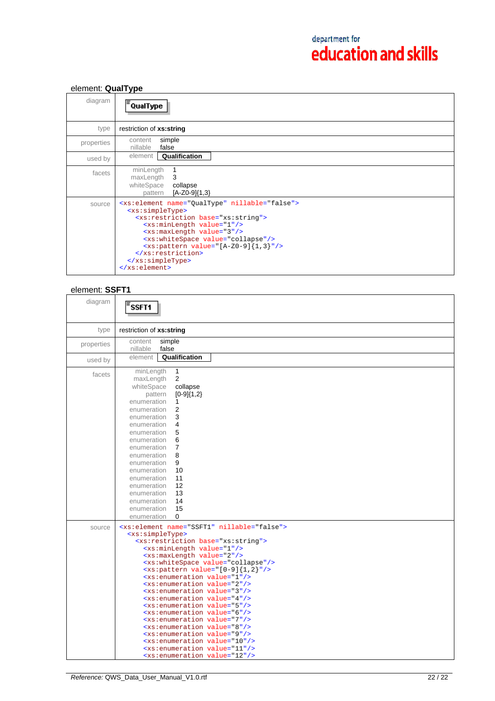## element: **QualType**

| diagram    | <sup>:</sup> QualType                                                                                                                                                                                                                                                                                                                                                                                                 |
|------------|-----------------------------------------------------------------------------------------------------------------------------------------------------------------------------------------------------------------------------------------------------------------------------------------------------------------------------------------------------------------------------------------------------------------------|
| type       | restriction of xs:string                                                                                                                                                                                                                                                                                                                                                                                              |
| properties | simple<br>content<br>nillable<br>false                                                                                                                                                                                                                                                                                                                                                                                |
| used by    | Qualification<br>element                                                                                                                                                                                                                                                                                                                                                                                              |
| facets     | minLength<br>1<br>maxLength<br>3<br>whiteSpace<br>collapse<br>$[A-Z0-9]{1,3}$<br>pattern                                                                                                                                                                                                                                                                                                                              |
| source     | <xs:element name="QualType" nillable="false"><br/><xs:simpletype><br/><xs:restriction base="xs:string"><br/><xs:minlength value="1"></xs:minlength><br/><xs:maxlength value="3"></xs:maxlength><br/><xs:whitespace value="collapse"></xs:whitespace><br/><math>&lt;xs:pattern value="[A-Z0-9]{1,3}"/&gt;</math><br/></xs:restriction><br/></xs:simpletype><br/><math>\langle xs : element \rangle</math></xs:element> |

## element: **SSFT1**

| diagram    | F <sub>SSFT1</sub>                                                                                                                                                                                                                                                                                                                                                                                                                                                                                                                                                                                                                                                                                                                                                                                                                                                                                                                                                     |
|------------|------------------------------------------------------------------------------------------------------------------------------------------------------------------------------------------------------------------------------------------------------------------------------------------------------------------------------------------------------------------------------------------------------------------------------------------------------------------------------------------------------------------------------------------------------------------------------------------------------------------------------------------------------------------------------------------------------------------------------------------------------------------------------------------------------------------------------------------------------------------------------------------------------------------------------------------------------------------------|
| type       | restriction of xs:string                                                                                                                                                                                                                                                                                                                                                                                                                                                                                                                                                                                                                                                                                                                                                                                                                                                                                                                                               |
| properties | simple<br>content<br>false<br>nillable                                                                                                                                                                                                                                                                                                                                                                                                                                                                                                                                                                                                                                                                                                                                                                                                                                                                                                                                 |
| used by    | Qualification<br>element                                                                                                                                                                                                                                                                                                                                                                                                                                                                                                                                                                                                                                                                                                                                                                                                                                                                                                                                               |
| facets     | $\mathbf{1}$<br>minLength<br>$\overline{2}$<br>maxLength<br>whiteSpace<br>collapse<br>$[0-9]{1,2}$<br>pattern<br>enumeration<br>$\mathbf{1}$<br>2<br>enumeration<br>enumeration<br>3<br>enumeration<br>4<br>5<br>enumeration<br>6<br>enumeration<br>enumeration<br>7<br>8<br>enumeration<br>9<br>enumeration<br>enumeration<br>10<br>enumeration<br>11<br>12<br>enumeration<br>13<br>enumeration<br>14<br>enumeration<br>15<br>enumeration<br>enumeration<br>$\Omega$                                                                                                                                                                                                                                                                                                                                                                                                                                                                                                  |
| source     | <xs:element name="SSFT1" nillable="false"><br/><xs:simpletype><br/><xs:restriction base="xs:string"><br/><xs:minlength value="1"></xs:minlength><br/><xs:maxlength value="2"></xs:maxlength><br/><xs:whitespace value="collapse"></xs:whitespace><br/><math>\langle xs:pattern value=' [0-9] \{1,2\} " \rangle</math><br/><xs:enumeration value="1"></xs:enumeration><br/><xs:enumeration value="2"></xs:enumeration><br/><xs:enumeration value="3"></xs:enumeration><br/><xs:enumeration value="4"></xs:enumeration><br/><xs:enumeration value="5"></xs:enumeration><br/><xs:enumeration value="6"></xs:enumeration><br/><xs:enumeration value="7"></xs:enumeration><br/><xs:enumeration value="8"></xs:enumeration><br/><xs:enumeration value="9"></xs:enumeration><br/><xs:enumeration value="10"></xs:enumeration><br/><xs:enumeration value="11"></xs:enumeration><br/><xs:enumeration value="12"></xs:enumeration></xs:restriction></xs:simpletype></xs:element> |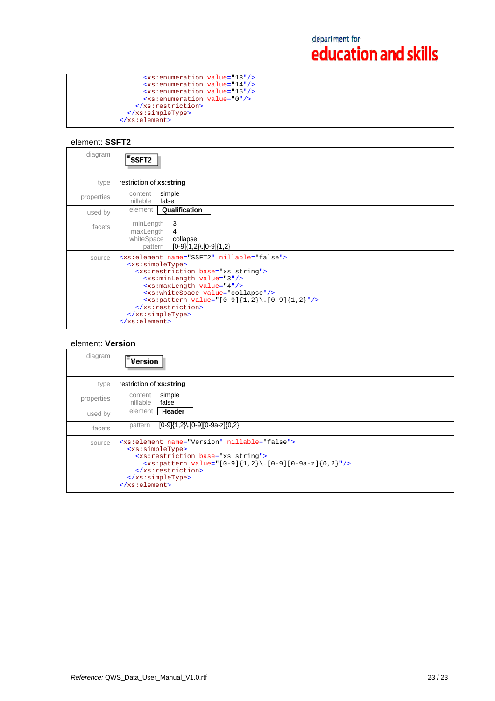| <xs:enumeration value="13"></xs:enumeration> |  |
|----------------------------------------------|--|
| <xs:enumeration value="14"></xs:enumeration> |  |
| <xs:enumeration value="15"></xs:enumeration> |  |
| <xs:enumeration value="0"></xs:enumeration>  |  |
|                                              |  |
|                                              |  |
|                                              |  |
|                                              |  |

## element: **SSFT2**

| diagram    | SSFT2                                                                                                                                                                                                                                                                                                                                                                                                                                      |
|------------|--------------------------------------------------------------------------------------------------------------------------------------------------------------------------------------------------------------------------------------------------------------------------------------------------------------------------------------------------------------------------------------------------------------------------------------------|
| type       | restriction of xs:string                                                                                                                                                                                                                                                                                                                                                                                                                   |
| properties | simple<br>content<br>nillable<br>false                                                                                                                                                                                                                                                                                                                                                                                                     |
| used by    | Qualification<br>element                                                                                                                                                                                                                                                                                                                                                                                                                   |
| facets     | 3<br>minLength<br>maxLength<br>4<br>whiteSpace<br>collapse<br>$[0-9]{1,2}$ . $[0-9]{1,2}$<br>pattern                                                                                                                                                                                                                                                                                                                                       |
| source     | <xs:element name="SSFT2" nillable="false"><br/><xs:simpletype><br/><xs:restriction base="xs:string"><br/><xs:minlength value="3"></xs:minlength><br/><xs:maxlength value="4"></xs:maxlength><br/><xs:whitespace value="collapse"></xs:whitespace><br/><math>\langle xs:pattern value=' [0-9]\{1,2\}\rangle.[0-9]\{1,2\}"/&gt;</math><br/></xs:restriction><br/></xs:simpletype><br/><math>\langle xs : element \rangle</math></xs:element> |

## element: **Version**

| diagram    | $\bar{=}$ Version                                                                                                                                                                                                                                                                                                                            |
|------------|----------------------------------------------------------------------------------------------------------------------------------------------------------------------------------------------------------------------------------------------------------------------------------------------------------------------------------------------|
| type       | restriction of xs:string                                                                                                                                                                                                                                                                                                                     |
| properties | simple<br>content<br>false<br>nillable                                                                                                                                                                                                                                                                                                       |
| used by    | element<br>Header                                                                                                                                                                                                                                                                                                                            |
| facets     | $[0-9]{1,2}$ .[0-9][0-9a-z]{0,2}<br>pattern                                                                                                                                                                                                                                                                                                  |
| source     | <xs:element name="Version" nillable="false"><br/><xs:simpletype><br/><xs:restriction base="xs:string"><br/><xs:pattern value="&lt;math&gt;[0-9]{1,2}\&lt;/math&gt;. &lt;math&gt;[0-9][0-9a-z]{0,2}&lt;/math&gt;"></xs:pattern><br/></xs:restriction><br/></xs:simpletype><br/><math>\langle x s : \text{element} \rangle</math></xs:element> |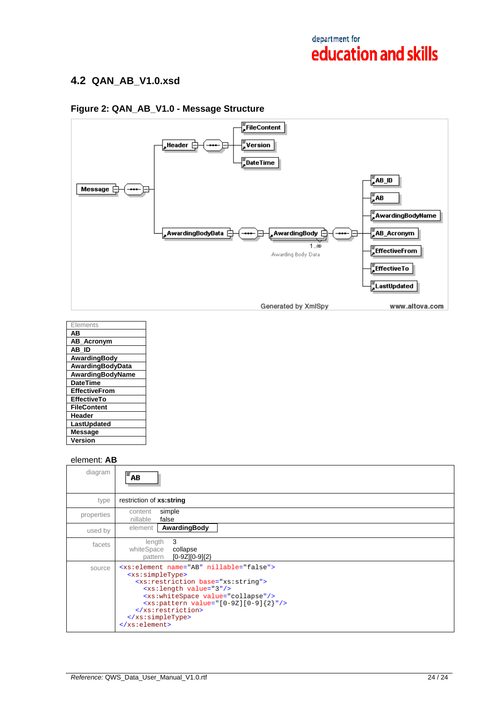## **4.2 QAN\_AB\_V1.0.xsd**

## $\frac{1}{2}$ FileContent , Header  $\overrightarrow{\Box}$  $\frac{1}{2}$ Version ⊟  $\frac{1}{3}$ DateTime Message  $\Box$  $\frac{1}{2}AB$ **FAwardingBodyName**  $\frac{1}{4}$ AB\_Acronym , AwardingBodyData  $\overline{\vdash}$ , AwardingBody  $\mathrel{\mathop{\sqsubseteq}\limits^{\scriptscriptstyle\searrow}}$ مّت…⊺ **EffectiveFrom** Awarding Body Data  $\frac{1}{\epsilon}$ EffectiveTo **E**LastUpdated Generated by XmlSpy www.altova.com

## **Figure 2: QAN\_AB\_V1.0 - Message Structure**

| Elements             |
|----------------------|
| AВ                   |
| <b>AB Acronym</b>    |
| AB ID                |
| AwardingBody         |
| AwardingBodyData     |
| AwardingBodyName     |
| <b>DateTime</b>      |
| <b>EffectiveFrom</b> |
| <b>EffectiveTo</b>   |
| <b>FileContent</b>   |
| Header               |
| LastUpdated          |
| Message              |
| Version              |

### element: **AB**

| diagram    | $\overline{\overline{\phantom{a}}\mathbf{A}\mathbf{B}}$                                                                                                                                                                                                                                                                                                              |
|------------|----------------------------------------------------------------------------------------------------------------------------------------------------------------------------------------------------------------------------------------------------------------------------------------------------------------------------------------------------------------------|
| type       | restriction of xs:string                                                                                                                                                                                                                                                                                                                                             |
| properties | simple<br>content<br>nillable<br>false                                                                                                                                                                                                                                                                                                                               |
| used by    | AwardingBody<br>element                                                                                                                                                                                                                                                                                                                                              |
| facets     | 3<br>length<br>whiteSpace<br>collapse<br>$[0-9Z][0-9]{2}$<br>pattern                                                                                                                                                                                                                                                                                                 |
| source     | <xs:element name="AB" nillable="false"><br/><xs:simpletype><br/><xs: base="xs: string" restriction=""><br/><math>&lt;</math>xs: length value="3"/&gt;<br/><xs:whitespace value="collapse"></xs:whitespace><br/><math>&lt;xs:pattern value="[0-92][0-9]{2}"</math><br/><br/></xs:></xs:simpletype><br/><math>\langle x s : \text{element} \rangle</math></xs:element> |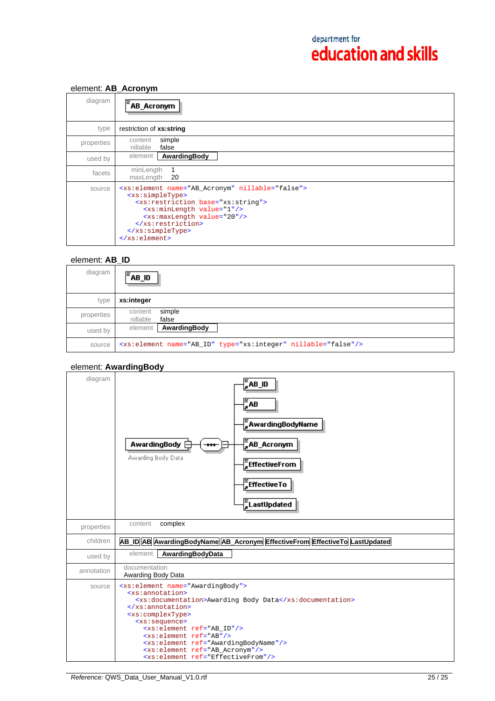## element: **AB\_Acronym**

| diagram    | $F$ AB_Acronym                                                                                                                                                                                                                                                                                             |
|------------|------------------------------------------------------------------------------------------------------------------------------------------------------------------------------------------------------------------------------------------------------------------------------------------------------------|
| type       | restriction of xs:string                                                                                                                                                                                                                                                                                   |
| properties | simple<br>content<br>false<br>nillable                                                                                                                                                                                                                                                                     |
| used by    | AwardingBody<br>element                                                                                                                                                                                                                                                                                    |
| facets     | minLength<br>maxLength<br>- 20                                                                                                                                                                                                                                                                             |
| source     | <xs:element name="AB_Acronym" nillable="false"><br/><xs:simpletype><br/><xs: base="xs: string" restriction=""><br/><xs:minlength value="1"></xs:minlength><br/><xs:maxlength value="20"></xs:maxlength><br/><br/></xs:></xs:simpletype><br/><math>\langle x s : \text{element} \rangle</math></xs:element> |

## element: **AB\_ID**

| diagram    | lΞ<br>AB_ID                                                               |
|------------|---------------------------------------------------------------------------|
| type       | xs:integer                                                                |
| properties | simple<br>content<br>false<br>nillable                                    |
| used by    | AwardingBody<br>element                                                   |
| source     | <xs:element name="AB_ID" nillable="false" type="xs:integer"></xs:element> |

## element: **AwardingBody**

| diagram    | AB_ID<br>$\sqrt{\frac{2}{5}}AB$<br>AwardingBodyName<br>$\frac{1}{4}$ AB_Acronym<br><b>AwardingBody</b><br><br>Awarding Body Data<br>$\bar{z}$ EffectiveFrom<br>EffectiveTo<br>E<br>AcastUpdated                                                                                                                                                                                                                                                                 |
|------------|-----------------------------------------------------------------------------------------------------------------------------------------------------------------------------------------------------------------------------------------------------------------------------------------------------------------------------------------------------------------------------------------------------------------------------------------------------------------|
| properties | complex<br>content                                                                                                                                                                                                                                                                                                                                                                                                                                              |
| children   | AB_ID AB AwardingBodyName AB_Acronym EffectiveFrom EffectiveTo LastUpdated                                                                                                                                                                                                                                                                                                                                                                                      |
| used by    | element<br>AwardingBodyData                                                                                                                                                                                                                                                                                                                                                                                                                                     |
| annotation | documentation<br>Awarding Body Data                                                                                                                                                                                                                                                                                                                                                                                                                             |
| source     | <xs:element name="AwardingBody"><br/><xs:annotation><br/><xs:documentation>Awarding Body Data</xs:documentation><br/></xs:annotation><br/><xs:complextype><br/><xs:sequence><br/><xs:element ref="AB_ID"></xs:element><br/><xs:element ref="AB"></xs:element><br/><xs:element ref="AwardingBodyName"></xs:element><br/><xs:element ref="AB_Acronym"></xs:element><br/><xs:element ref="EffectiveFrom"></xs:element></xs:sequence></xs:complextype></xs:element> |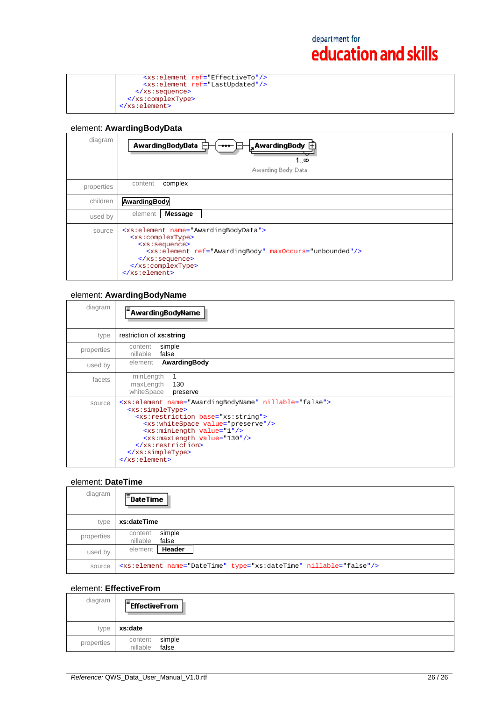| <xs:element ref="EffectiveTo"></xs:element> |
|---------------------------------------------|
| <xs:element ref="LastUpdated"></xs:element> |
| $\langle xs : \text{sequence} \rangle$      |
|                                             |
|                                             |

## element: **AwardingBodyData**

| diagram    | <b>AwardingBodyData</b><br>, AwardingBody $\mathop\boxplus$<br>1…∞<br>Awarding Body Data                                                                                                                                                                                                                        |
|------------|-----------------------------------------------------------------------------------------------------------------------------------------------------------------------------------------------------------------------------------------------------------------------------------------------------------------|
| properties | complex<br>content                                                                                                                                                                                                                                                                                              |
| children   | AwardingBody                                                                                                                                                                                                                                                                                                    |
| used by    | element<br><b>Message</b>                                                                                                                                                                                                                                                                                       |
| source     | <xs:element name="AwardingBodyData"><br/><xs:complextype><br/><xs:sequence><br/><xs:element maxoccurs="unbounded" ref="AwardingBody"></xs:element><br/><math>\langle xs : \text{sequence} \rangle</math><br/></xs:sequence></xs:complextype><br/><math>\langle x s : \text{element} \rangle</math></xs:element> |

#### element: **AwardingBodyName**

| diagram    | <sup>*</sup> AwardingBodyName                                                                                                                                                                                                                                                                                                                                                |
|------------|------------------------------------------------------------------------------------------------------------------------------------------------------------------------------------------------------------------------------------------------------------------------------------------------------------------------------------------------------------------------------|
| type       | restriction of xs:string                                                                                                                                                                                                                                                                                                                                                     |
| properties | simple<br>content<br>nillable<br>false                                                                                                                                                                                                                                                                                                                                       |
| used by    | AwardingBody<br>element                                                                                                                                                                                                                                                                                                                                                      |
| facets     | minLength<br>maxLength<br>130<br>whiteSpace<br>preserve                                                                                                                                                                                                                                                                                                                      |
| source     | <xs:element name="AwardingBodyName" nillable="false"><br/><xs:simpletype><br/><xs:restriction base="xs:string"><br/><xs:whitespace value="preserve"></xs:whitespace><br/><xs:minlength value="1"></xs:minlength><br/><xs:maxlength value="130"></xs:maxlength><br/></xs:restriction><br/></xs:simpletype><br/><math>\langle x s : \text{element} \rangle</math></xs:element> |

### element: **DateTime**

| diagram    | $\overline{=}$ DateTime                                                       |
|------------|-------------------------------------------------------------------------------|
| type       | xs:dateTime                                                                   |
| properties | simple<br>content<br>nillable<br>false                                        |
| used by    | Header<br>element                                                             |
| source     | <xs:element name="DateTime" nillable="false" type="xs:dateTime"></xs:element> |

## element: **EffectiveFrom**

| diagram    | $F$ EffectiveFrom                      |
|------------|----------------------------------------|
| type       | xs:date                                |
| properties | simple<br>content<br>false<br>nillable |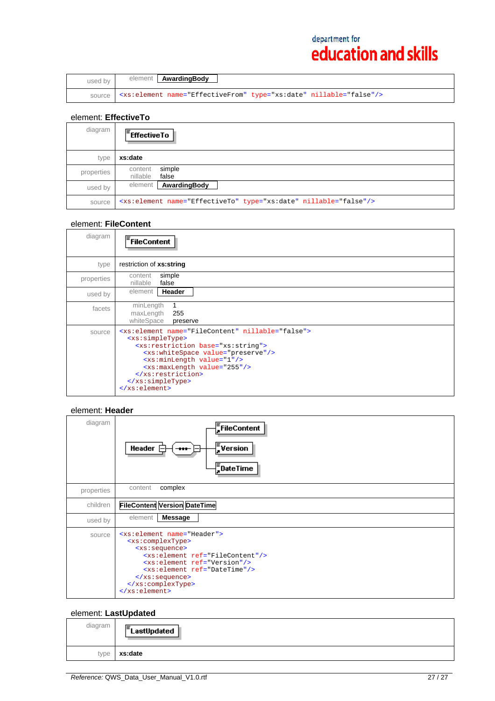| used by | element <b>AwardingBody</b>                                                    |
|---------|--------------------------------------------------------------------------------|
|         | <xs:element name="EffectiveFrom" nillable="false" type="xs:date"></xs:element> |

## element: **EffectiveTo**

| diagram    | $F$ Effective To                                                             |
|------------|------------------------------------------------------------------------------|
| type       | xs:date                                                                      |
| properties | simple<br>content<br>nillable<br>false                                       |
| used by    | AwardingBody<br>element                                                      |
| source     | <xs:element name="EffectiveTo" nillable="false" type="xs:date"></xs:element> |

## element: **FileContent**

| diagram    | FileContent                                                                                                                                                                                                                                                                                                                                                       |
|------------|-------------------------------------------------------------------------------------------------------------------------------------------------------------------------------------------------------------------------------------------------------------------------------------------------------------------------------------------------------------------|
| type       | restriction of xs:string                                                                                                                                                                                                                                                                                                                                          |
| properties | simple<br>content<br>nillable<br>false                                                                                                                                                                                                                                                                                                                            |
| used by    | Header<br>element                                                                                                                                                                                                                                                                                                                                                 |
| facets     | minLength<br>maxLength<br>255<br>whiteSpace<br>preserve                                                                                                                                                                                                                                                                                                           |
| source     | <xs:element name="FileContent" nillable="false"><br/><xs:simpletype><br/><xs: base="xs: string" restriction=""><br/><xs:whitespace value="preserve"></xs:whitespace><br/><xs:minlength value="1"></xs:minlength><br/><xs:maxlength value="255"></xs:maxlength><br/><br/></xs:></xs:simpletype><br/><math>\langle x s : \text{element} \rangle</math></xs:element> |

### element: **Header**

| diagram    | $\bar{=}$ FileContent<br>$\frac{1}{2}$ Version<br>Header [<br><br>$\frac{1}{2}$ DateTime                                                                                                                                                                                                                       |
|------------|----------------------------------------------------------------------------------------------------------------------------------------------------------------------------------------------------------------------------------------------------------------------------------------------------------------|
| properties | complex<br>content                                                                                                                                                                                                                                                                                             |
| children   | <b>FileContent Version DateTime</b>                                                                                                                                                                                                                                                                            |
| used by    | <b>Message</b><br>element                                                                                                                                                                                                                                                                                      |
| source     | <xs:element name="Header"><br/><xs:complextype><br/><xs:sequence><br/><xs:element ref="FileContent"></xs:element><br/><xs:element ref="Version"></xs:element><br/><xs:element ref="DateTime"></xs:element><br/></xs:sequence><br/></xs:complextype><br/><math>\langle xs : element \rangle</math></xs:element> |

## element: **LastUpdated**

| diagram | $E$ LastUpdated |
|---------|-----------------|
| type    | xs:date         |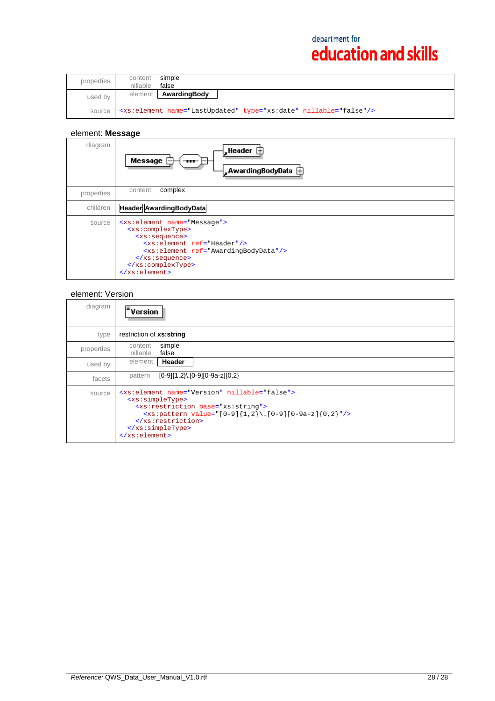| properties | simple<br>content<br>false<br>nillable                                       |  |
|------------|------------------------------------------------------------------------------|--|
| used by    | AwardingBody<br>element                                                      |  |
| source     | <xs:element name="LastUpdated" nillable="false" type="xs:date"></xs:element> |  |

## element: **Message**

| diagram    | Message<br>$-$<br>"AwardingBodyData ⊞                                                                                                                                                                                                                                                                                           |
|------------|---------------------------------------------------------------------------------------------------------------------------------------------------------------------------------------------------------------------------------------------------------------------------------------------------------------------------------|
| properties | complex<br>content                                                                                                                                                                                                                                                                                                              |
| children   | <b>Header AwardingBodyData</b>                                                                                                                                                                                                                                                                                                  |
| source     | <xs:element name="Message"><br/><xs:complextype><br/><xs:sequence><br/><xs:element ref="Header"></xs:element><br/><xs:element ref="AwardingBodyData"></xs:element><br/><math>\langle xs : \text{sequence} \rangle</math><br/></xs:sequence></xs:complextype><br/><math>\langle x s : \text{element} \rangle</math></xs:element> |

### element: Version

| diagram    | $\mathsf{F}_{\texttt{Version}}$                                                                                                                                                                                                                                                     |
|------------|-------------------------------------------------------------------------------------------------------------------------------------------------------------------------------------------------------------------------------------------------------------------------------------|
| type       | restriction of xs:string                                                                                                                                                                                                                                                            |
| properties | simple<br>content<br>nillable<br>false                                                                                                                                                                                                                                              |
| used by    | Header<br>element                                                                                                                                                                                                                                                                   |
| facets     | $[0-9]$ {1,2}\ $[0-9]$ $[0-9a-z]$ {0,2}<br>pattern                                                                                                                                                                                                                                  |
| source     | <xs:element name="Version" nillable="false"><br/><xs:simpletype><br/><xs: base="xs: string" restriction=""><br/><xs:pattern value="[0-9]{1,2}\.[0-9][0-9a-z]{0,2}"></xs:pattern><br/><br/></xs:></xs:simpletype><br/><math>\langle x s : \text{element} \rangle</math></xs:element> |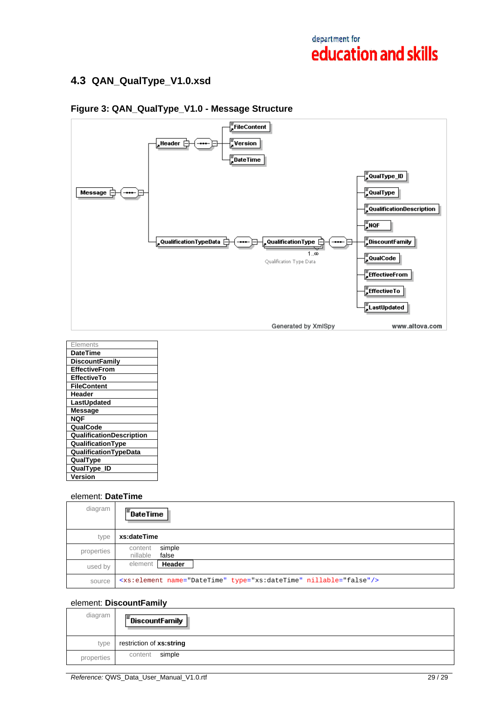## **4.3 QAN\_QualType\_V1.0.xsd**



## **Figure 3: QAN\_QualType\_V1.0 - Message Structure**

| <b>Elements</b>                 |
|---------------------------------|
| <b>DateTime</b>                 |
| <b>DiscountFamily</b>           |
| <b>EffectiveFrom</b>            |
| <b>EffectiveTo</b>              |
| <b>FileContent</b>              |
| Header                          |
| LastUpdated                     |
| Message                         |
| <b>NQF</b>                      |
| QualCode                        |
| <b>QualificationDescription</b> |
| QualificationType               |
| <b>QualificationTypeData</b>    |
| QualType                        |
| QualType_ID                     |
| Version                         |

## element: **DateTime**

| diagram    | $\sqrt{\epsilon}$ DateTime                                                    |
|------------|-------------------------------------------------------------------------------|
| type       | xs:dateTime                                                                   |
| properties | simple<br>content<br>false<br>nillable                                        |
| used by    | Header<br>element                                                             |
| source     | <xs:element name="DateTime" nillable="false" type="xs:dateTime"></xs:element> |

### element: **DiscountFamily**

| diagram    | $\mathsf{F}$ DiscountFamily |
|------------|-----------------------------|
| type       | restriction of xs:string    |
| properties | simple<br>content           |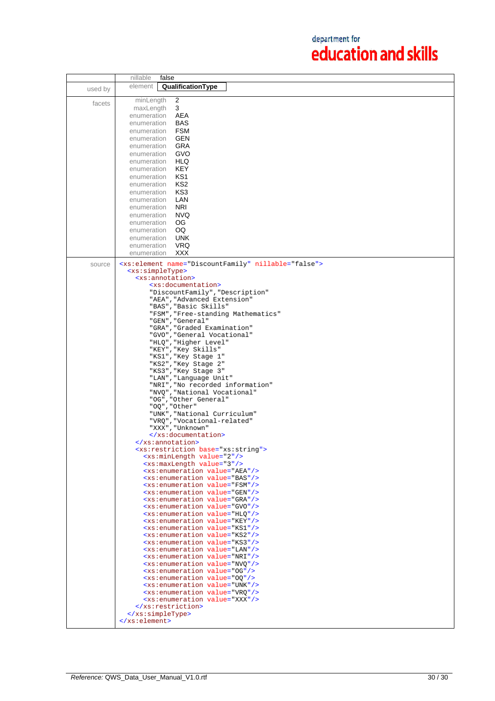|         | false<br>nillable                                                                                    |
|---------|------------------------------------------------------------------------------------------------------|
| used by | element<br>QualificationType                                                                         |
|         |                                                                                                      |
| facets  | minLength<br>2                                                                                       |
|         | 3<br>maxLength                                                                                       |
|         | enumeration<br>AEA                                                                                   |
|         | <b>BAS</b><br>enumeration                                                                            |
|         | FSM<br>enumeration<br>GEN                                                                            |
|         | enumeration<br>GRA                                                                                   |
|         | enumeration<br>GVO<br>enumeration                                                                    |
|         | HLQ<br>enumeration                                                                                   |
|         | KEY<br>enumeration                                                                                   |
|         | KS1<br>enumeration                                                                                   |
|         | KS2<br>enumeration                                                                                   |
|         | KS3<br>enumeration                                                                                   |
|         | LAN<br>enumeration                                                                                   |
|         | <b>NRI</b><br>enumeration                                                                            |
|         | <b>NVQ</b><br>enumeration                                                                            |
|         | OG<br>enumeration                                                                                    |
|         | OQ<br>enumeration                                                                                    |
|         | enumeration<br><b>UNK</b>                                                                            |
|         | VRQ<br>enumeration                                                                                   |
|         | XXX<br>enumeration                                                                                   |
|         |                                                                                                      |
| source  | <xs:element name="DiscountFamily" nillable="false"><br/><xs:simpletype></xs:simpletype></xs:element> |
|         | <xs:annotation></xs:annotation>                                                                      |
|         | <xs:documentation></xs:documentation>                                                                |
|         | "DiscountFamily", "Description"                                                                      |
|         | "AEA", "Advanced Extension"                                                                          |
|         | "BAS", "Basic Skills"                                                                                |
|         | "FSM", "Free-standing Mathematics"                                                                   |
|         | "GEN", "General"                                                                                     |
|         | "GRA", "Graded Examination"                                                                          |
|         | "GVO", "General Vocational"                                                                          |
|         | "HLQ", "Higher Level"<br>"KEY", "Key Skills"                                                         |
|         | "KS1", "Key Stage 1"                                                                                 |
|         | "KS2", "Key Stage 2"                                                                                 |
|         | "KS3", "Key Stage 3"                                                                                 |
|         | "LAN", "Language Unit"                                                                               |
|         | "NRI", "No recorded information"                                                                     |
|         | "NVQ", "National Vocational"                                                                         |
|         | "OG", "Other General"                                                                                |
|         | "OQ", "Other"                                                                                        |
|         | "UNK", "National Curriculum"                                                                         |
|         | "VRQ", "Vocational-related"<br>"XXX", "Unknown"                                                      |
|         |                                                                                                      |
|         |                                                                                                      |
|         | <xs:restriction base="xs:string"></xs:restriction>                                                   |
|         | <xs:minlength value="2"></xs:minlength>                                                              |
|         | <xs:maxlength value="3"></xs:maxlength>                                                              |
|         | <xs:enumeration value="AEA"></xs:enumeration>                                                        |
|         | <xs:enumeration value="BAS"></xs:enumeration>                                                        |
|         | <xs:enumeration value="FSM"></xs:enumeration>                                                        |
|         | <xs:enumeration value="GEN"></xs:enumeration><br><xs:enumeration value="GRA"></xs:enumeration>       |
|         | <xs:enumeration value="GVO"></xs:enumeration>                                                        |
|         | <xs:enumeration value="HLO"></xs:enumeration>                                                        |
|         | <xs:enumeration value="KEY"></xs:enumeration>                                                        |
|         | <xs:enumeration value="KS1"></xs:enumeration>                                                        |
|         | <xs:enumeration value="KS2"></xs:enumeration>                                                        |
|         | <xs:enumeration value="KS3"></xs:enumeration>                                                        |
|         | <xs:enumeration value="LAN"></xs:enumeration>                                                        |
|         | <xs:enumeration value="NRI"></xs:enumeration>                                                        |
|         | <xs:enumeration value="NVQ"></xs:enumeration>                                                        |
|         | <xs:enumeration value="0G"></xs:enumeration>                                                         |
|         | <xs:enumeration value="00"></xs:enumeration><br><xs:enumeration value="UNK"></xs:enumeration>        |
|         | <xs:enumeration value="VRQ"></xs:enumeration>                                                        |
|         | <xs:enumeration value="XXX"></xs:enumeration>                                                        |
|         |                                                                                                      |
|         |                                                                                                      |
|         | $\langle x s : \text{element} \rangle$                                                               |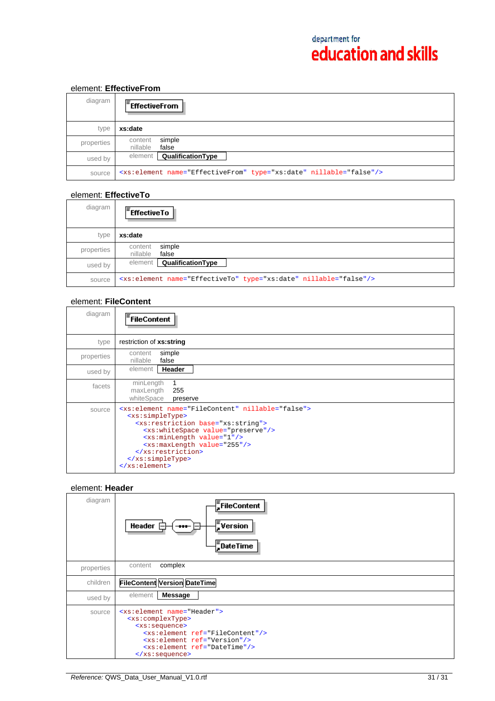## element: **EffectiveFrom**

| diagram    | $E$ FffectiveFrom                                                              |
|------------|--------------------------------------------------------------------------------|
| type       | xs:date                                                                        |
| properties | simple<br>content<br>nillable<br>false                                         |
| used by    | QualificationType<br>element                                                   |
| source     | <xs:element name="EffectiveFrom" nillable="false" type="xs:date"></xs:element> |

### element: **EffectiveTo**

| diagram    | $\mathsf{F}_{\mathsf{EffectiveTo}}$                                          |
|------------|------------------------------------------------------------------------------|
| type       | xs:date                                                                      |
| properties | simple<br>content<br>false<br>nillable                                       |
| used by    | QualificationType<br>element                                                 |
| source     | <xs:element name="EffectiveTo" nillable="false" type="xs:date"></xs:element> |

## element: **FileContent**

| diagram    | <b>FileContent</b>                                                                                                                                                                                                                                                                                                                                                |
|------------|-------------------------------------------------------------------------------------------------------------------------------------------------------------------------------------------------------------------------------------------------------------------------------------------------------------------------------------------------------------------|
| type       | restriction of xs:string                                                                                                                                                                                                                                                                                                                                          |
| properties | simple<br>content<br>false<br>nillable                                                                                                                                                                                                                                                                                                                            |
| used by    | Header<br>element                                                                                                                                                                                                                                                                                                                                                 |
| facets     | minLength<br>maxLength<br>255<br>whiteSpace<br>preserve                                                                                                                                                                                                                                                                                                           |
| source     | <xs:element name="FileContent" nillable="false"><br/><xs:simpletype><br/><xs: base="xs: string" restriction=""><br/><xs:whitespace value="preserve"></xs:whitespace><br/><xs:minlength value="1"></xs:minlength><br/><xs:maxlength value="255"></xs:maxlength><br/><br/></xs:></xs:simpletype><br/><math>\langle x s : \text{element} \rangle</math></xs:element> |

## element: **Header**

| diagram    | FileContent<br>$\frac{1}{2}$ Version<br>Header<br>$\bf{m}$<br>$\frac{1}{2}$ DateTime                                                                                                                                                                                                                         |
|------------|--------------------------------------------------------------------------------------------------------------------------------------------------------------------------------------------------------------------------------------------------------------------------------------------------------------|
| properties | complex<br>content                                                                                                                                                                                                                                                                                           |
| children   | <b>FileContent Version DateTime</b>                                                                                                                                                                                                                                                                          |
| used by    | element<br><b>Message</b>                                                                                                                                                                                                                                                                                    |
| source     | <xs:element name="Header"><br/><xs:complextype><br/><xs:sequence><br/><xs:element ref="FileContent"></xs:element><br/><xs:element ref="Version"></xs:element><br/><xs:element ref="DateTime"></xs:element><br/><math>\langle xs : \text{sequence} \rangle</math></xs:sequence></xs:complextype></xs:element> |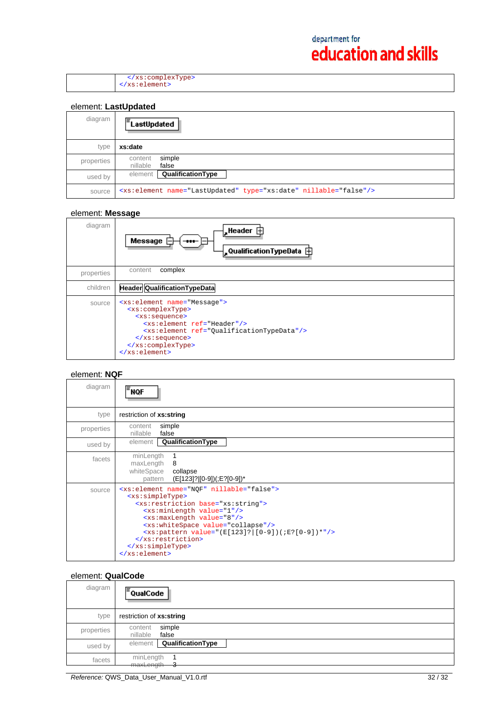</xs:complexType> </xs:element>

## element: **LastUpdated**

| diagram    | LastUpdated                                                                  |
|------------|------------------------------------------------------------------------------|
| type       | xs:date                                                                      |
| properties | simple<br>content<br>nillable<br>false                                       |
| used by    | element <b>QualificationType</b>                                             |
| source     | <xs:element name="LastUpdated" nillable="false" type="xs:date"></xs:element> |

#### element: **Message**

| diagram    | $\frac{1}{2}$ Header $\oplus$<br>Message<br>$\blacksquare$<br>$\downarrow$ QualificationTypeData $\,\oplus\,$                                                                                                                                                                                                                |
|------------|------------------------------------------------------------------------------------------------------------------------------------------------------------------------------------------------------------------------------------------------------------------------------------------------------------------------------|
| properties | complex<br>content                                                                                                                                                                                                                                                                                                           |
| children   | <b>Header Qualification Type Data</b>                                                                                                                                                                                                                                                                                        |
| source     | <xs:element name="Message"><br/><xs:complextype><br/><xs:sequence><br/><xs:element ref="Header"></xs:element><br/><xs:element ref="QualificationTypeData"></xs:element><br/><math>\langle xs : \text{sequence} \rangle</math><br/></xs:sequence></xs:complextype><br/><math>\langle xs : element \rangle</math></xs:element> |

#### element: **NQF**

| diagram    | $\mathsf{F}_{\mathsf{MQF}}$                                                                                                                                                                                                                                                                                                                                                                                                     |
|------------|---------------------------------------------------------------------------------------------------------------------------------------------------------------------------------------------------------------------------------------------------------------------------------------------------------------------------------------------------------------------------------------------------------------------------------|
| type       | restriction of xs:string                                                                                                                                                                                                                                                                                                                                                                                                        |
| properties | simple<br>content<br>nillable<br>false                                                                                                                                                                                                                                                                                                                                                                                          |
| used by    | QualificationType<br>element                                                                                                                                                                                                                                                                                                                                                                                                    |
| facets     | minLength<br>maxLength<br>8<br>whiteSpace<br>collapse<br>(E[123]? [0-9])(;E?[0-9])*<br>pattern                                                                                                                                                                                                                                                                                                                                  |
| source     | <xs:element name="NOF" nillable="false"><br/><xs:simpletype><br/><xs:restriction base="xs:string"><br/><xs:minlength value="1"></xs:minlength><br/><xs:maxlength value="8"></xs:maxlength><br/><xs:whitespace value="collapse"></xs:whitespace><br/><xs:pattern value="(E[123]?   [0-9])(;E?[0-9])*"></xs:pattern><br/></xs:restriction><br/></xs:simpletype><br/><math>\langle xs : \text{element} \rangle</math></xs:element> |

### element: **QualCode**

| diagram    | $\overline{z}$ QualCode                |
|------------|----------------------------------------|
| type       | restriction of xs:string               |
| properties | simple<br>content<br>nillable<br>false |
| used by    | QualificationType<br>element           |
| facets     | minLength<br>maxLength<br>J            |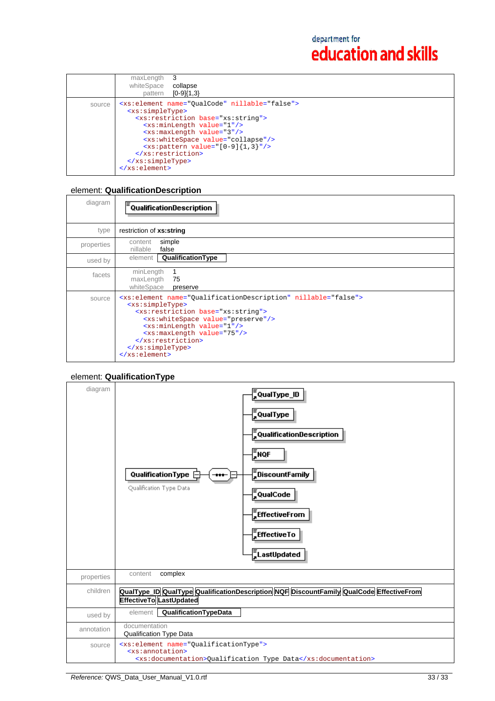|        | maxLength<br>whiteSpace<br>collapse<br>$[0-9]{1,3}$<br>pattern                                                                                                                                                                                                                                                                                                                                                                                                                           |
|--------|------------------------------------------------------------------------------------------------------------------------------------------------------------------------------------------------------------------------------------------------------------------------------------------------------------------------------------------------------------------------------------------------------------------------------------------------------------------------------------------|
| source | <xs:element name="QualCode" nillable="false"><br/><xs:simpletype><br/><xs: base="xs: string" restriction=""><br/><xs:minlength value="1"></xs:minlength><br/><xs:maxlength value="3"></xs:maxlength><br/><xs:whitespace value="collapse"></xs:whitespace><br/><math>\{xs:\phi</math> = <math>\{0-9\}</math> {1,3} <math>\frac{1}{2}</math> /&gt;<br/><br/><math>\langle x s : simpleType \rangle</math><br/><math>\langle xs : element \rangle</math></xs:></xs:simpletype></xs:element> |

# element: **QualificationDescription**

| diagram    | QualificationDescription                                                                                                                                                                                                                                                                                                                                                      |
|------------|-------------------------------------------------------------------------------------------------------------------------------------------------------------------------------------------------------------------------------------------------------------------------------------------------------------------------------------------------------------------------------|
| type       | restriction of xs:string                                                                                                                                                                                                                                                                                                                                                      |
| properties | simple<br>content<br>nillable<br>false                                                                                                                                                                                                                                                                                                                                        |
| used by    | QualificationType<br>element                                                                                                                                                                                                                                                                                                                                                  |
| facets     | minLength<br>maxLength<br>75<br>whiteSpace<br>preserve                                                                                                                                                                                                                                                                                                                        |
| source     | <xs:element name="QualificationDescription" nillable="false"><br/><xs:simpletype><br/><xs: base="xs: string" restriction=""><br/><xs:whitespace value="preserve"></xs:whitespace><br/><xs:minlength value="1"></xs:minlength><br/><xs:maxlength value="75"></xs:maxlength><br/><br/></xs:></xs:simpletype><br/><math>\langle x s : \text{element} \rangle</math></xs:element> |

## element: **QualificationType**

| diagram    | 。<br>。QualType_ID<br><b>QualType</b><br>$\frac{1}{2}$ QualificationDescription<br>$\sqrt{\frac{1}{2}}$ NQF<br>$\frac{1}{2}$ DiscountFamily<br>QualificationType<br>Qualification Type Data<br><b>QualCode</b><br>$\frac{1}{4}$ EffectiveFrom<br>$\frac{1}{2}$ EffectiveTo<br>ELastUpdated |
|------------|-------------------------------------------------------------------------------------------------------------------------------------------------------------------------------------------------------------------------------------------------------------------------------------------|
| properties | complex<br>content                                                                                                                                                                                                                                                                        |
| children   | QualType_ID QualType QualificationDescription NQF DiscountFamily QualCode EffectiveFrom<br><b>EffectiveTo LastUpdated</b>                                                                                                                                                                 |
| used by    | QualificationTypeData<br>element                                                                                                                                                                                                                                                          |
| annotation | documentation<br><b>Qualification Type Data</b>                                                                                                                                                                                                                                           |
| source     | <xs:element name="QualificationType"><br/><xs:annotation><br/><xs:documentation>Qualification Type Data</xs:documentation></xs:annotation></xs:element>                                                                                                                                   |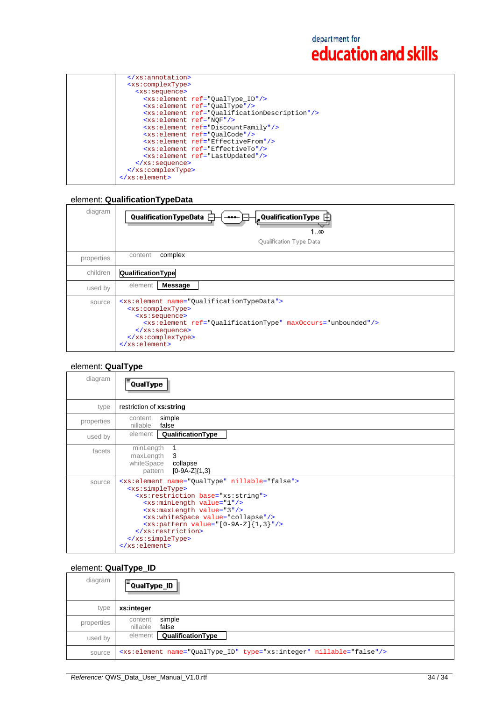| <xs:complextype></xs:complextype>                        |
|----------------------------------------------------------|
| <xs:sequence></xs:sequence>                              |
| <xs:element ref="0ualType ID"></xs:element>              |
| <xs:element ref="0ualType"></xs:element>                 |
| <xs:element ref="QualificationDescription"></xs:element> |
| <xs:element ref="NOF"></xs:element>                      |
| <xs:element ref="DiscountFamily"></xs:element>           |
| <xs:element ref="0ualCode"></xs:element>                 |
| <xs:element ref="EffectiveFrom"></xs:element>            |
| <xs:element ref="EffectiveTo"></xs:element>              |
| <xs:element ref="LastUpdated"></xs:element>              |
| $\langle xs : \text{sequence} \rangle$                   |
|                                                          |
| $\langle x s : \text{element} \rangle$                   |

## element: **QualificationTypeData**

| diagram    | QualificationTypeData <b>□</b><br>$\frac{1}{2}$ QualificationType $\dot{\boxplus}$<br>$-$<br>1…∞<br>Qualification Type Data                                                                                                                                                                                       |
|------------|-------------------------------------------------------------------------------------------------------------------------------------------------------------------------------------------------------------------------------------------------------------------------------------------------------------------|
| properties | complex<br>content                                                                                                                                                                                                                                                                                                |
| children   | QualificationType                                                                                                                                                                                                                                                                                                 |
| used by    | element<br><b>Message</b>                                                                                                                                                                                                                                                                                         |
| source     | <xs:element name="QualificationTypeData"><br/><xs:complextype><br/><xs:sequence><br/><xs:element maxoccurs="unbounded" ref="QualificationType"></xs:element><br/><math>\langle xs : \text{sequence} \rangle</math><br/></xs:sequence></xs:complextype><br/><math>\langle xs : element \rangle</math></xs:element> |

## element: **QualType**

| diagram    | <sup>:</sup> QualType                                                                                                                                                                                                                                                                                                                                                                                                       |
|------------|-----------------------------------------------------------------------------------------------------------------------------------------------------------------------------------------------------------------------------------------------------------------------------------------------------------------------------------------------------------------------------------------------------------------------------|
| type       | restriction of xs:string                                                                                                                                                                                                                                                                                                                                                                                                    |
| properties | simple<br>content<br>false<br>nillable                                                                                                                                                                                                                                                                                                                                                                                      |
| used by    | QualificationType<br>element                                                                                                                                                                                                                                                                                                                                                                                                |
| facets     | minLength<br>maxLength<br>-3<br>whiteSpace<br>collapse<br>$[0-9A-Z]{1,3}$<br>pattern                                                                                                                                                                                                                                                                                                                                        |
| source     | <xs:element name="QualType" nillable="false"><br/><xs:simpletype><br/><xs:restriction base="xs:string"><br/><xs:minlength value="1"></xs:minlength><br/><xs:maxlength value="3"></xs:maxlength><br/><xs:whitespace value="collapse"></xs:whitespace><br/><math>~x</math>s: pattern value="[0-9A-Z]{1,3}"/&gt;<br/></xs:restriction><br/></xs:simpletype><br/><math>\langle x s : \text{element} \rangle</math></xs:element> |

## element: **QualType\_ID**

| diagram    | ⊫<br>QualType_ID                                                                |
|------------|---------------------------------------------------------------------------------|
| type       | xs:integer                                                                      |
| properties | simple<br>content<br>nillable<br>false                                          |
| used by    | QualificationType<br>element                                                    |
| source     | <xs:element name="QualType_ID" nillable="false" type="xs:integer"></xs:element> |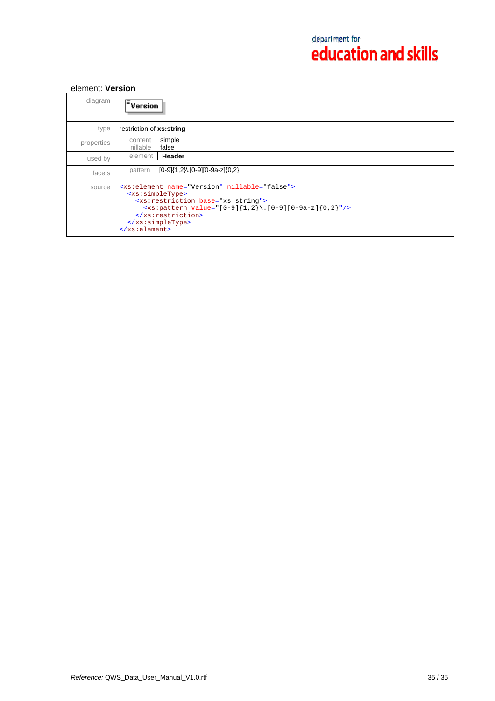## element: **Version**

| diagram    | <b>Version</b>                                                                                                                                                                                                                                                                    |
|------------|-----------------------------------------------------------------------------------------------------------------------------------------------------------------------------------------------------------------------------------------------------------------------------------|
| type       | restriction of xs:string                                                                                                                                                                                                                                                          |
| properties | simple<br>content<br>nillable<br>false                                                                                                                                                                                                                                            |
| used by    | Header<br>element                                                                                                                                                                                                                                                                 |
| facets     | $[0-9]{1,2}$ . $[0-9][0-9a-z]{0,2}$<br>pattern                                                                                                                                                                                                                                    |
| source     | <xs:element name="Version" nillable="false"><br/><xs:simpletype><br/><xs:restriction base="xs:string"><br/><xs:pattern value="[0-9]{1,2}\.[0-9][0-9a-z]{0,2}"></xs:pattern><br/></xs:restriction><br/></xs:simpletype><br/><math>\langle xs : element \rangle</math></xs:element> |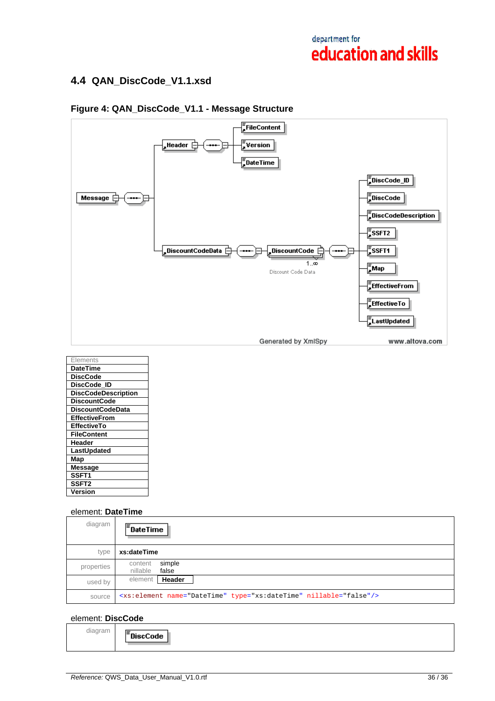## **4.4 QAN\_DiscCode\_V1.1.xsd**



## **Figure 4: QAN\_DiscCode\_V1.1 - Message Structure**

| Elements                   |
|----------------------------|
| <b>DateTime</b>            |
| <b>DiscCode</b>            |
| DiscCode ID                |
| <b>DiscCodeDescription</b> |
| <b>DiscountCode</b>        |
| <b>DiscountCodeData</b>    |
| <b>EffectiveFrom</b>       |
| <b>EffectiveTo</b>         |
| <b>FileContent</b>         |
| Header                     |
| LastUpdated                |
| Map                        |
| <b>Message</b>             |
| SSFT1                      |
| SSFT <sub>2</sub>          |
| Version                    |

#### element: **DateTime**

| diagram    | $\overline{F}_{\text{DateTime}}$                                              |
|------------|-------------------------------------------------------------------------------|
| type       | xs:dateTime                                                                   |
| properties | simple<br>content<br>nillable<br>false                                        |
| used by    | Header<br>element                                                             |
| source     | <xs:element name="DateTime" nillable="false" type="xs:dateTime"></xs:element> |

### element: **DiscCode**

diagram <sup>:</sup>DiscCode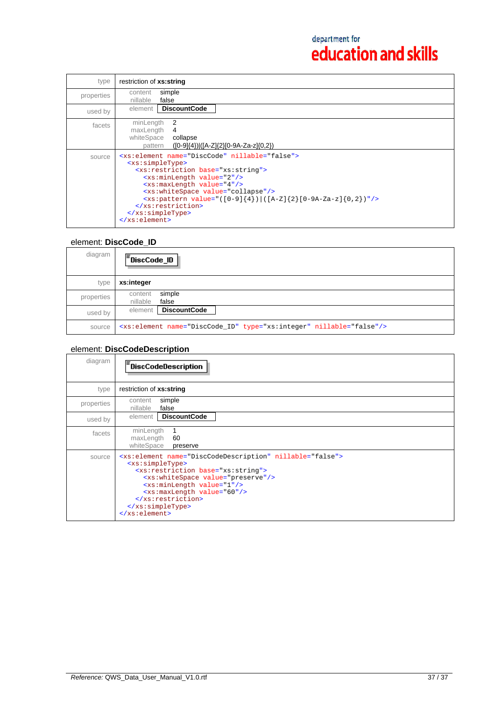| type       | restriction of xs:string                                                                                                                                                                                                                                                                                                                                                                                                                 |
|------------|------------------------------------------------------------------------------------------------------------------------------------------------------------------------------------------------------------------------------------------------------------------------------------------------------------------------------------------------------------------------------------------------------------------------------------------|
| properties | simple<br>content<br>nillable<br>false                                                                                                                                                                                                                                                                                                                                                                                                   |
| used by    | <b>DiscountCode</b><br>element                                                                                                                                                                                                                                                                                                                                                                                                           |
| facets     | 2<br>minLength<br>maxLength<br>4<br>whiteSpace<br>collapse<br>$([0-9]\{4\})$ $([A-Z]\{2\} [0-9A-Za-z]\{0,2\})$<br>pattern                                                                                                                                                                                                                                                                                                                |
| source     | <xs:element name="DiscCode" nillable="false"><br/><xs:simpletype><br/><xs: base="xs: string" restriction=""><br/><xs:minlength value="2"></xs:minlength><br/><xs:maxlength value="4"></xs:maxlength><br/><xs:whitespace value="collapse"></xs:whitespace><br/><xs:pattern value="([0-9]{4}) ([A-Z]{2}[0-9A-Za-z]{0,2})"></xs:pattern><br/><br/></xs:></xs:simpletype><br/><math>\langle x s : \text{element} \rangle</math></xs:element> |

## element: **DiscCode\_ID**

| diagram    | $\mathsf{F}_{\mathsf{DiscCode\_ID}}$                                            |
|------------|---------------------------------------------------------------------------------|
| type       | xs:integer                                                                      |
| properties | simple<br>content<br>nillable<br>false                                          |
| used by    | <b>DiscountCode</b><br>element                                                  |
| source     | <xs:element name="DiscCode_ID" nillable="false" type="xs:integer"></xs:element> |

## element: **DiscCodeDescription**

| diagram    | DiscCodeDescription -                                                                                                                                                                                                                                                                                                                                                    |
|------------|--------------------------------------------------------------------------------------------------------------------------------------------------------------------------------------------------------------------------------------------------------------------------------------------------------------------------------------------------------------------------|
| type       | restriction of xs:string                                                                                                                                                                                                                                                                                                                                                 |
| properties | simple<br>content<br>nillable<br>false                                                                                                                                                                                                                                                                                                                                   |
| used by    | <b>DiscountCode</b><br>element                                                                                                                                                                                                                                                                                                                                           |
| facets     | minLength<br>maxLength<br>60<br>whiteSpace<br>preserve                                                                                                                                                                                                                                                                                                                   |
| source     | <xs:element name="DiscCodeDescription" nillable="false"><br/><xs:simpletype><br/><xs: base="xs: string" restriction=""><br/><xs:whitespace value="preserve"></xs:whitespace><br/><xs:minlength value="1"></xs:minlength><br/><xs:maxlength value="60"></xs:maxlength><br/><br/></xs:></xs:simpletype><br/><math>\langle x s : \text{element} \rangle</math></xs:element> |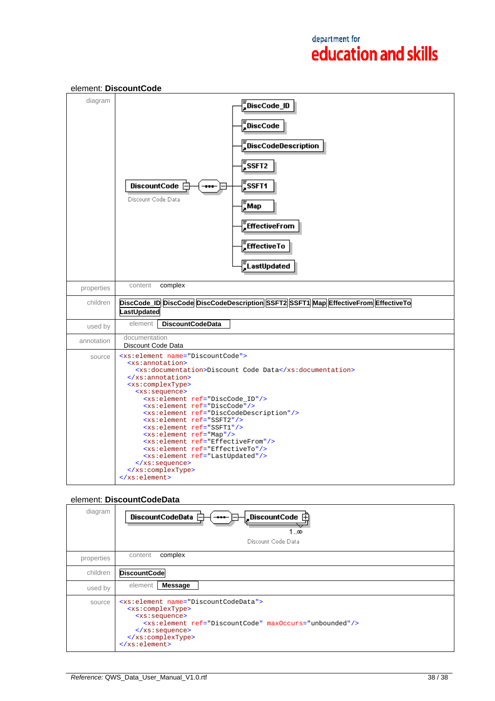

### element: **DiscountCode**

#### element: **DiscountCodeData**

| diagram    | DiscountCodeData <b>F</b><br>, DiscountCode $\boxplus$<br>$\begin{array}{c} \textbf{-}\textbf{***} \end{array}$<br>1…∞<br>Discount Code Data                                                                                                                                                                                                             |
|------------|----------------------------------------------------------------------------------------------------------------------------------------------------------------------------------------------------------------------------------------------------------------------------------------------------------------------------------------------------------|
| properties | complex<br>content                                                                                                                                                                                                                                                                                                                                       |
| children   | <b>DiscountCode</b>                                                                                                                                                                                                                                                                                                                                      |
| used by    | Message<br>element                                                                                                                                                                                                                                                                                                                                       |
| source     | <xs:element name="DiscountCodeData"><br/><xs:complextype><br/><xs:sequence><br/><xs:element_ref="discountcode"_maxoccurs="unbounded"></xs:element_ref="discountcode"_maxoccurs="unbounded"><br/><math>\langle xs : \text{sequence} \rangle</math><br/></xs:sequence></xs:complextype><br/><math>\langle x s : \text{element} \rangle</math></xs:element> |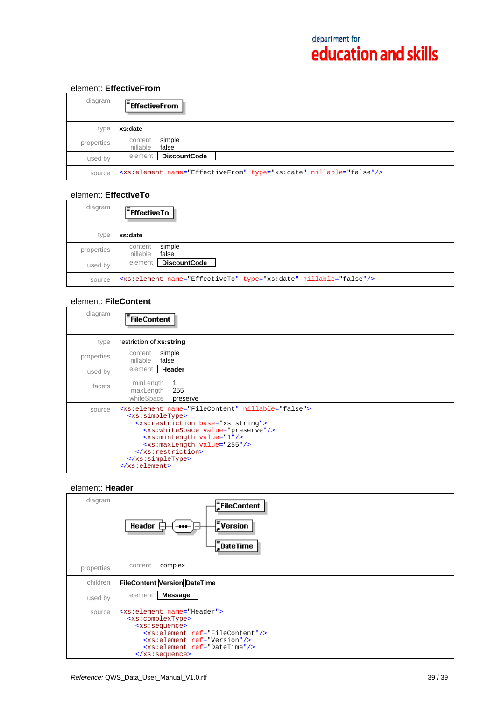## element: **EffectiveFrom**

| diagram    | $E$ FffectiveFrom                                                              |
|------------|--------------------------------------------------------------------------------|
| type       | xs:date                                                                        |
| properties | simple<br>content<br>nillable<br>false                                         |
| used by    | <b>DiscountCode</b><br>element                                                 |
| source     | <xs:element name="EffectiveFrom" nillable="false" type="xs:date"></xs:element> |

### element: **EffectiveTo**

| diagram    | $\mathsf{F}_{\mathsf{EffectiveTo}}$                                          |
|------------|------------------------------------------------------------------------------|
| type       | xs:date                                                                      |
| properties | simple<br>content<br>false<br>nillable                                       |
| used by    | DiscountCode<br>element                                                      |
| source     | <xs:element name="EffectiveTo" nillable="false" type="xs:date"></xs:element> |

### element: **FileContent**

| diagram    | <sup>'</sup> FileContent                                                                                                                                                                                                                                                                                                                                          |
|------------|-------------------------------------------------------------------------------------------------------------------------------------------------------------------------------------------------------------------------------------------------------------------------------------------------------------------------------------------------------------------|
| type       | restriction of xs:string                                                                                                                                                                                                                                                                                                                                          |
| properties | simple<br>content<br>false<br>nillable                                                                                                                                                                                                                                                                                                                            |
| used by    | element   Header                                                                                                                                                                                                                                                                                                                                                  |
| facets     | minLength<br>maxLength<br>255<br>whiteSpace<br>preserve                                                                                                                                                                                                                                                                                                           |
| source     | <xs:element name="FileContent" nillable="false"><br/><xs:simpletype><br/><xs: base="xs: string" restriction=""><br/><xs:whitespace value="preserve"></xs:whitespace><br/><xs:minlength value="1"></xs:minlength><br/><xs:maxlength value="255"></xs:maxlength><br/><br/></xs:></xs:simpletype><br/><math>\langle x s : \text{element} \rangle</math></xs:element> |

## element: **Header**

| diagram    | FileContent<br>$\frac{1}{2}$ Version<br>Header<br>$\bf{m}$<br>$\frac{1}{2}$ DateTime                                                                                                                                                                                                                         |
|------------|--------------------------------------------------------------------------------------------------------------------------------------------------------------------------------------------------------------------------------------------------------------------------------------------------------------|
| properties | complex<br>content                                                                                                                                                                                                                                                                                           |
| children   | <b>FileContent Version DateTime</b>                                                                                                                                                                                                                                                                          |
| used by    | element<br><b>Message</b>                                                                                                                                                                                                                                                                                    |
| source     | <xs:element name="Header"><br/><xs:complextype><br/><xs:sequence><br/><xs:element ref="FileContent"></xs:element><br/><xs:element ref="Version"></xs:element><br/><xs:element ref="DateTime"></xs:element><br/><math>\langle xs : \text{sequence} \rangle</math></xs:sequence></xs:complextype></xs:element> |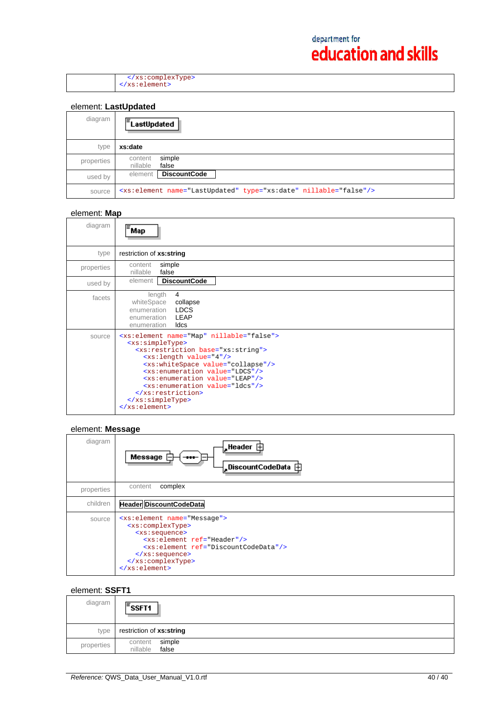</xs:complexType> </xs:element>

## element: **LastUpdated**

| diagram    | lΞ.<br>LastUpdated                                                           |
|------------|------------------------------------------------------------------------------|
| type       | xs:date                                                                      |
| properties | simple<br>content<br>nillable<br>false                                       |
| used by    | <b>DiscountCode</b><br>element                                               |
| source     | <xs:element name="LastUpdated" nillable="false" type="xs:date"></xs:element> |

### element: **Map**

| diagram    | Map                                                                                                                                                                                                                                                                                                                                                                                                                                                      |
|------------|----------------------------------------------------------------------------------------------------------------------------------------------------------------------------------------------------------------------------------------------------------------------------------------------------------------------------------------------------------------------------------------------------------------------------------------------------------|
| type       | restriction of xs:string                                                                                                                                                                                                                                                                                                                                                                                                                                 |
| properties | simple<br>content<br>false<br>nillable                                                                                                                                                                                                                                                                                                                                                                                                                   |
| used by    | <b>DiscountCode</b><br>element                                                                                                                                                                                                                                                                                                                                                                                                                           |
| facets     | length<br>4<br>whiteSpace<br>collapse<br>enumeration <b>LDCS</b><br>enumeration <b>LEAP</b><br>enumeration<br>ldcs                                                                                                                                                                                                                                                                                                                                       |
| source     | <xs:element name="Map" nillable="false"><br/><xs:simpletype><br/><xs:restriction base="xs:string"><br/><xs:length value="4"></xs:length><br/><xs:whitespace value="collapse"></xs:whitespace><br/><xs:enumeration value="LDCS"></xs:enumeration><br/><xs:enumeration value="LEAP"></xs:enumeration><br/><xs:enumeration value="ldcs"></xs:enumeration><br/></xs:restriction><br/></xs:simpletype><br/><math>\langle x s :</math>element&gt;</xs:element> |

### element: **Message**

| diagram    | $\frac{1}{2}$ Header $\oplus$<br>Message<br>$-$<br>,DiscountCodeData 由                                                                                                                                                                                                                                                  |
|------------|-------------------------------------------------------------------------------------------------------------------------------------------------------------------------------------------------------------------------------------------------------------------------------------------------------------------------|
| properties | complex<br>content                                                                                                                                                                                                                                                                                                      |
| children   | <b>Header DiscountCodeData</b>                                                                                                                                                                                                                                                                                          |
| source     | <xs:element name="Message"><br/><xs:complextype><br/><xs:sequence><br/><xs:element ref="Header"></xs:element><br/><xs:element ref="DiscountCodeData"></xs:element><br/><math>\langle xs : \text{sequence} \rangle</math><br/></xs:sequence></xs:complextype><br/><math>\langle xs : element \rangle</math></xs:element> |

## element: **SSFT1**

| diagram    | $\overline{\mathsf{F}}$ SSFT1          |
|------------|----------------------------------------|
| type       | restriction of xs:string               |
| properties | simple<br>content<br>false<br>nillable |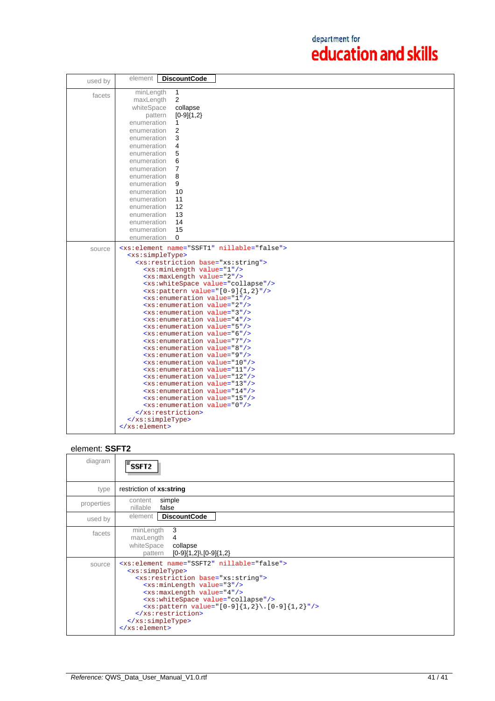| used by | <b>DiscountCode</b><br>element                                                                 |
|---------|------------------------------------------------------------------------------------------------|
| facets  | minLength<br>$\mathbf{1}$<br>$\overline{2}$<br>maxLength                                       |
|         | whiteSpace<br>collapse<br>$[0-9]{1,2}$<br>pattern                                              |
|         | enumeration<br>1                                                                               |
|         | 2<br>enumeration<br>3<br>enumeration                                                           |
|         | enumeration<br>4                                                                               |
|         | 5<br>enumeration                                                                               |
|         | enumeration<br>6                                                                               |
|         | $\overline{7}$<br>enumeration                                                                  |
|         | 8<br>enumeration                                                                               |
|         | 9<br>enumeration                                                                               |
|         | 10<br>enumeration                                                                              |
|         | 11<br>enumeration                                                                              |
|         | 12<br>enumeration                                                                              |
|         | 13<br>enumeration                                                                              |
|         | enumeration<br>14                                                                              |
|         | 15<br>enumeration                                                                              |
|         | $\Omega$<br>enumeration                                                                        |
| source  | <xs:element name="SSFT1" nillable="false"></xs:element>                                        |
|         | <xs:simpletype></xs:simpletype>                                                                |
|         | <xs:restriction base="xs:string"><br/><xs:minlength value="1"></xs:minlength></xs:restriction> |
|         | <xs:maxlength value="2"></xs:maxlength>                                                        |
|         | <xs:whitespace value="collapse"></xs:whitespace>                                               |
|         | $\langle xs:pattern value=' [0-9] \{1,2\} " \rangle$                                           |
|         | <xs:enumeration value="1"></xs:enumeration>                                                    |
|         | <xs:enumeration value="2"></xs:enumeration>                                                    |
|         | <xs:enumeration value="3"></xs:enumeration>                                                    |
|         | <xs:enumeration value="4"></xs:enumeration>                                                    |
|         | <xs:enumeration value="5"></xs:enumeration><br><xs:enumeration value="6"></xs:enumeration>     |
|         | <xs:enumeration value="7"></xs:enumeration>                                                    |
|         | <xs:enumeration value="8"></xs:enumeration>                                                    |
|         | <xs:enumeration value="9"></xs:enumeration>                                                    |
|         | <xs:enumeration value="10"></xs:enumeration>                                                   |
|         | <xs:enumeration value="11"></xs:enumeration>                                                   |
|         | <xs:enumeration value="12"></xs:enumeration>                                                   |
|         | <xs:enumeration value="13"></xs:enumeration>                                                   |
|         | <xs:enumeration value="14"></xs:enumeration><br><xs:enumeration value="15"></xs:enumeration>   |
|         | <xs:enumeration value="0"></xs:enumeration>                                                    |
|         |                                                                                                |
|         |                                                                                                |
|         |                                                                                                |

## element: **SSFT2**

| diagram    | 'SSFT2                                                                                                                                                                                                                                                                                                                                                                                                                                                  |
|------------|---------------------------------------------------------------------------------------------------------------------------------------------------------------------------------------------------------------------------------------------------------------------------------------------------------------------------------------------------------------------------------------------------------------------------------------------------------|
| type       | restriction of xs:string                                                                                                                                                                                                                                                                                                                                                                                                                                |
| properties | simple<br>content<br>nillable<br>false                                                                                                                                                                                                                                                                                                                                                                                                                  |
| used by    | <b>DiscountCode</b><br>element                                                                                                                                                                                                                                                                                                                                                                                                                          |
| facets     | 3<br>minLength<br>maxLength<br>4<br>whiteSpace<br>collapse<br>$[0-9]\{1,2\}$ . $[0-9]\{1,2\}$<br>pattern                                                                                                                                                                                                                                                                                                                                                |
| source     | <xs:element name="SSFT2" nillable="false"><br/><xs:simpletype><br/><xs:restriction base="xs:string"><br/><xs:minlength value="3"></xs:minlength><br/><xs:maxlength value="4"></xs:maxlength><br/><xs:whitespace value="collapse"></xs:whitespace><br/><xs:pattern value="&lt;math&gt;[0-9]{1,2}\.\ [0-9]{1,2}&lt;/math&gt;"></xs:pattern><br/></xs:restriction><br/></xs:simpletype><br/><math>\langle x s : \text{element} \rangle</math></xs:element> |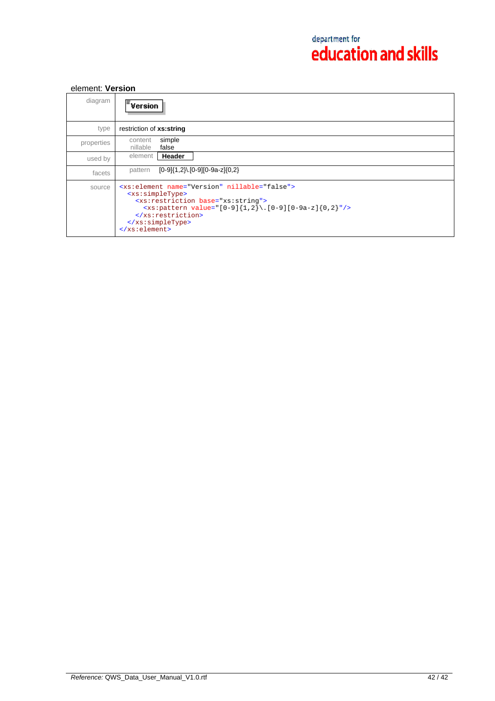## element: **Version**

| diagram    | <b>Version</b>                                                                                                                                                                                                                                                                    |
|------------|-----------------------------------------------------------------------------------------------------------------------------------------------------------------------------------------------------------------------------------------------------------------------------------|
| type       | restriction of xs:string                                                                                                                                                                                                                                                          |
| properties | simple<br>content<br>nillable<br>false                                                                                                                                                                                                                                            |
| used by    | Header<br>element                                                                                                                                                                                                                                                                 |
| facets     | $[0-9]{1,2}$ . $[0-9][0-9a-z]{0,2}$<br>pattern                                                                                                                                                                                                                                    |
| source     | <xs:element name="Version" nillable="false"><br/><xs:simpletype><br/><xs:restriction base="xs:string"><br/><xs:pattern value="[0-9]{1,2}\.[0-9][0-9a-z]{0,2}"></xs:pattern><br/></xs:restriction><br/></xs:simpletype><br/><math>\langle xs : element \rangle</math></xs:element> |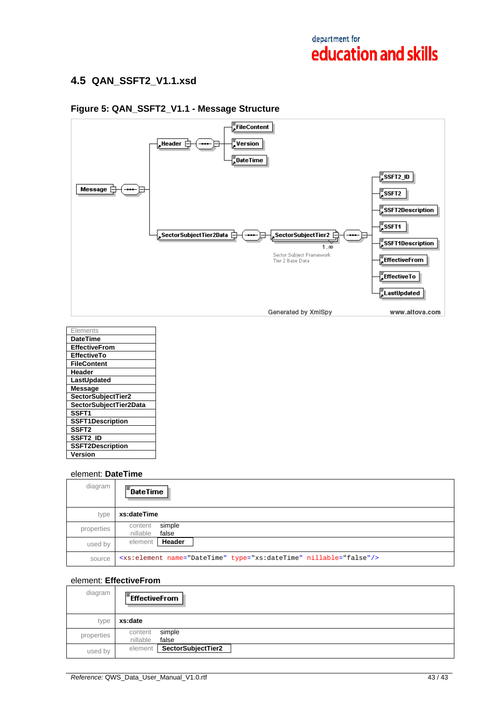## **4.5 QAN\_SSFT2\_V1.1.xsd**



## **Figure 5: QAN\_SSFT2\_V1.1 - Message Structure**

| Elements                |
|-------------------------|
| <b>DateTime</b>         |
| <b>EffectiveFrom</b>    |
| <b>EffectiveTo</b>      |
| <b>FileContent</b>      |
| Header                  |
| LastUpdated             |
| <b>Message</b>          |
| SectorSubjectTier2      |
| SectorSubjectTier2Data  |
| SSFT <sub>1</sub>       |
| <b>SSFT1Description</b> |
| SSFT <sub>2</sub>       |
| <b>SSFT2 ID</b>         |
| <b>SSFT2Description</b> |
| Version                 |

### element: **DateTime**

| diagram    | $\mathsf{F}_{\mathsf{DateTime}}$                                              |
|------------|-------------------------------------------------------------------------------|
| type       | xs:dateTime                                                                   |
| properties | simple<br>content<br>nillable<br>false                                        |
| used by    | Header<br>element                                                             |
| source     | <xs:element name="DateTime" nillable="false" type="xs:dateTime"></xs:element> |

## element: **EffectiveFrom**

| diagram    | $F$ EffectiveFrom                      |
|------------|----------------------------------------|
| type       | xs:date                                |
| properties | simple<br>content<br>nillable<br>false |
| used by    | SectorSubjectTier2<br>element          |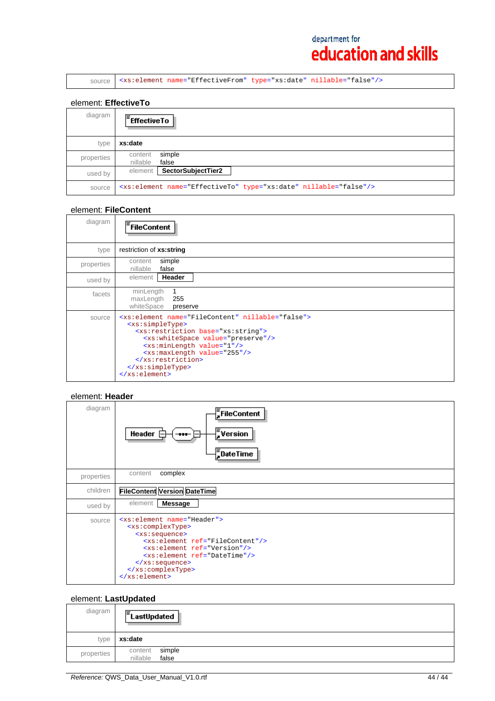source <xs:element name="EffectiveFrom" type="xs:date" nillable="false"/>

### element: **EffectiveTo**

| diagram    | $F$ Effective To                                                             |
|------------|------------------------------------------------------------------------------|
| type       | xs:date                                                                      |
| properties | simple<br>content<br>nillable<br>false                                       |
| used by    | element   SectorSubjectTier2                                                 |
| source     | <xs:element name="EffectiveTo" nillable="false" type="xs:date"></xs:element> |

## element: **FileContent**

| diagram    | $\bar{=}$ FileContent                                                                                                                                                                                                                                                                                                                                                   |
|------------|-------------------------------------------------------------------------------------------------------------------------------------------------------------------------------------------------------------------------------------------------------------------------------------------------------------------------------------------------------------------------|
| type       | restriction of xs:string                                                                                                                                                                                                                                                                                                                                                |
| properties | simple<br>content<br>nillable<br>false                                                                                                                                                                                                                                                                                                                                  |
| used by    | Header<br>element                                                                                                                                                                                                                                                                                                                                                       |
| facets     | minLength<br>maxLength<br>255<br>whiteSpace<br>preserve                                                                                                                                                                                                                                                                                                                 |
| source     | <xs:element name="FileContent" nillable="false"><br/><xs:simpletype><br/><xs:restriction base="xs:string"><br/><xs:whitespace value="preserve"></xs:whitespace><br/><xs:minlength value="1"></xs:minlength><br/><xs:maxlength value="255"></xs:maxlength><br/></xs:restriction><br/></xs:simpletype><br/><math>\langle x s : \text{element} \rangle</math></xs:element> |

## element: **Header**

| diagram    | FileContent<br>$\frac{1}{s}$ Version<br><b>Header</b><br>$-$<br>$\frac{1}{2}$ DateTime                                                                                                                                                                                                                         |
|------------|----------------------------------------------------------------------------------------------------------------------------------------------------------------------------------------------------------------------------------------------------------------------------------------------------------------|
| properties | complex<br>content                                                                                                                                                                                                                                                                                             |
| children   | <b>FileContent Version DateTime</b>                                                                                                                                                                                                                                                                            |
| used by    | <b>Message</b><br>element                                                                                                                                                                                                                                                                                      |
| source     | <xs:element name="Header"><br/><xs:complextype><br/><xs:sequence><br/><xs:element ref="FileContent"></xs:element><br/><xs:element ref="Version"></xs:element><br/><xs:element ref="DateTime"></xs:element><br/></xs:sequence><br/></xs:complextype><br/><math>\langle xs : element \rangle</math></xs:element> |

## element: **LastUpdated**

| diagram    | E.<br>LastUpdated                      |
|------------|----------------------------------------|
| type       | xs:date                                |
| properties | simple<br>content<br>false<br>nillable |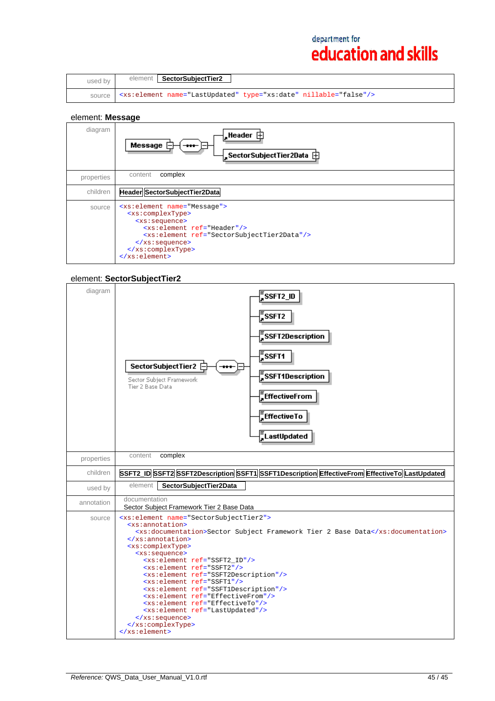| used by | SectorSubjectTier2<br>element                                                |
|---------|------------------------------------------------------------------------------|
| source  | <xs:element name="LastUpdated" nillable="false" type="xs:date"></xs:element> |

## element: **Message**

| diagram    | ,Header ⊞<br>Message<br>$-$                                                                                                                                                                                                                                                                                                           |
|------------|---------------------------------------------------------------------------------------------------------------------------------------------------------------------------------------------------------------------------------------------------------------------------------------------------------------------------------------|
| properties | complex<br>content                                                                                                                                                                                                                                                                                                                    |
| children   | Header SectorSubjectTier2Data                                                                                                                                                                                                                                                                                                         |
| source     | <xs:element name="Message"><br/><xs:complextype><br/><xs:sequence><br/><xs:element ref="Header"></xs:element><br/><xs:element ref="SectorSubjectTier2Data"></xs:element><br/><math>\langle xs : \text{sequence} \rangle</math><br/></xs:sequence></xs:complextype><br/><math>\langle x s : \text{element} \rangle</math></xs:element> |

## element: **SectorSubjectTier2**

| diagram    | ,<br>Ssft2_id<br>$\bar{z}$ SSFT2<br>$\frac{1}{2}$ SSFT2Description<br><b>F</b> SSFT1<br>SectorSubjectTier2 <b><del>□</del></b><br>$\frac{1}{2}$ SSFT1Description<br>Sector Subject Framework<br>Tier 2 Base Data<br>EffectiveFrom<br>EffectiveTo<br>_<br>_<br>LastUpdated                                                                                                                                                                                                                                                                                                                                                                                                                                           |
|------------|---------------------------------------------------------------------------------------------------------------------------------------------------------------------------------------------------------------------------------------------------------------------------------------------------------------------------------------------------------------------------------------------------------------------------------------------------------------------------------------------------------------------------------------------------------------------------------------------------------------------------------------------------------------------------------------------------------------------|
| properties | complex<br>content                                                                                                                                                                                                                                                                                                                                                                                                                                                                                                                                                                                                                                                                                                  |
| children   | SSFT2_ID SSFT2 SSFT2Description SSFT1 SSFT1Description EffectiveFrom EffectiveTo LastUpdated                                                                                                                                                                                                                                                                                                                                                                                                                                                                                                                                                                                                                        |
| used by    | element<br>SectorSubjectTier2Data                                                                                                                                                                                                                                                                                                                                                                                                                                                                                                                                                                                                                                                                                   |
| annotation | documentation<br>Sector Subject Framework Tier 2 Base Data                                                                                                                                                                                                                                                                                                                                                                                                                                                                                                                                                                                                                                                          |
| source     | <xs:element name="SectorSubjectTier2"><br/><xs:annotation><br/><xs:documentation>Sector Subject Framework Tier 2 Base Data</xs:documentation><br/></xs:annotation><br/><xs:complextype><br/><xs:sequence><br/><xs:element ref="SSFT2 ID"></xs:element><br/><xs:element ref="SSFT2"></xs:element><br/><xs:element ref="SSFT2Description"></xs:element><br/><xs:element ref="SSFT1"></xs:element><br/><xs:element ref="SSFT1Description"></xs:element><br/><xs:element ref="EffectiveFrom"></xs:element><br/><xs:element ref="EffectiveTo"></xs:element><br/><xs:element ref="LastUpdated"></xs:element><br/><math>\langle x s : \text{sequence} \rangle</math><br/></xs:sequence></xs:complextype><br/></xs:element> |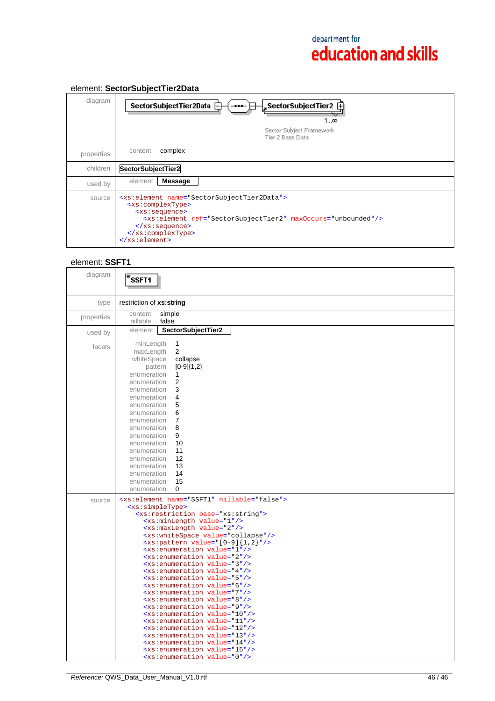#### diagram SectorSubjectTier2 SectorSubjectTier2Data <del>|</del> ١Ŧ  $1\ldots$ Sector Subject Framework Tier 2 Base Data properties content complex children **SectorSubjectTier2**  used by element **Message**  source <xs:element name="SectorSubjectTier2Data"> <xs:complexType> <xs:sequence> <xs:element ref="SectorSubjectTier2" maxOccurs="unbounded"/> </xs:sequence> </xs:complexType> </xs:element>

## element: **SectorSubjectTier2Data**

## element: **SSFT1**

| diagram    | SSFT1                                                                                                                                                                                                                                                                                                                                                                                                                                                                                                                                                                                                                                                                                                                                                                                                                                                                                                                                                                                                                                                                                                                                                      |
|------------|------------------------------------------------------------------------------------------------------------------------------------------------------------------------------------------------------------------------------------------------------------------------------------------------------------------------------------------------------------------------------------------------------------------------------------------------------------------------------------------------------------------------------------------------------------------------------------------------------------------------------------------------------------------------------------------------------------------------------------------------------------------------------------------------------------------------------------------------------------------------------------------------------------------------------------------------------------------------------------------------------------------------------------------------------------------------------------------------------------------------------------------------------------|
| type       | restriction of xs:string                                                                                                                                                                                                                                                                                                                                                                                                                                                                                                                                                                                                                                                                                                                                                                                                                                                                                                                                                                                                                                                                                                                                   |
| properties | simple<br>content<br>false<br>nillable                                                                                                                                                                                                                                                                                                                                                                                                                                                                                                                                                                                                                                                                                                                                                                                                                                                                                                                                                                                                                                                                                                                     |
| used by    | SectorSubjectTier2<br>element                                                                                                                                                                                                                                                                                                                                                                                                                                                                                                                                                                                                                                                                                                                                                                                                                                                                                                                                                                                                                                                                                                                              |
| facets     | 1<br>minLength<br>2<br>maxLength<br>whiteSpace<br>collapse<br>pattern<br>$[0-9]{1,2}$<br>enumeration<br>1<br>enumeration<br>2<br>enumeration<br>3<br>enumeration<br>4<br>5<br>enumeration<br>enumeration<br>6<br>enumeration<br>7<br>8<br>enumeration<br>enumeration<br>9<br>enumeration<br>10<br>enumeration<br>11<br>12<br>enumeration<br>13<br>enumeration<br>14<br>enumeration<br>15<br>enumeration<br>enumeration<br>0                                                                                                                                                                                                                                                                                                                                                                                                                                                                                                                                                                                                                                                                                                                                |
| source     | <xs:element name="SSFT1" nillable="false"><br/><xs:simpletype><br/><xs:restriction base="xs:string"><br/><xs:minlength value="1"></xs:minlength><br/><xs:maxlength value="2"></xs:maxlength><br/><xs:whitespace value="collapse"></xs:whitespace><br/><math>\{xs:\phi\}</math> value="[0-9]{1,2}"/&gt;<br/><xs:enumeration value="1"></xs:enumeration><br/><xs:enumeration value="2"></xs:enumeration><br/><xs:enumeration value="3"></xs:enumeration><br/><xs:enumeration value="4"></xs:enumeration><br/><xs:enumeration value="5"></xs:enumeration><br/><xs:enumeration value="6"></xs:enumeration><br/><xs:enumeration value="7"></xs:enumeration><br/><xs:enumeration value="8"></xs:enumeration><br/><xs:enumeration value="9"></xs:enumeration><br/><xs:enumeration value="10"></xs:enumeration><br/><xs:enumeration value="11"></xs:enumeration><br/><xs:enumeration value="12"></xs:enumeration><br/><xs:enumeration value="13"></xs:enumeration><br/><xs:enumeration value="14"></xs:enumeration><br/><xs:enumeration value="15"></xs:enumeration><br/><xs:enumeration value="0"></xs:enumeration></xs:restriction></xs:simpletype></xs:element> |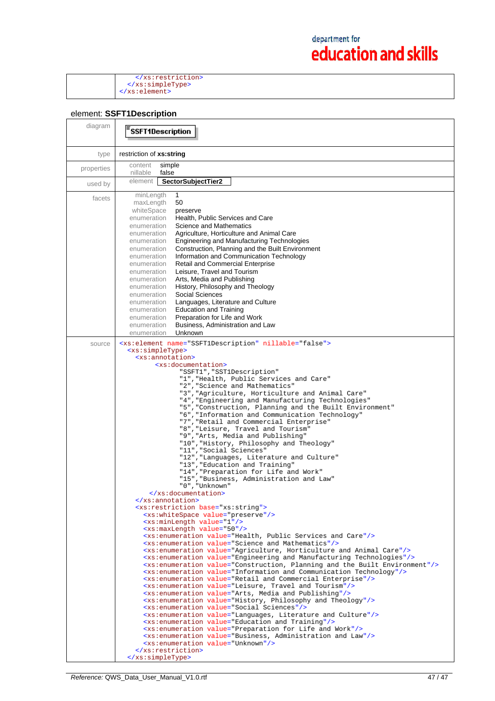</xs:restriction> </xs:simpleType> </xs:element>

### element: **SSFT1Description**

| diagram    | SSFT1Description                                                                                                                                                                                                                                                                                                                                                                                                                                                                                                                                                                                                                                                                                                                                                                                                                                                                                                                                                                                                                                                                                                                                                                                                                                                                                                                                                                                                                                                                                                                                                                                                                                                                                                                                                                                                                                                                                                                                                                                                                                                                                                                                                                                                                                                                                                                                                                                                                                                                    |
|------------|-------------------------------------------------------------------------------------------------------------------------------------------------------------------------------------------------------------------------------------------------------------------------------------------------------------------------------------------------------------------------------------------------------------------------------------------------------------------------------------------------------------------------------------------------------------------------------------------------------------------------------------------------------------------------------------------------------------------------------------------------------------------------------------------------------------------------------------------------------------------------------------------------------------------------------------------------------------------------------------------------------------------------------------------------------------------------------------------------------------------------------------------------------------------------------------------------------------------------------------------------------------------------------------------------------------------------------------------------------------------------------------------------------------------------------------------------------------------------------------------------------------------------------------------------------------------------------------------------------------------------------------------------------------------------------------------------------------------------------------------------------------------------------------------------------------------------------------------------------------------------------------------------------------------------------------------------------------------------------------------------------------------------------------------------------------------------------------------------------------------------------------------------------------------------------------------------------------------------------------------------------------------------------------------------------------------------------------------------------------------------------------------------------------------------------------------------------------------------------------|
| type       | restriction of xs:string                                                                                                                                                                                                                                                                                                                                                                                                                                                                                                                                                                                                                                                                                                                                                                                                                                                                                                                                                                                                                                                                                                                                                                                                                                                                                                                                                                                                                                                                                                                                                                                                                                                                                                                                                                                                                                                                                                                                                                                                                                                                                                                                                                                                                                                                                                                                                                                                                                                            |
| properties | content<br>simple<br>nillable<br>false                                                                                                                                                                                                                                                                                                                                                                                                                                                                                                                                                                                                                                                                                                                                                                                                                                                                                                                                                                                                                                                                                                                                                                                                                                                                                                                                                                                                                                                                                                                                                                                                                                                                                                                                                                                                                                                                                                                                                                                                                                                                                                                                                                                                                                                                                                                                                                                                                                              |
| used by    | SectorSubjectTier2<br>element                                                                                                                                                                                                                                                                                                                                                                                                                                                                                                                                                                                                                                                                                                                                                                                                                                                                                                                                                                                                                                                                                                                                                                                                                                                                                                                                                                                                                                                                                                                                                                                                                                                                                                                                                                                                                                                                                                                                                                                                                                                                                                                                                                                                                                                                                                                                                                                                                                                       |
| facets     | minLength<br>1<br>50<br>maxLength<br>whiteSpace<br>preserve<br>Health. Public Services and Care<br>enumeration<br>Science and Mathematics<br>enumeration<br>Agriculture, Horticulture and Animal Care<br>enumeration<br>Engineering and Manufacturing Technologies<br>enumeration<br>Construction, Planning and the Built Environment<br>enumeration<br>Information and Communication Technology<br>enumeration<br><b>Retail and Commercial Enterprise</b><br>enumeration<br>Leisure, Travel and Tourism<br>enumeration<br>Arts, Media and Publishing<br>enumeration                                                                                                                                                                                                                                                                                                                                                                                                                                                                                                                                                                                                                                                                                                                                                                                                                                                                                                                                                                                                                                                                                                                                                                                                                                                                                                                                                                                                                                                                                                                                                                                                                                                                                                                                                                                                                                                                                                                |
|            | History, Philosophy and Theology<br>enumeration<br>Social Sciences<br>enumeration<br>Languages, Literature and Culture<br>enumeration<br><b>Education and Training</b><br>enumeration<br>Preparation for Life and Work<br>enumeration<br>Business, Administration and Law<br>enumeration<br>Unknown<br>enumeration                                                                                                                                                                                                                                                                                                                                                                                                                                                                                                                                                                                                                                                                                                                                                                                                                                                                                                                                                                                                                                                                                                                                                                                                                                                                                                                                                                                                                                                                                                                                                                                                                                                                                                                                                                                                                                                                                                                                                                                                                                                                                                                                                                  |
| source     | <xs:element name="SSFT1Description" nillable="false"><br/><xs:simpletype><br/><xs:annotation><br/><xs:documentation><br/>"SSFT1", "SST1Description"<br/>"1", "Health, Public Services and Care"<br/>"2", "Science and Mathematics"<br/>"3", "Agriculture, Horticulture and Animal Care"<br/>"4", "Engineering and Manufacturing Technologies"<br/>"5", "Construction, Planning and the Built Environment"<br/>"6", "Information and Communication Technology"<br/>"7", "Retail and Commercial Enterprise"<br/>"8", "Leisure, Travel and Tourism"<br/>"9", "Arts, Media and Publishing"<br/>"10", "History, Philosophy and Theology"<br/>"11", "Social Sciences"<br/>"12", "Languages, Literature and Culture"<br/>"13", "Education and Training"<br/>"14", "Preparation for Life and Work"<br/>"15", "Business, Administration and Law"<br/>"0", "Unknown"<br/></xs:documentation><br/><math>\langle x \rangle</math> : annotation&gt;<br/><xs:restriction base="xs:string"><br/><xs:whitespace value="preserve"></xs:whitespace><br/><xs:minlength value="1"></xs:minlength><br/><xs:maxlength value="50"></xs:maxlength><br/><xs:enumeration value="Health, Public Services and Care"></xs:enumeration><br/><xs:enumeration value="Science and Mathematics"></xs:enumeration><br/><xs:enumeration value="Agriculture, Horticulture and Animal Care"></xs:enumeration><br/><xs:enumeration value="Engineering and Manufacturing Technologies"></xs:enumeration><br/><xs:enumeration value="Construction, Planning and the Built Environment"></xs:enumeration><br/><xs:enumeration value="Information and Communication Technology"></xs:enumeration><br/><xs:enumeration value="Retail and Commercial Enterprise"></xs:enumeration><br/><xs:enumeration value="Leisure, Travel and Tourism"></xs:enumeration><br/><xs:enumeration value="Arts, Media and Publishing"></xs:enumeration><br/><xs:enumeration value="History, Philosophy and Theology"></xs:enumeration><br/><xs:enumeration value="Social Sciences"></xs:enumeration><br/><xs:enumeration value="Languages, Literature and Culture"></xs:enumeration><br/><xs:enumeration value="Education and Training"></xs:enumeration><br/><xs:enumeration value="Preparation for Life and Work"></xs:enumeration><br/><xs:enumeration value="Business, Administration and Law"></xs:enumeration><br/><xs:enumeration value="Unknown"></xs:enumeration><br/></xs:restriction><br/></xs:annotation></xs:simpletype></xs:element> |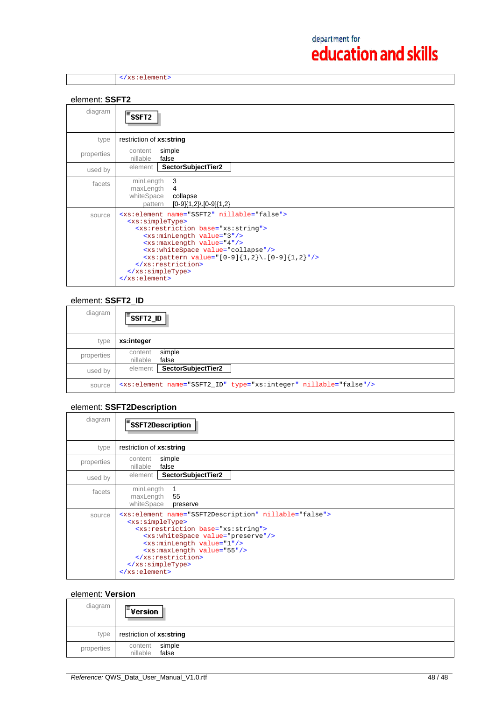</xs:element>

element: **SSFT2**

| diagram    | 'SSFT2                                                                                                                                                                                                                                                                                                                                                                                                                                                  |
|------------|---------------------------------------------------------------------------------------------------------------------------------------------------------------------------------------------------------------------------------------------------------------------------------------------------------------------------------------------------------------------------------------------------------------------------------------------------------|
| type       | restriction of xs:string                                                                                                                                                                                                                                                                                                                                                                                                                                |
| properties | simple<br>content<br>nillable<br>false                                                                                                                                                                                                                                                                                                                                                                                                                  |
| used by    | element<br>SectorSubjectTier2                                                                                                                                                                                                                                                                                                                                                                                                                           |
| facets     | 3<br>minLength<br>maxLength<br>4<br>whiteSpace<br>collapse<br>$[0-9]{1,2}$ . $[0-9]{1,2}$<br>pattern                                                                                                                                                                                                                                                                                                                                                    |
| source     | <xs:element name="SSFT2" nillable="false"><br/><xs:simpletype><br/><xs:restriction base="xs:string"><br/><xs:minlength value="3"></xs:minlength><br/><xs:maxlength value="4"></xs:maxlength><br/><xs:whitespace value="collapse"></xs:whitespace><br/><xs:pattern value="&lt;math&gt;[0-9]{1,2}\.\ [0-9]{1,2}&lt;/math&gt;"></xs:pattern><br/></xs:restriction><br/></xs:simpletype><br/><math>\langle x s : \text{element} \rangle</math></xs:element> |

### element: **SSFT2\_ID**

| diagram    | $\mathsf{F}_{\mathsf{SSFT2\_ID}}$                                            |
|------------|------------------------------------------------------------------------------|
| type       | xs:integer                                                                   |
| properties | simple<br>content<br>nillable<br>false                                       |
| used by    | SectorSubjectTier2<br>element                                                |
| source     | <xs:element name="SSFT2_ID" nillable="false" type="xs:integer"></xs:element> |

## element: **SSFT2Description**

| diagram    | <b>SSFT2Description</b>                                                                                                                                                                                                                                                                                                                                             |
|------------|---------------------------------------------------------------------------------------------------------------------------------------------------------------------------------------------------------------------------------------------------------------------------------------------------------------------------------------------------------------------|
| type       | restriction of xs:string                                                                                                                                                                                                                                                                                                                                            |
| properties | simple<br>content<br>nillable<br>false                                                                                                                                                                                                                                                                                                                              |
| used by    | SectorSubjectTier2<br>element                                                                                                                                                                                                                                                                                                                                       |
| facets     | minLength<br>maxLength<br>55<br>whiteSpace<br>preserve                                                                                                                                                                                                                                                                                                              |
| source     | <xs:element name="SSFT2Description" nillable="false"><br/><xs:simpletype><br/><xs:restriction base="xs:string"><br/><xs:whitespace value="preserve"></xs:whitespace><br/><xs:minlength value="1"></xs:minlength><br/><xs:maxlength value="55"></xs:maxlength><br/></xs:restriction><br/></xs:simpletype><br/><math>\langle xs : element \rangle</math></xs:element> |

#### element: **Version**

| diagram    | $\bar{z}$ Version                      |
|------------|----------------------------------------|
| type       | restriction of xs:string               |
| properties | simple<br>content<br>false<br>nillable |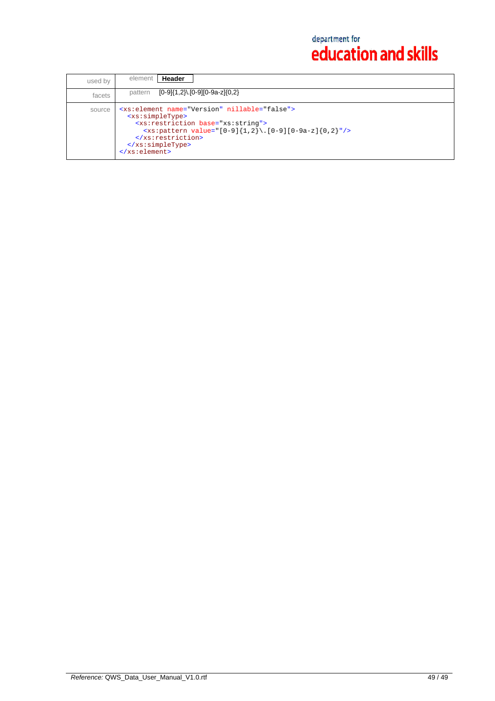| used by | Header<br>element                                                                                                                                                                                                                                                                                                        |
|---------|--------------------------------------------------------------------------------------------------------------------------------------------------------------------------------------------------------------------------------------------------------------------------------------------------------------------------|
| facets  | [0-9]{1,2}\.[0-9][0-9a-z]{0,2}<br>pattern                                                                                                                                                                                                                                                                                |
| source  | <xs:element name="Version" nillable="false"><br/><xs:simpletype><br/><xs: base="xs: string" restriction=""><br/><xs:pattern value="[0-9]{1,2}\.[0-9][0-9a-z]{0,2}"></xs:pattern><br/><br/><math>\langle x s : simpleType \rangle</math><br/><math>\langle xs : element \rangle</math></xs:></xs:simpletype></xs:element> |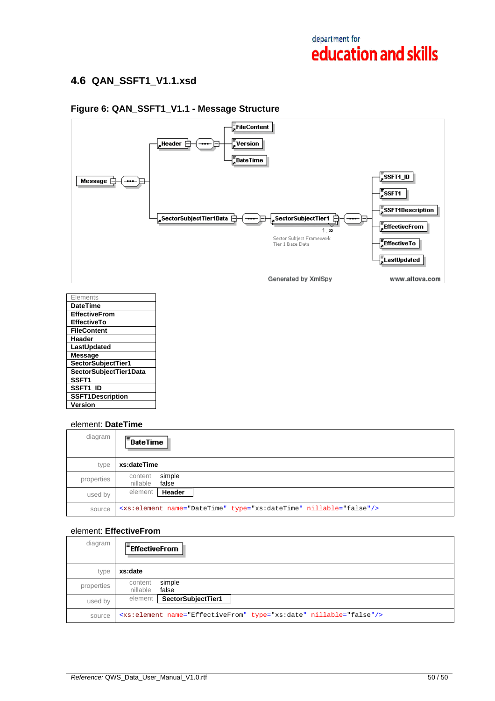## **4.6 QAN\_SSFT1\_V1.1.xsd**

#### $\sqrt{\frac{2}{3}}$ FileContent  $\frac{1}{2}$ Version , Header  $\overline{\ominus}$ 闩  $\frac{1}{2}$ DateTime  $\sqrt{\frac{1}{2}}$ ssft1\_id $\sqrt{\frac{1}{2}}$ Message  $\equiv$  $\sqrt{\frac{2}{5}}$ SSFT1  $\frac{1}{2}$ SSFT1Description "SectorSubjectTier1Data SectorSubjectTier1 口 ⊏  $\frac{1}{4}$ EffectiveFrom 1. $\infty$ Sector Subject Framework<br>Tier 1 Base Data  $\frac{1}{\sqrt{2}}$  Effective To  $\frac{1}{\sqrt{2}}$ LastUpdated Generated by XmlSpy www.altova.com

## **Figure 6: QAN\_SSFT1\_V1.1 - Message Structure**

| Elements                |
|-------------------------|
| <b>DateTime</b>         |
| <b>EffectiveFrom</b>    |
| <b>EffectiveTo</b>      |
| <b>FileContent</b>      |
| Header                  |
| LastUpdated             |
| <b>Message</b>          |
| SectorSubjectTier1      |
| SectorSubjectTier1Data  |
| SSFT1                   |
| SSFT1 ID                |
| <b>SSFT1Description</b> |
| Version                 |

## element: **DateTime**

| diagram    | $\sqrt{\frac{2}{3}}$ DateTime                                                 |
|------------|-------------------------------------------------------------------------------|
| type       | xs:dateTime                                                                   |
| properties | simple<br>content<br>nillable<br>false                                        |
| used by    | Header<br>element                                                             |
| source     | <xs:element name="DateTime" nillable="false" type="xs:dateTime"></xs:element> |

### element: **EffectiveFrom**

| diagram    | $F$ EffectiveFrom                                                              |
|------------|--------------------------------------------------------------------------------|
| type       | xs:date                                                                        |
| properties | simple<br>content<br>nillable<br>false                                         |
| used by    | SectorSubjectTier1<br>element                                                  |
| source     | <xs:element name="EffectiveFrom" nillable="false" type="xs:date"></xs:element> |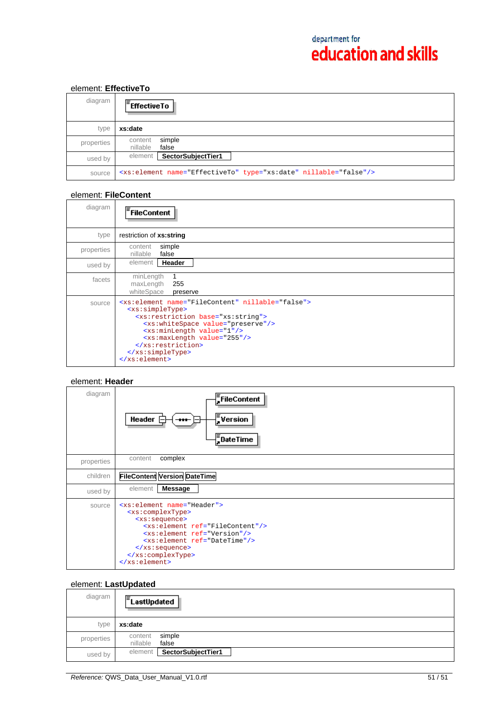## element: **EffectiveTo**

| diagram    | <b>Effective To</b>                                                          |
|------------|------------------------------------------------------------------------------|
| type       | xs:date                                                                      |
| properties | simple<br>content<br>nillable<br>false                                       |
| used by    | SectorSubjectTier1<br>element                                                |
| source     | <xs:element name="EffectiveTo" nillable="false" type="xs:date"></xs:element> |

### element: **FileContent**

| diagram    | <sup>:</sup> FileContent                                                                                                                                                                                                                                                                                                                                                |
|------------|-------------------------------------------------------------------------------------------------------------------------------------------------------------------------------------------------------------------------------------------------------------------------------------------------------------------------------------------------------------------------|
| type       | restriction of xs:string                                                                                                                                                                                                                                                                                                                                                |
| properties | simple<br>content<br>false<br>nillable                                                                                                                                                                                                                                                                                                                                  |
| used by    | Header<br>element                                                                                                                                                                                                                                                                                                                                                       |
| facets     | minLength<br>maxLength<br>255<br>whiteSpace<br>preserve                                                                                                                                                                                                                                                                                                                 |
| source     | <xs:element name="FileContent" nillable="false"><br/><xs:simpletype><br/><xs:restriction base="xs:string"><br/><xs:whitespace value="preserve"></xs:whitespace><br/><xs:minlength value="1"></xs:minlength><br/><xs:maxlength value="255"></xs:maxlength><br/></xs:restriction><br/></xs:simpletype><br/><math>\langle x s : \text{element} \rangle</math></xs:element> |

### element: **Header**

| diagram    | FileContent<br>$\sqrt{\frac{1}{n}}$ Version<br>Header $\mathsf{F}$<br>$\bf{H}$<br>$\bar{=}$ DateTime                                                                                                                                                                                                                    |
|------------|-------------------------------------------------------------------------------------------------------------------------------------------------------------------------------------------------------------------------------------------------------------------------------------------------------------------------|
| properties | complex<br>content                                                                                                                                                                                                                                                                                                      |
| children   | <b>FileContent Version DateTime</b>                                                                                                                                                                                                                                                                                     |
| used by    | <b>Message</b><br>element                                                                                                                                                                                                                                                                                               |
| source     | <xs:element name="Header"><br/><xs:complextype><br/><xs:sequence><br/><xs:element ref="FileContent"></xs:element><br/><xs:element ref="Version"></xs:element><br/><xs:element ref="DateTime"></xs:element><br/><math>\langle x s : \text{sequence} \rangle</math><br/></xs:sequence></xs:complextype><br/></xs:element> |

## element: **LastUpdated**

| diagram    | $E$ LastUpdated                        |
|------------|----------------------------------------|
| type       | xs:date                                |
| properties | simple<br>content<br>nillable<br>false |
| used by    | SectorSubjectTier1<br>element          |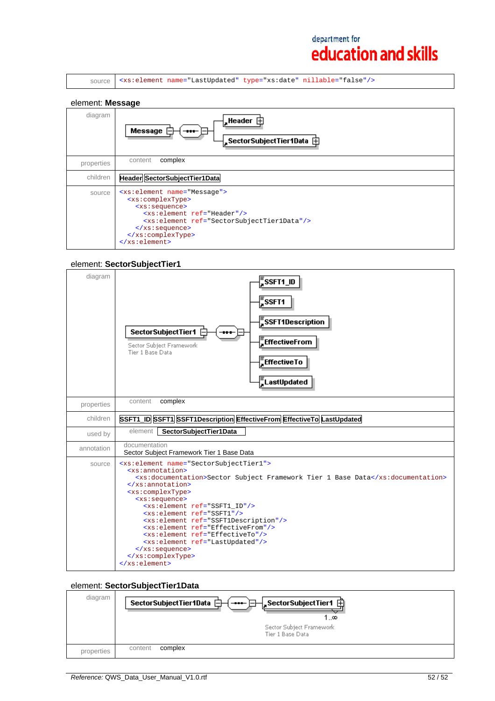|  |  |  |  | source   <xs:element name="LastUpdated" nillable="false" type="xs:date"></xs:element> |  |
|--|--|--|--|---------------------------------------------------------------------------------------|--|
|--|--|--|--|---------------------------------------------------------------------------------------|--|

#### element: **Message**

| diagram    | Message<br>$\blacksquare$                                                                                                                                                                                                                                                                                                             |
|------------|---------------------------------------------------------------------------------------------------------------------------------------------------------------------------------------------------------------------------------------------------------------------------------------------------------------------------------------|
| properties | complex<br>content                                                                                                                                                                                                                                                                                                                    |
| children   | Header SectorSubjectTier1Data                                                                                                                                                                                                                                                                                                         |
| source     | <xs:element name="Message"><br/><xs:complextype><br/><xs:sequence><br/><xs:element ref="Header"></xs:element><br/><xs:element ref="SectorSubjectTier1Data"></xs:element><br/><math>\langle xs : \text{sequence} \rangle</math><br/></xs:sequence></xs:complextype><br/><math>\langle x s : \text{element} \rangle</math></xs:element> |

# element: **SectorSubjectTier1**

| diagram    | _<br>_SSFT1_ID<br>$\bar{z}$ ssft1<br>$\frac{1}{4}$ SSFT1Description<br>SectorSubjectTier1 <b>E</b><br>EffectiveFrom<br>Sector Subject Framework<br>Tier 1 Base Data<br>EffectiveTo<br>ELastUpdated                                                                                                                                                                                                                                                                                                                                                                                                                  |
|------------|---------------------------------------------------------------------------------------------------------------------------------------------------------------------------------------------------------------------------------------------------------------------------------------------------------------------------------------------------------------------------------------------------------------------------------------------------------------------------------------------------------------------------------------------------------------------------------------------------------------------|
| properties | complex<br>content                                                                                                                                                                                                                                                                                                                                                                                                                                                                                                                                                                                                  |
| children   | SSFT1_ID SSFT1 SSFT1Description EffectiveFrom EffectiveTo LastUpdated                                                                                                                                                                                                                                                                                                                                                                                                                                                                                                                                               |
| used by    | SectorSubjectTier1Data<br>element                                                                                                                                                                                                                                                                                                                                                                                                                                                                                                                                                                                   |
| annotation | documentation<br>Sector Subject Framework Tier 1 Base Data                                                                                                                                                                                                                                                                                                                                                                                                                                                                                                                                                          |
| source     | <xs:element name="SectorSubjectTier1"><br/><xs:annotation><br/><xs:documentation>Sector Subject Framework Tier 1 Base Data</xs:documentation><br/></xs:annotation><br/><xs:complextype><br/><xs:sequence><br/><xs:element ref="SSFT1 ID"></xs:element><br/><xs:element ref="SSFT1"></xs:element><br/><xs:element ref="SSFT1Description"></xs:element><br/><xs:element ref="EffectiveFrom"></xs:element><br/><xs:element ref="EffectiveTo"></xs:element><br/><xs:element ref="LastUpdated"></xs:element><br/><math>\langle xs : \text{sequence} \rangle</math><br/></xs:sequence></xs:complextype><br/></xs:element> |

## element: **SectorSubjectTier1Data**

| diagram    | SectorSubjectTier1Data 白------ 日---SectorSubjectTier1 由<br>1…∞ |
|------------|----------------------------------------------------------------|
|            | Sector Subject Framework<br>Tier 1 Base Data                   |
| properties | complex<br>content                                             |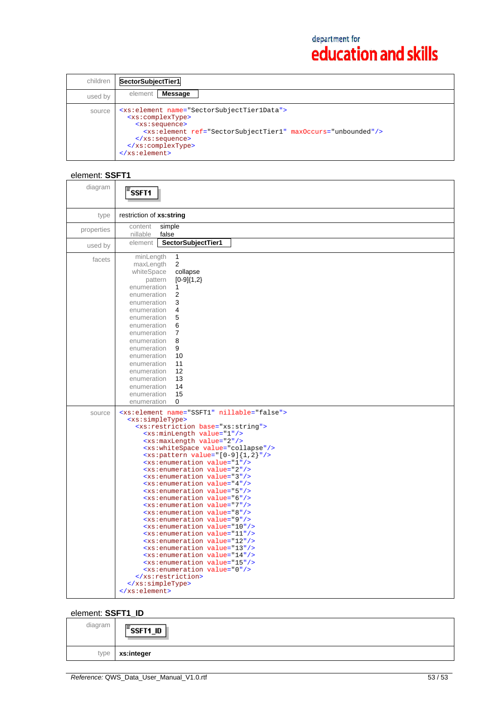| children | SectorSubjectTier1                                                                                                                                                                                                                                                                                                          |
|----------|-----------------------------------------------------------------------------------------------------------------------------------------------------------------------------------------------------------------------------------------------------------------------------------------------------------------------------|
| used by  | Message<br>element                                                                                                                                                                                                                                                                                                          |
| source   | <xs:element name="SectorSubjectTier1Data"><br/><xs:complextype><br/><xs:sequence><br/><xs:element maxoccurs="unbounded" ref="SectorSubjectTier1"></xs:element><br/><math>\langle xs : \text{sequence} \rangle</math><br/></xs:sequence></xs:complextype><br/><math>\langle x s : \text{element} \rangle</math></xs:element> |

# element: **SSFT1**

| diagram    | SSFT <sub>1</sub>                                                                                                                                                                                                                                                                                                                                                                                                                                                                                                                                                                                                                                                                                                                                                                                                                                                                                                                                                                                                                                                                                                                                                                          |
|------------|--------------------------------------------------------------------------------------------------------------------------------------------------------------------------------------------------------------------------------------------------------------------------------------------------------------------------------------------------------------------------------------------------------------------------------------------------------------------------------------------------------------------------------------------------------------------------------------------------------------------------------------------------------------------------------------------------------------------------------------------------------------------------------------------------------------------------------------------------------------------------------------------------------------------------------------------------------------------------------------------------------------------------------------------------------------------------------------------------------------------------------------------------------------------------------------------|
| type       | restriction of xs:string                                                                                                                                                                                                                                                                                                                                                                                                                                                                                                                                                                                                                                                                                                                                                                                                                                                                                                                                                                                                                                                                                                                                                                   |
| properties | simple<br>content<br>false<br>nillable                                                                                                                                                                                                                                                                                                                                                                                                                                                                                                                                                                                                                                                                                                                                                                                                                                                                                                                                                                                                                                                                                                                                                     |
| used by    | element<br>SectorSubjectTier1                                                                                                                                                                                                                                                                                                                                                                                                                                                                                                                                                                                                                                                                                                                                                                                                                                                                                                                                                                                                                                                                                                                                                              |
| facets     | minLength<br>$\mathbf{1}$<br>2<br>maxLength<br>collapse<br>whiteSpace<br>$[0-9]{1,2}$<br>pattern<br>enumeration<br>$\mathbf{1}$<br>2<br>enumeration<br>3<br>enumeration<br>4<br>enumeration<br>5<br>enumeration<br>6<br>enumeration<br>$\overline{7}$<br>enumeration<br>8<br>enumeration<br>9<br>enumeration<br>10<br>enumeration<br>enumeration<br>11<br>12<br>enumeration<br>13<br>enumeration<br>14<br>enumeration<br>15<br>enumeration<br>enumeration<br>$\Omega$                                                                                                                                                                                                                                                                                                                                                                                                                                                                                                                                                                                                                                                                                                                      |
| source     | <xs:element name="SSFT1" nillable="false"><br/><xs:simpletype><br/><xs:restriction base="xs:string"><br/><xs:minlength value="1"></xs:minlength><br/><xs:maxlength value="2"></xs:maxlength><br/><xs:whitespace value="collapse"></xs:whitespace><br/><math><xs< math="">: pattern value="[0-9]{1,2}"/&gt;<br/><xs:enumeration value="1"></xs:enumeration><br/><xs:enumeration value="2"></xs:enumeration><br/><xs:enumeration value="3"></xs:enumeration><br/><xs:enumeration value="4"></xs:enumeration><br/><xs:enumeration value="5"></xs:enumeration><br/><xs:enumeration value="6"></xs:enumeration><br/><xs:enumeration value="7"></xs:enumeration><br/><xs:enumeration value="8"></xs:enumeration><br/><xs:enumeration value="9"></xs:enumeration><br/><xs:enumeration value="10"></xs:enumeration><br/><xs:enumeration value="11"></xs:enumeration><br/><xs:enumeration value="12"></xs:enumeration><br/><xs:enumeration value="13"></xs:enumeration><br/><xs:enumeration value="14"></xs:enumeration><br/><xs:enumeration value="15"></xs:enumeration><br/><xs:enumeration value="0"></xs:enumeration><br/></xs<></math></xs:restriction><br/></xs:simpletype><br/></xs:element> |

## element: **SSFT1\_ID**

| diagram | $\bar{z}$ ssft1_id<br>I. |
|---------|--------------------------|
| type    | xs:integer               |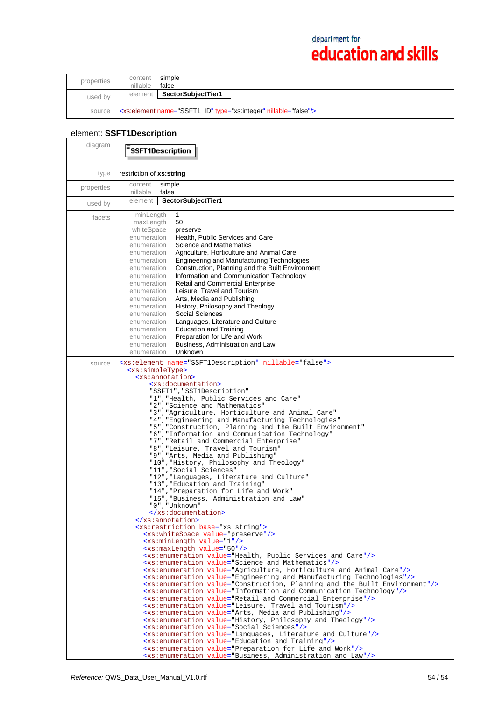| properties | content<br>nillable | simple<br>false                                                              |  |
|------------|---------------------|------------------------------------------------------------------------------|--|
| used by    | element             | SectorSubjectTier1                                                           |  |
| source     |                     | <xs:element name="SSFT1_ID" nillable="false" type="xs:integer"></xs:element> |  |

# element: **SSFT1Description**

| diagram    | <b>SSFT1Description</b>                                                                                                                                                                                                                                                                                                                                                                                                                                                                                                                                                                                                                                                                                                                                                                                                                                                                                                                                                                                                                                                                                                                                                                                                                                                                                                                                                                                                                                                                                                                                                                                                                                                                                                                                                                                                                                                                                                                                                                                                                                                                                                                                                                                                                                                         |  |
|------------|---------------------------------------------------------------------------------------------------------------------------------------------------------------------------------------------------------------------------------------------------------------------------------------------------------------------------------------------------------------------------------------------------------------------------------------------------------------------------------------------------------------------------------------------------------------------------------------------------------------------------------------------------------------------------------------------------------------------------------------------------------------------------------------------------------------------------------------------------------------------------------------------------------------------------------------------------------------------------------------------------------------------------------------------------------------------------------------------------------------------------------------------------------------------------------------------------------------------------------------------------------------------------------------------------------------------------------------------------------------------------------------------------------------------------------------------------------------------------------------------------------------------------------------------------------------------------------------------------------------------------------------------------------------------------------------------------------------------------------------------------------------------------------------------------------------------------------------------------------------------------------------------------------------------------------------------------------------------------------------------------------------------------------------------------------------------------------------------------------------------------------------------------------------------------------------------------------------------------------------------------------------------------------|--|
| type       | restriction of xs:string                                                                                                                                                                                                                                                                                                                                                                                                                                                                                                                                                                                                                                                                                                                                                                                                                                                                                                                                                                                                                                                                                                                                                                                                                                                                                                                                                                                                                                                                                                                                                                                                                                                                                                                                                                                                                                                                                                                                                                                                                                                                                                                                                                                                                                                        |  |
| properties | simple<br>content<br>nillable<br>false                                                                                                                                                                                                                                                                                                                                                                                                                                                                                                                                                                                                                                                                                                                                                                                                                                                                                                                                                                                                                                                                                                                                                                                                                                                                                                                                                                                                                                                                                                                                                                                                                                                                                                                                                                                                                                                                                                                                                                                                                                                                                                                                                                                                                                          |  |
| used by    | element<br>SectorSubjectTier1                                                                                                                                                                                                                                                                                                                                                                                                                                                                                                                                                                                                                                                                                                                                                                                                                                                                                                                                                                                                                                                                                                                                                                                                                                                                                                                                                                                                                                                                                                                                                                                                                                                                                                                                                                                                                                                                                                                                                                                                                                                                                                                                                                                                                                                   |  |
| facets     | minLength<br>1<br>maxLength<br>50<br>whiteSpace<br>preserve<br>Health, Public Services and Care<br>enumeration<br>enumeration<br>Science and Mathematics<br>Agriculture, Horticulture and Animal Care<br>enumeration<br>Engineering and Manufacturing Technologies<br>enumeration<br>Construction, Planning and the Built Environment<br>enumeration<br>Information and Communication Technology<br>enumeration<br><b>Retail and Commercial Enterprise</b><br>enumeration<br>Leisure, Travel and Tourism<br>enumeration<br>Arts, Media and Publishing<br>enumeration<br>History, Philosophy and Theology<br>enumeration<br>Social Sciences<br>enumeration                                                                                                                                                                                                                                                                                                                                                                                                                                                                                                                                                                                                                                                                                                                                                                                                                                                                                                                                                                                                                                                                                                                                                                                                                                                                                                                                                                                                                                                                                                                                                                                                                       |  |
|            | Languages, Literature and Culture<br>enumeration<br><b>Education and Training</b><br>enumeration<br>Preparation for Life and Work<br>enumeration<br>Business, Administration and Law<br>enumeration<br>enumeration<br>Unknown                                                                                                                                                                                                                                                                                                                                                                                                                                                                                                                                                                                                                                                                                                                                                                                                                                                                                                                                                                                                                                                                                                                                                                                                                                                                                                                                                                                                                                                                                                                                                                                                                                                                                                                                                                                                                                                                                                                                                                                                                                                   |  |
| source     | <xs:element name="SSFT1Description" nillable="false"><br/><xs:simpletype><br/><xs:annotation><br/><xs:documentation><br/>"SSFT1", "SST1Description"<br/>"1", "Health, Public Services and Care"<br/>"2", "Science and Mathematics"<br/>"3", "Agriculture, Horticulture and Animal Care"<br/>"4", "Engineering and Manufacturing Technologies"<br/>"5", "Construction, Planning and the Built Environment"<br/>"6", "Information and Communication Technology"<br/>"7", "Retail and Commercial Enterprise"<br/>"8", "Leisure, Travel and Tourism"<br/>"9", "Arts, Media and Publishing"<br/>"10", "History, Philosophy and Theology"<br/>"11", "Social Sciences"<br/>"12", "Languages, Literature and Culture"<br/>"13", "Education and Training"<br/>"14", "Preparation for Life and Work"<br/>"15", "Business, Administration and Law"<br/>"0", "Unknown"<br/></xs:documentation><br/></xs:annotation><br/><xs: base="xs: string" restriction=""><br/><xs:whitespace value="preserve"></xs:whitespace><br/><xs:minlength value="1"></xs:minlength><br/><xs:maxlength value="50"></xs:maxlength><br/><xs:enumeration value="Health, Public Services and Care"></xs:enumeration><br/><xs:enumeration value="Science and Mathematics"></xs:enumeration><br/><xs:enumeration value="Agriculture, Horticulture and Animal Care"></xs:enumeration><br/><xs:enumeration value="Engineering and Manufacturing Technologies"></xs:enumeration><br/><xs:enumeration value="Construction, Planning and the Built Environment"></xs:enumeration><br/><xs:enumeration value="Information and Communication Technology"></xs:enumeration><br/><xs:enumeration value="Retail and Commercial Enterprise"></xs:enumeration><br/><xs:enumeration value="Leisure, Travel and Tourism"></xs:enumeration><br/><xs:enumeration value="Arts, Media and Publishing"></xs:enumeration><br/><xs:enumeration value="History, Philosophy and Theology"></xs:enumeration><br/><xs:enumeration value="Social Sciences"></xs:enumeration><br/><xs:enumeration value="Languages, Literature and Culture"></xs:enumeration><br/><xs:enumeration value="Education and Training"></xs:enumeration><br/><xs:enumeration value="Preparation for Life and Work"></xs:enumeration></xs:></xs:simpletype></xs:element> |  |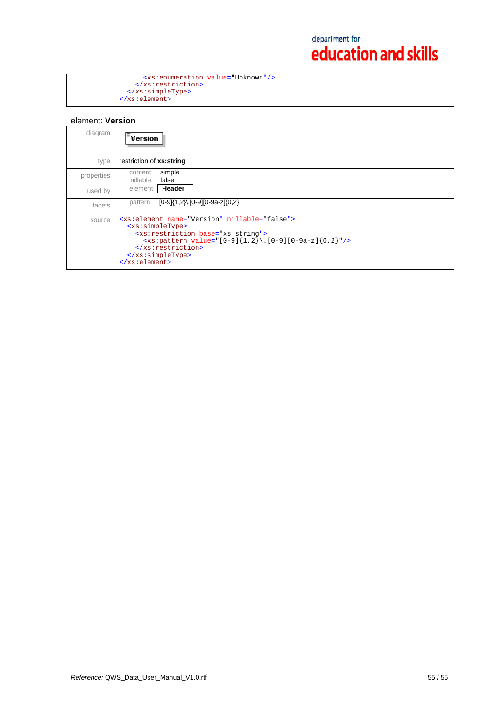|                                        | <xs:enumeration value="Unknown"></xs:enumeration> |
|----------------------------------------|---------------------------------------------------|
| $\langle x \rangle$ /xs: restriction>  |                                                   |
| $\langle x s : simpleType \rangle$     |                                                   |
| $\langle x s : \text{element} \rangle$ |                                                   |

## element: **Version**

| diagram    | $\mathsf{\bar{F}_{Version}}$                                                                                                                                                                                                                          |
|------------|-------------------------------------------------------------------------------------------------------------------------------------------------------------------------------------------------------------------------------------------------------|
| type       | restriction of xs:string                                                                                                                                                                                                                              |
| properties | simple<br>content<br>false<br>nillable                                                                                                                                                                                                                |
| used by    | Header<br>element                                                                                                                                                                                                                                     |
| facets     | $[0-9]{1,2}$ . $[0-9][0-9a-z]{0,2}$<br>pattern                                                                                                                                                                                                        |
| source     | <xs:element name="Version" nillable="false"><br/><xs:simpletype><br/><xs:restriction base="xs:string"><br/><math>\langle x s :</math>pattern value="[0-9]{1,2}\.[0-9][0-9a-z]{0,2}"/&gt;<br/></xs:restriction><br/></xs:simpletype><br/></xs:element> |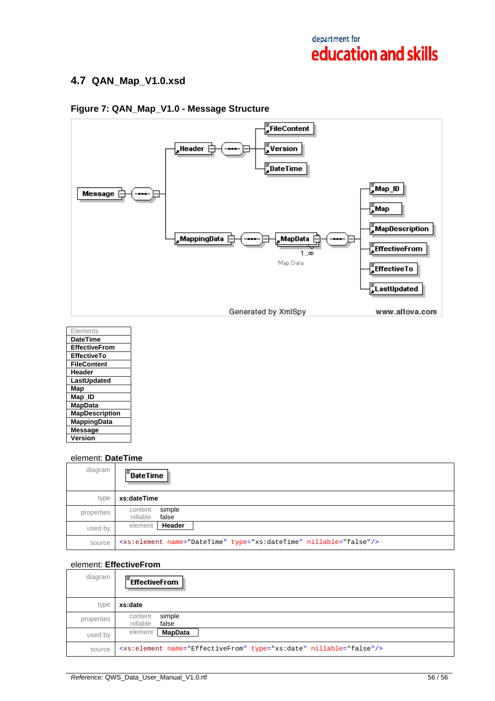## **4.7 QAN\_Map\_V1.0.xsd**

## **Figure 7: QAN\_Map\_V1.0 - Message Structure**



| Elements              |
|-----------------------|
| <b>DateTime</b>       |
| <b>EffectiveFrom</b>  |
| <b>EffectiveTo</b>    |
| <b>FileContent</b>    |
| Header                |
| LastUpdated           |
| Map                   |
| Map_ID                |
| <b>MapData</b>        |
| <b>MapDescription</b> |
| <b>MappingData</b>    |
| <b>Message</b>        |
| Version               |

### element: **DateTime**

| diagram    | $\overline{=}$ DateTime                                                       |
|------------|-------------------------------------------------------------------------------|
| type       | xs:dateTime                                                                   |
| properties | simple<br>content<br>false<br>nillable                                        |
| used by    | element   Header                                                              |
| source     | <xs:element name="DateTime" nillable="false" type="xs:dateTime"></xs:element> |

## element: **EffectiveFrom**

| diagram    | $E$ FffectiveFrom                                                              |
|------------|--------------------------------------------------------------------------------|
| type       | xs:date                                                                        |
| properties | simple<br>content<br>nillable<br>false                                         |
| used by    | <b>MapData</b><br>element                                                      |
| source     | <xs:element name="EffectiveFrom" nillable="false" type="xs:date"></xs:element> |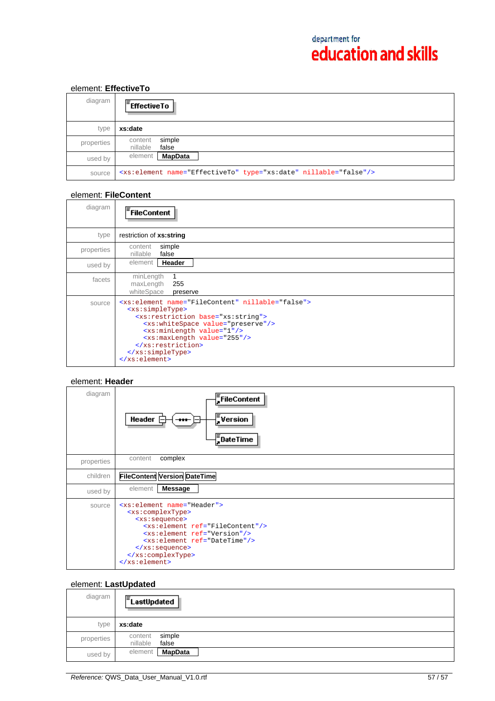## element: **EffectiveTo**

| diagram    | $F$ Effective To                                                             |
|------------|------------------------------------------------------------------------------|
| type       | xs:date                                                                      |
| properties | simple<br>content<br>nillable<br>false                                       |
| used by    | <b>MapData</b><br>element                                                    |
| source     | <xs:element name="EffectiveTo" nillable="false" type="xs:date"></xs:element> |

### element: **FileContent**

| diagram    | <sup>=</sup> FileContent                                                                                                                                                                                                                                                                                                                                          |
|------------|-------------------------------------------------------------------------------------------------------------------------------------------------------------------------------------------------------------------------------------------------------------------------------------------------------------------------------------------------------------------|
| type       | restriction of xs:string                                                                                                                                                                                                                                                                                                                                          |
| properties | simple<br>content<br>false<br>nillable                                                                                                                                                                                                                                                                                                                            |
| used by    | Header<br>element                                                                                                                                                                                                                                                                                                                                                 |
| facets     | minLength<br>maxLength<br>255<br>whiteSpace<br>preserve                                                                                                                                                                                                                                                                                                           |
| source     | <xs:element name="FileContent" nillable="false"><br/><xs:simpletype><br/><xs: base="xs: string" restriction=""><br/><xs:whitespace value="preserve"></xs:whitespace><br/><xs:minlength value="1"></xs:minlength><br/><xs:maxlength value="255"></xs:maxlength><br/><br/></xs:></xs:simpletype><br/><math>\langle x s : \text{element} \rangle</math></xs:element> |

### element: **Header**

| diagram    | FileContent<br>$\sqrt{\frac{1}{n}}$ Version<br>Header $\mathsf{F}$<br>$\bf{H}$<br>$\bar{=}$ DateTime                                                                                                                                                                                                                    |
|------------|-------------------------------------------------------------------------------------------------------------------------------------------------------------------------------------------------------------------------------------------------------------------------------------------------------------------------|
| properties | complex<br>content                                                                                                                                                                                                                                                                                                      |
| children   | <b>FileContent Version DateTime</b>                                                                                                                                                                                                                                                                                     |
| used by    | <b>Message</b><br>element                                                                                                                                                                                                                                                                                               |
| source     | <xs:element name="Header"><br/><xs:complextype><br/><xs:sequence><br/><xs:element ref="FileContent"></xs:element><br/><xs:element ref="Version"></xs:element><br/><xs:element ref="DateTime"></xs:element><br/><math>\langle x s : \text{sequence} \rangle</math><br/></xs:sequence></xs:complextype><br/></xs:element> |

## element: **LastUpdated**

| diagram    | $E$ LastUpdated                        |
|------------|----------------------------------------|
| type       | xs:date                                |
| properties | simple<br>content<br>nillable<br>false |
| used by    | <b>MapData</b><br>element              |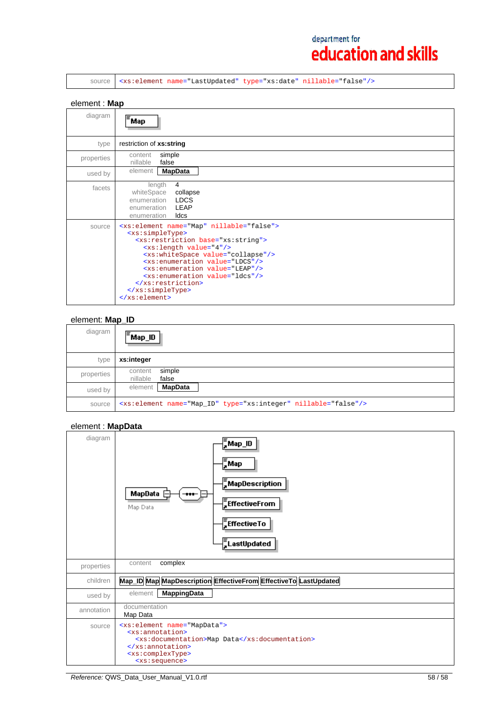source <xs:element name="LastUpdated" type="xs:date" nillable="false"/>

### element : **Map**

| diagram    | Map                                                                                                                                                                                                                                                                                                                                                                                                                                                          |
|------------|--------------------------------------------------------------------------------------------------------------------------------------------------------------------------------------------------------------------------------------------------------------------------------------------------------------------------------------------------------------------------------------------------------------------------------------------------------------|
| type       | restriction of xs:string                                                                                                                                                                                                                                                                                                                                                                                                                                     |
| properties | simple<br>content<br>nillable<br>false                                                                                                                                                                                                                                                                                                                                                                                                                       |
| used by    | <b>MapData</b><br>element                                                                                                                                                                                                                                                                                                                                                                                                                                    |
| facets     | 4<br>length<br>whiteSpace<br>collapse<br><b>LDCS</b><br>enumeration<br>LEAP<br>enumeration<br>Idcs<br>enumeration                                                                                                                                                                                                                                                                                                                                            |
| source     | <xs:element name="Map" nillable="false"><br/><xs:simpletype><br/><xs:restriction base="xs:string"><br/><xs:length value="4"></xs:length><br/><xs:whitespace value="collapse"></xs:whitespace><br/><xs:enumeration value="LDCS"></xs:enumeration><br/><xs:enumeration value="LEAP"></xs:enumeration><br/><xs:enumeration value="ldcs"></xs:enumeration><br/></xs:restriction><br/></xs:simpletype><br/><math>\langle xs : element \rangle</math></xs:element> |

### element: **Map\_ID**

| diagram    | $\overline{\overline{\phantom{a}}}$ Map_ID                                 |
|------------|----------------------------------------------------------------------------|
| type       | xs:integer                                                                 |
| properties | simple<br>content<br>nillable<br>false                                     |
| used by    | <b>MapData</b><br>element                                                  |
| source     | <xs:element name="Map_ID" nillable="false" type="xs:integer"></xs:element> |

## element : **MapData**

| diagram    | ∦<br>, Map_ID<br>$\frac{1}{2}$ Map<br>$\frac{1}{2}$ MapDescription<br>MapData<br><br>$\frac{F}{s}$ Effective From<br>Map Data<br>$\frac{1}{4}$ EffectiveTo<br><b>E</b> LastUpdated                        |
|------------|-----------------------------------------------------------------------------------------------------------------------------------------------------------------------------------------------------------|
| properties | complex<br>content                                                                                                                                                                                        |
| children   | Map_ID Map MapDescription EffectiveFrom EffectiveTo LastUpdated                                                                                                                                           |
| used by    | <b>MappingData</b><br>element                                                                                                                                                                             |
| annotation | documentation<br>Map Data                                                                                                                                                                                 |
| source     | <xs:element name="MapData"><br/><xs:annotation><br/><xs:documentation>Map Data</xs:documentation><br/></xs:annotation><br/><xs:complextype><br/><xs:sequence></xs:sequence></xs:complextype></xs:element> |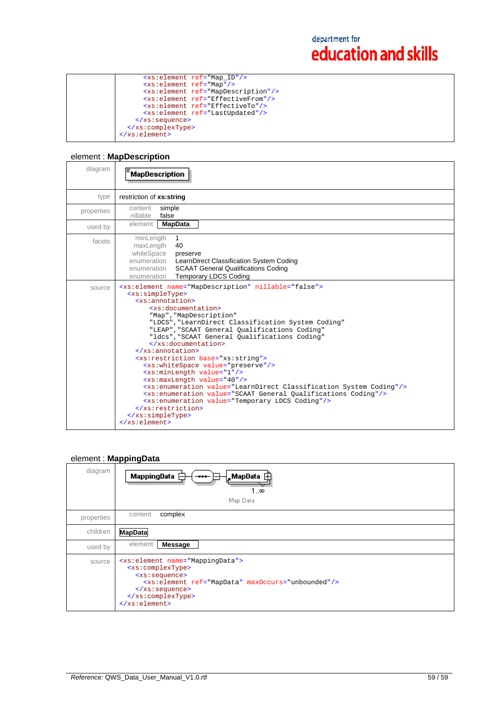|                                        | <xs:element ref="Map_ID"></xs:element>         |
|----------------------------------------|------------------------------------------------|
|                                        | <xs:element ref="Map"></xs:element>            |
|                                        | <xs:element ref="MapDescription"></xs:element> |
|                                        | <xs:element ref="EffectiveFrom"></xs:element>  |
|                                        | <xs:element ref="EffectiveTo"></xs:element>    |
|                                        | <xs:element ref="LastUpdated"></xs:element>    |
| $\langle xs : \text{sequence} \rangle$ |                                                |
|                                        |                                                |
|                                        |                                                |
|                                        |                                                |

## element : **MapDescription**

| diagram    | <b>MapDescription</b>                                                                                                                                                                                                                                                                                                                                                                                                                                                                                                                                                                                                                                                                                                                                                                                                                                                                                                                            |
|------------|--------------------------------------------------------------------------------------------------------------------------------------------------------------------------------------------------------------------------------------------------------------------------------------------------------------------------------------------------------------------------------------------------------------------------------------------------------------------------------------------------------------------------------------------------------------------------------------------------------------------------------------------------------------------------------------------------------------------------------------------------------------------------------------------------------------------------------------------------------------------------------------------------------------------------------------------------|
| type       | restriction of xs:string                                                                                                                                                                                                                                                                                                                                                                                                                                                                                                                                                                                                                                                                                                                                                                                                                                                                                                                         |
| properties | simple<br>content<br>nillable<br>false                                                                                                                                                                                                                                                                                                                                                                                                                                                                                                                                                                                                                                                                                                                                                                                                                                                                                                           |
| used by    | element<br><b>MapData</b>                                                                                                                                                                                                                                                                                                                                                                                                                                                                                                                                                                                                                                                                                                                                                                                                                                                                                                                        |
| facets     | minLength<br>$\mathbf{1}$<br>40<br>maxLength<br>whiteSpace<br>preserve<br>enumeration LearnDirect Classification System Coding<br>enumeration SCAAT General Qualifications Coding<br><b>Temporary LDCS Coding</b><br>enumeration                                                                                                                                                                                                                                                                                                                                                                                                                                                                                                                                                                                                                                                                                                                 |
| source     | <xs:element name="MapDescription" nillable="false"><br/><xs:simpletype><br/><xs:annotation><br/><xs:documentation><br/>"Map", "MapDescription"<br/>"LDCS", "LearnDirect Classification System Coding"<br/>"LEAP", "SCAAT General Qualifications Coding"<br/>"ldcs", "SCAAT General Qualifications Coding"<br/><math>\langle x s :</math>documentation&gt;<br/><math>\langle x \rangle</math> xs: annotation&gt;<br/><xs:restriction base="xs:string"><br/><xs:whitespace value="preserve"></xs:whitespace><br/><xs:minlength value="1"></xs:minlength><br/><xs:maxlength value="40"></xs:maxlength><br/><xs:enumeration value="LearnDirect Classification System Coding"></xs:enumeration><br/><xs:enumeration value="SCAAT General Qualifications Coding"></xs:enumeration><br/><xs:enumeration value="Temporary LDCS Coding"></xs:enumeration><br/></xs:restriction><br/></xs:documentation></xs:annotation></xs:simpletype><br/></xs:element> |

## element : **MappingData**

| diagram    | ,MapData ⊞<br>MappingData<br><br>1…∞<br>Map Data                                                                                                                                                                                                                                                      |
|------------|-------------------------------------------------------------------------------------------------------------------------------------------------------------------------------------------------------------------------------------------------------------------------------------------------------|
| properties | complex<br>content                                                                                                                                                                                                                                                                                    |
| children   | <b>MapData</b>                                                                                                                                                                                                                                                                                        |
| used by    | element<br><b>Message</b>                                                                                                                                                                                                                                                                             |
| source     | <xs:element name="MappingData"><br/><xs:complextype><br/><xs:sequence><br/><xs:element maxoccurs="unbounded" ref="MapData"></xs:element><br/><math>\langle xs : \text{sequence} \rangle</math><br/></xs:sequence></xs:complextype><br/><math>\langle x s : \text{element} \rangle</math></xs:element> |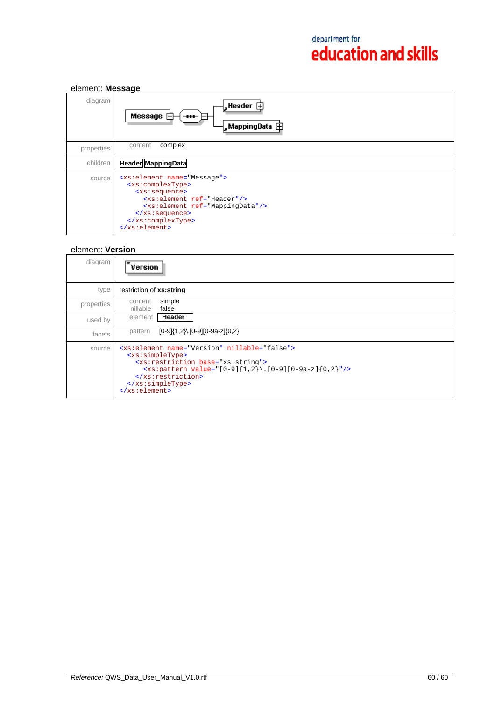| element: Message |                                                                                                                                                                                                                                                                                                                    |
|------------------|--------------------------------------------------------------------------------------------------------------------------------------------------------------------------------------------------------------------------------------------------------------------------------------------------------------------|
| diagram          | $\parallel$ , Header $\Box$<br>Message<br>$\blacksquare$                                                                                                                                                                                                                                                           |
| properties       | complex<br>content                                                                                                                                                                                                                                                                                                 |
| children         | <b>Header MappingData</b>                                                                                                                                                                                                                                                                                          |
| source           | <xs:element name="Message"><br/><xs:complextype><br/><xs:sequence><br/><xs:element ref="Header"></xs:element><br/><xs:element ref="MappingData"></xs:element><br/><math>\langle xs : \text{sequence} \rangle</math><br/></xs:sequence></xs:complextype><br/><math>\langle xs : element \rangle</math></xs:element> |

## element: **Version**

| diagram    | $\varepsilon$ version                                                                                                                                                                                                                                                             |
|------------|-----------------------------------------------------------------------------------------------------------------------------------------------------------------------------------------------------------------------------------------------------------------------------------|
| type       | restriction of xs:string                                                                                                                                                                                                                                                          |
| properties | simple<br>content<br>false<br>nillable                                                                                                                                                                                                                                            |
| used by    | Header<br>element                                                                                                                                                                                                                                                                 |
| facets     | $[0-9]{1,2}$ .[0-9][0-9a-z]{0,2}<br>pattern                                                                                                                                                                                                                                       |
| source     | <xs:element name="Version" nillable="false"><br/><xs:simpletype><br/><xs:restriction base="xs:string"><br/><xs:pattern value="[0-9]{1,2}\.[0-9][0-9a-z]{0,2}"></xs:pattern><br/></xs:restriction><br/></xs:simpletype><br/><math>\langle xs : element \rangle</math></xs:element> |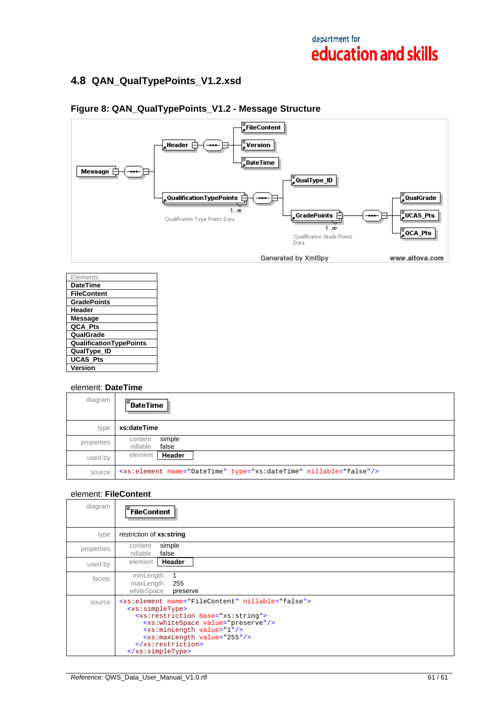## **4.8 QAN\_QualTypePoints\_V1.2.xsd**



## **Figure 8: QAN\_QualTypePoints\_V1.2 - Message Structure**

| Flements                       |
|--------------------------------|
| <b>DateTime</b>                |
| FileContent                    |
| <b>GradePoints</b>             |
| Header                         |
| Message                        |
| QCA Pts                        |
| QualGrade                      |
| <b>QualificationTypePoints</b> |
| QualType_ID                    |
| <b>UCAS Pts</b>                |
| Version                        |

### element: **DateTime**

| diagram    | $\mathsf{F}_{\mathsf{DateTime}}$                                              |
|------------|-------------------------------------------------------------------------------|
| type       | xs:dateTime                                                                   |
| properties | simple<br>content<br>nillable<br>false                                        |
| used by    | Header<br>element                                                             |
| source     | <xs:element name="DateTime" nillable="false" type="xs:dateTime"></xs:element> |

### element: **FileContent**

| diagram    | FileContent                                                                                                                                                                                                                                                                                                 |
|------------|-------------------------------------------------------------------------------------------------------------------------------------------------------------------------------------------------------------------------------------------------------------------------------------------------------------|
| type       | restriction of xs:string                                                                                                                                                                                                                                                                                    |
| properties | simple<br>content<br>nillable<br>false                                                                                                                                                                                                                                                                      |
| used by    | Header<br>element                                                                                                                                                                                                                                                                                           |
| facets     | minLength<br>1<br>maxLength<br>255<br>whiteSpace<br>preserve                                                                                                                                                                                                                                                |
| source     | <xs:element name="FileContent" nillable="false"><br/><xs:simpletype><br/><xs: base="xs: string" restriction=""><br/><xs:whitespace value="preserve"></xs:whitespace><br/><xs:minlength value="1"></xs:minlength><br/><xs:maxlength value="255"></xs:maxlength><br/><br/></xs:></xs:simpletype></xs:element> |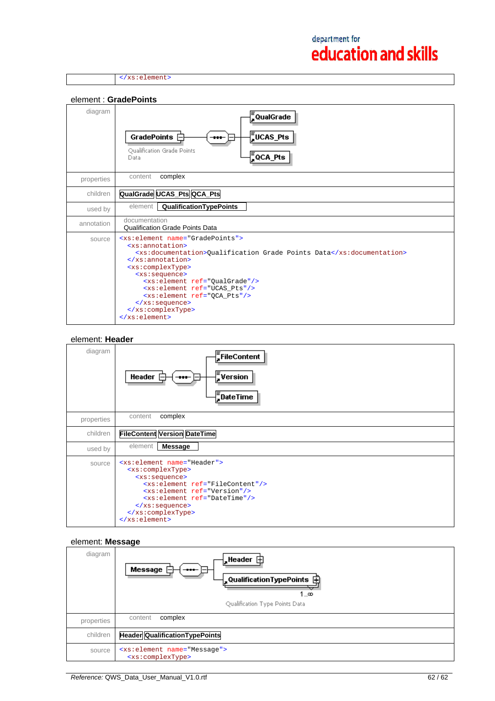</xs:element>



#### element: **Header**



#### element: **Message**

| diagram    | $\frac{1}{2}$ Header $\dot{\boxplus}$<br>Message<br>$\frac{1}{2}$ QualificationTypePoints $\Box$<br>1…∞<br>Qualification Type Points Data |
|------------|-------------------------------------------------------------------------------------------------------------------------------------------|
| properties | complex<br>content                                                                                                                        |
| children   | <b>Header QualificationTypePoints</b>                                                                                                     |
| source     | <xs:element name="Message"><br/><xs:complextype></xs:complextype></xs:element>                                                            |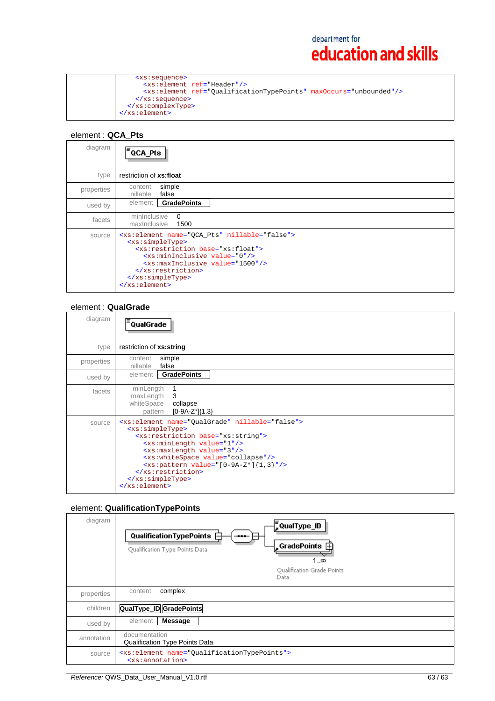# element : **QCA\_Pts**

| diagram    | <sup> ≡</sup> QCA_Pts                                                                                                                                                                                                                                                                                              |
|------------|--------------------------------------------------------------------------------------------------------------------------------------------------------------------------------------------------------------------------------------------------------------------------------------------------------------------|
| type       | restriction of xs:float                                                                                                                                                                                                                                                                                            |
| properties | simple<br>content<br>nillable<br>false                                                                                                                                                                                                                                                                             |
| used by    | <b>GradePoints</b><br>element                                                                                                                                                                                                                                                                                      |
| facets     | $\Omega$<br>minInclusive<br>maxinclusive<br>1500                                                                                                                                                                                                                                                                   |
| source     | <xs:element name="QCA_Pts" nillable="false"><br/><xs:simpletype><br/><xs:restriction base="xs:float"><br/><xs:mininclusive value="0"></xs:mininclusive><br/><xs:maxinclusive value="1500"></xs:maxinclusive><br/></xs:restriction><br/></xs:simpletype><br/><math>\langle xs : element \rangle</math></xs:element> |

## element : **QualGrade**

| diagram    | <sup>:</sup> QualGrade                                                                                                                                                                                                                                                                                                                                                                                                                        |
|------------|-----------------------------------------------------------------------------------------------------------------------------------------------------------------------------------------------------------------------------------------------------------------------------------------------------------------------------------------------------------------------------------------------------------------------------------------------|
| type       | restriction of xs:string                                                                                                                                                                                                                                                                                                                                                                                                                      |
| properties | simple<br>content<br>nillable<br>false                                                                                                                                                                                                                                                                                                                                                                                                        |
| used by    | <b>GradePoints</b><br>element                                                                                                                                                                                                                                                                                                                                                                                                                 |
| facets     | minLength<br>maxLength<br>3<br>whiteSpace<br>collapse<br>[0-9A-Z*]{1,3}<br>pattern                                                                                                                                                                                                                                                                                                                                                            |
| source     | <xs:element name="QualGrade" nillable="false"><br/><xs:simpletype><br/><xs:restriction base="xs:string"><br/><xs:minlength value="1"></xs:minlength><br/><xs:maxlength value="3"></xs:maxlength><br/><xs:whitespace value="collapse"></xs:whitespace><br/><math><xs< math="">: pattern value="[0-9A-Z*]{1,3}"/&gt;<br/></xs<></math></xs:restriction><br/></xs:simpletype><br/><math>\langle x s : \text{element} \rangle</math></xs:element> |

## element: **QualificationTypePoints**

| diagram    | , QualType_ID<br>Qualification Type Points $\Box$<br><br>Qualification Type Points Data<br>1…∞<br>Qualification Grade Points<br>Data |  |
|------------|--------------------------------------------------------------------------------------------------------------------------------------|--|
| properties | complex<br>content                                                                                                                   |  |
| children   | <b>QualType_ID GradePoints</b>                                                                                                       |  |
| used by    | Message<br>element                                                                                                                   |  |
| annotation | documentation<br>Qualification Type Points Data                                                                                      |  |
| source     | <xs:element name="QualificationTypePoints"><br/><xs:annotation></xs:annotation></xs:element>                                         |  |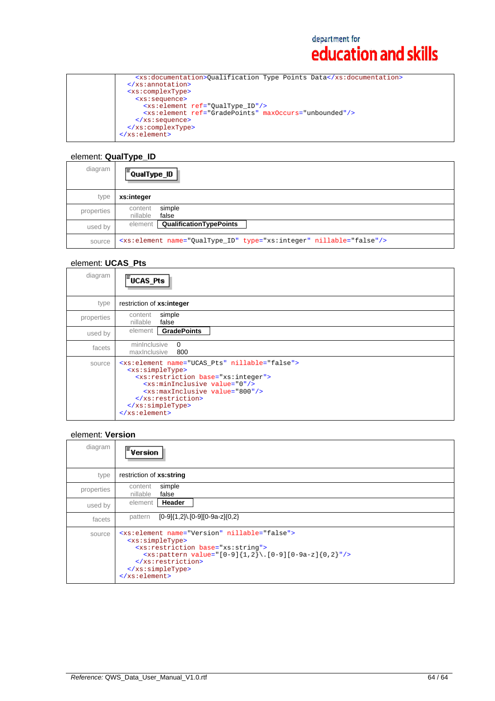```
 <xs:documentation>Qualification Type Points Data</xs:documentation>
  </xs:annotation>
  <xs:complexType>
 <xs:sequence>
 <xs:element ref="QualType_ID"/>
 <xs:element ref="GradePoints" maxOccurs="unbounded"/>
    </xs:sequence>
  </xs:complexType>
</xs:element>
```
## element: **QualType\_ID**

| diagram    | lΞ<br><sup>:</sup> QualType_ID_                                                 |  |
|------------|---------------------------------------------------------------------------------|--|
| type       | xs:integer                                                                      |  |
| properties | simple<br>content<br>nillable<br>false                                          |  |
| used by    | element   QualificationTypePoints                                               |  |
| source     | <xs:element name="QualType_ID" nillable="false" type="xs:integer"></xs:element> |  |

### element: **UCAS\_Pts**

| diagram    | FUCAS_Pts                                                                                                                                                                                                                                                                                                                    |
|------------|------------------------------------------------------------------------------------------------------------------------------------------------------------------------------------------------------------------------------------------------------------------------------------------------------------------------------|
| type       | restriction of xs:integer                                                                                                                                                                                                                                                                                                    |
| properties | simple<br>content<br>nillable<br>false                                                                                                                                                                                                                                                                                       |
| used by    | element<br><b>GradePoints</b>                                                                                                                                                                                                                                                                                                |
| facets     | $\Omega$<br>mininclusive<br>800<br>maxinclusive                                                                                                                                                                                                                                                                              |
| source     | <xs:element name="UCAS_Pts" nillable="false"><br/><xs:simpletype><br/><xs:restriction base="xs:integer"><br/><xs:mininclusive value="0"></xs:mininclusive><br/><xs:maxinclusive value="800"></xs:maxinclusive><br/></xs:restriction><br/></xs:simpletype><br/><math>\langle x s : \text{element} \rangle</math></xs:element> |

#### element: **Version**

| diagram    | <b>Version</b>                                                                                                                                                                                                                                                              |
|------------|-----------------------------------------------------------------------------------------------------------------------------------------------------------------------------------------------------------------------------------------------------------------------------|
| type       | restriction of xs:string                                                                                                                                                                                                                                                    |
| properties | simple<br>content<br>false<br>nillable                                                                                                                                                                                                                                      |
| used by    | Header<br>element                                                                                                                                                                                                                                                           |
| facets     | $[0-9]{1,2}$ . $[0-9][0-9a-z]{0,2}$<br>pattern                                                                                                                                                                                                                              |
| source     | <xs:element name="Version" nillable="false"><br/><xs:simpletype><br/><xs: base="xs: string" restriction=""><br/><xs:pattern value="[0-9]{1,2}\.[0-9][0-9a-z]{0,2}"></xs:pattern><br/><br/></xs:></xs:simpletype><br/><math>\langle xs : element \rangle</math></xs:element> |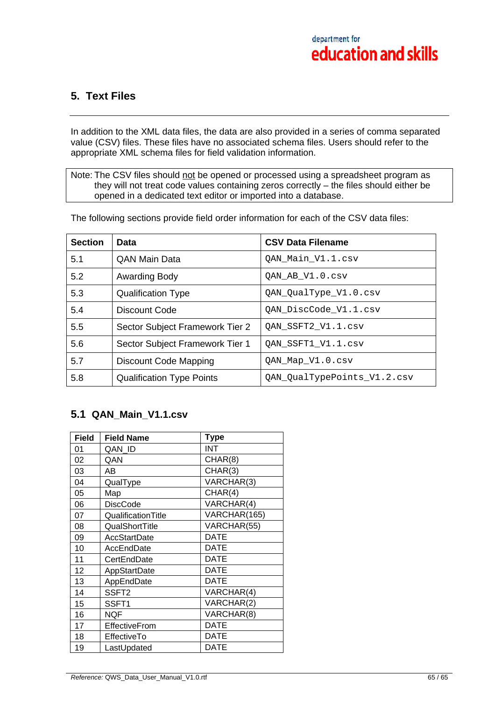## **5. Text Files**

In addition to the XML data files, the data are also provided in a series of comma separated value (CSV) files. These files have no associated schema files. Users should refer to the appropriate XML schema files for field validation information.

Note: The CSV files should not be opened or processed using a spreadsheet program as they will not treat code values containing zeros correctly – the files should either be opened in a dedicated text editor or imported into a database.

The following sections provide field order information for each of the CSV data files:

| <b>Section</b> | Data                             | <b>CSV Data Filename</b>    |
|----------------|----------------------------------|-----------------------------|
| 5.1            | <b>QAN Main Data</b>             | QAN_Main_V1.1.csv           |
| 5.2            | Awarding Body                    | QAN_AB_V1.0.csv             |
| 5.3            | <b>Qualification Type</b>        | QAN_QualType_V1.0.csv       |
| 5.4            | Discount Code                    | QAN_DiscCode_V1.1.csv       |
| 5.5            | Sector Subject Framework Tier 2  | QAN_SSFT2_V1.1.csv          |
| 5.6            | Sector Subject Framework Tier 1  | OAN SSFT1_V1.1.csv          |
| 5.7            | <b>Discount Code Mapping</b>     | QAN_Map_V1.0.csv            |
| 5.8            | <b>Qualification Type Points</b> | QAN QualTypePoints V1.2.csv |

## **5.1 QAN\_Main\_V1.1.csv**

| <b>Field</b> | <b>Field Name</b>   | <b>Type</b>  |
|--------------|---------------------|--------------|
| 01           | QAN ID              | INT          |
| 02           | QAN                 | CHAR(8)      |
| 03           | AB                  | CHAR(3)      |
| 04           | QualType            | VARCHAR(3)   |
| 05           | Map                 | CHAR(4)      |
| 06           | <b>DiscCode</b>     | VARCHAR(4)   |
| 07           | QualificationTitle  | VARCHAR(165) |
| 08           | QualShortTitle      | VARCHAR(55)  |
| 09           | <b>AccStartDate</b> | <b>DATE</b>  |
| 10           | AccEndDate          | DATE         |
| 11           | CertEndDate         | <b>DATE</b>  |
| 12           | AppStartDate        | <b>DATE</b>  |
| 13           | AppEndDate          | <b>DATE</b>  |
| 14           | SSFT <sub>2</sub>   | VARCHAR(4)   |
| 15           | SSFT1               | VARCHAR(2)   |
| 16           | <b>NQF</b>          | VARCHAR(8)   |
| 17           | EffectiveFrom       | <b>DATE</b>  |
| 18           | <b>EffectiveTo</b>  | <b>DATE</b>  |
| 19           | LastUpdated         | <b>DATE</b>  |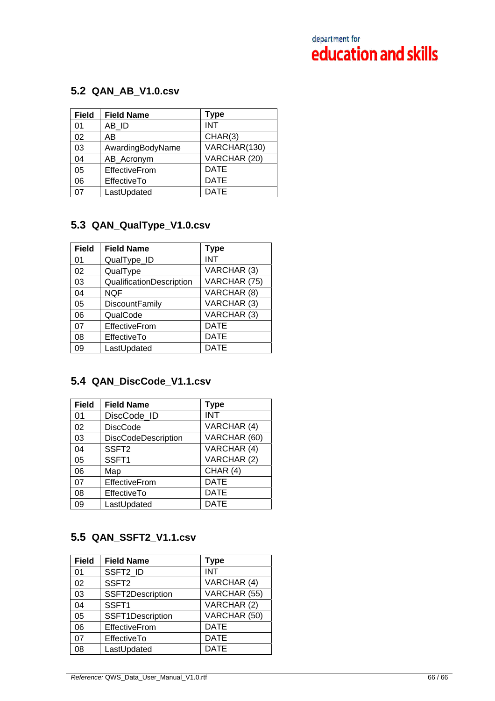## **5.2 QAN\_AB\_V1.0.csv**

| <b>Field</b> | <b>Field Name</b>    | <b>Type</b>  |
|--------------|----------------------|--------------|
| 01           | AB ID                | <b>INT</b>   |
| 02           | AB                   | CHAR(3)      |
| 03           | AwardingBodyName     | VARCHAR(130) |
| 04           | AB_Acronym           | VARCHAR (20) |
| 05           | <b>EffectiveFrom</b> | <b>DATE</b>  |
| 06           | EffectiveTo          | <b>DATE</b>  |
| 07           | LastUpdated          | <b>DATE</b>  |

## **5.3 QAN\_QualType\_V1.0.csv**

| <b>Field</b> | <b>Field Name</b>        | <b>Type</b>  |
|--------------|--------------------------|--------------|
| 01           | QualType_ID              | INT          |
| 02           | QualType                 | VARCHAR (3)  |
| 03           | QualificationDescription | VARCHAR (75) |
| 04           | <b>NQF</b>               | VARCHAR (8)  |
| 05           | <b>DiscountFamily</b>    | VARCHAR (3)  |
| 06           | QualCode                 | VARCHAR (3)  |
| 07           | <b>EffectiveFrom</b>     | <b>DATE</b>  |
| 08           | EffectiveTo              | <b>DATE</b>  |
| 09           | LastUpdated              | <b>DATE</b>  |

# **5.4 QAN\_DiscCode\_V1.1.csv**

| <b>Field</b> | <b>Field Name</b>   | <b>Type</b>  |
|--------------|---------------------|--------------|
| 01           | DiscCode_ID         | <b>INT</b>   |
| 02           | <b>DiscCode</b>     | VARCHAR (4)  |
| 03           | DiscCodeDescription | VARCHAR (60) |
| 04           | SSFT <sub>2</sub>   | VARCHAR (4)  |
| 05           | SSFT1               | VARCHAR (2)  |
| 06           | Map                 | CHAR (4)     |
| 07           | EffectiveFrom       | <b>DATE</b>  |
| 08           | EffectiveTo         | <b>DATE</b>  |
| 09           | LastUpdated         | <b>DATE</b>  |

# **5.5 QAN\_SSFT2\_V1.1.csv**

| <b>Field</b> | <b>Field Name</b> | <b>Type</b>  |
|--------------|-------------------|--------------|
| 01           | SSFT2_ID          | <b>INT</b>   |
| 02           | SSFT <sub>2</sub> | VARCHAR (4)  |
| 03           | SSFT2Description  | VARCHAR (55) |
| 04           | SSFT1             | VARCHAR (2)  |
| 05           | SSFT1Description  | VARCHAR (50) |
| 06           | EffectiveFrom     | <b>DATE</b>  |
| 07           | EffectiveTo       | <b>DATE</b>  |
| 08           | LastUpdated       | <b>DATE</b>  |